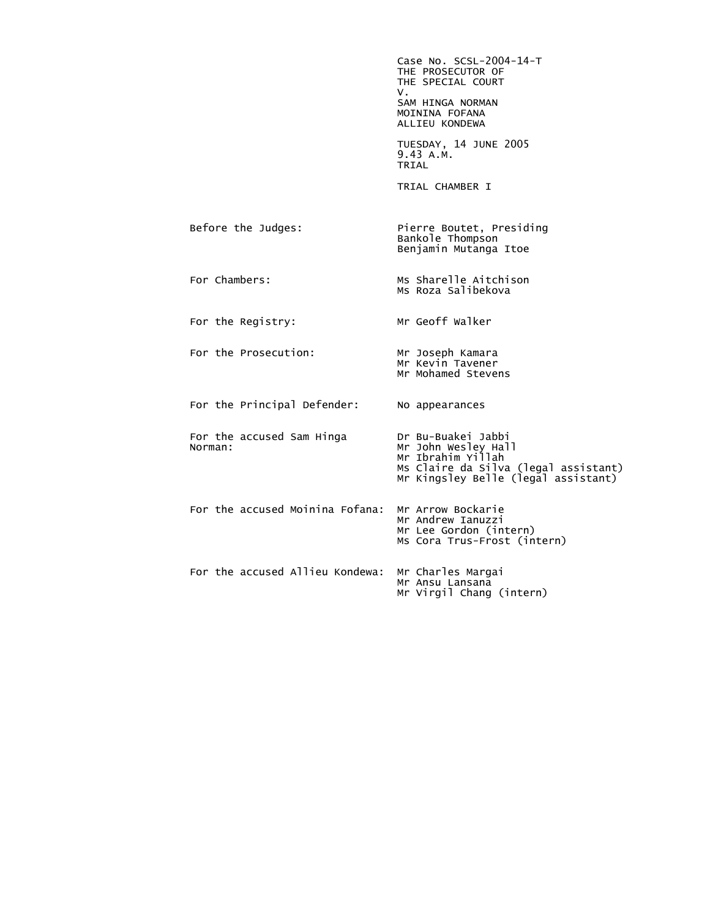|                                      | Case No. SCSL-2004-14-T<br>THE PROSECUTOR OF<br>THE SPECIAL COURT<br>ν.<br>SAM HINGA NORMAN<br>MOININA FOFANA<br>ALLIEU KONDEWA               |
|--------------------------------------|-----------------------------------------------------------------------------------------------------------------------------------------------|
|                                      | TUESDAY, 14 JUNE 2005<br>9.43 A.M.<br>TRIAL                                                                                                   |
|                                      | TRIAL CHAMBER I                                                                                                                               |
| Before the Judges:                   | Pierre Boutet, Presiding<br>Bankole Thompson<br>Benjamin Mutanga Itoe                                                                         |
| For Chambers:                        | Ms Sharelle Aitchison<br>Ms Roza Salibekova                                                                                                   |
| For the Registry:                    | Mr Geoff Walker                                                                                                                               |
| For the Prosecution:                 | Mr Joseph Kamara<br>Mr Kevin Tavener<br>Mr Mohamed Stevens                                                                                    |
| For the Principal Defender:          | No appearances                                                                                                                                |
| For the accused Sam Hinga<br>Norman: | Dr Bu-Buakei Jabbi<br>Mr John Wesley Hall<br>Mr Ibrahim Yillah<br>Ms Claire da Silva (legal assistant)<br>Mr Kingsley Belle (legal assistant) |
| For the accused Moinina Fofana:      | Mr Arrow Bockarie<br>Mr Andrew Ianuzzi<br>Mr Lee Gordon (intern)<br>Ms Cora Trus-Frost (intern)                                               |
| For the accused Allieu Kondewa:      | Mr Charles Margai<br>Mr Ansu Lansana<br>Mr Virgil Chang (intern)                                                                              |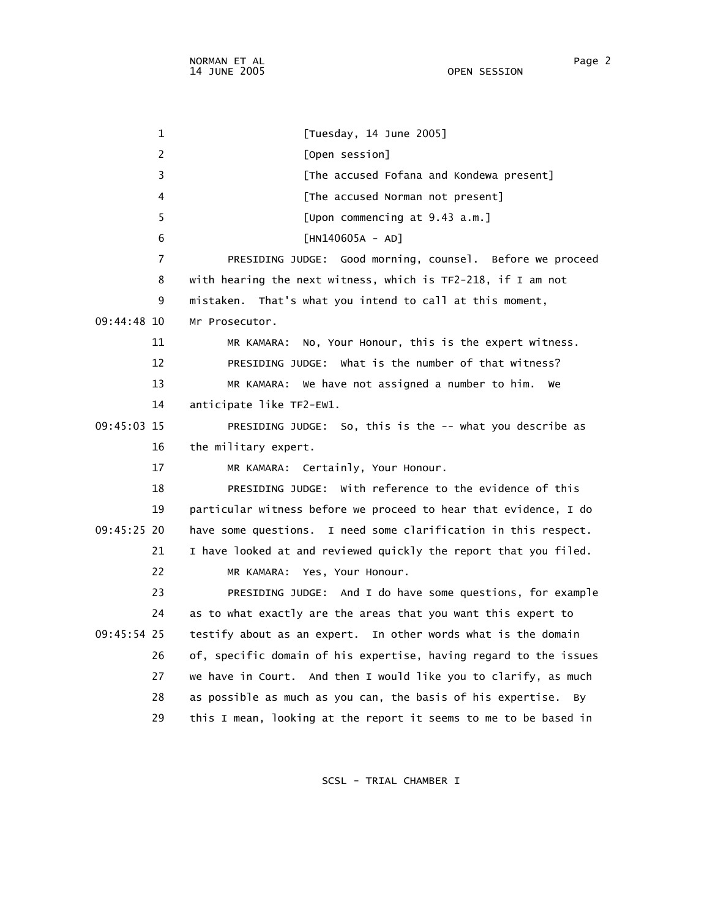1 [Tuesday, 14 June 2005] 2 [Open session] 3 **Example 2 [The accused Fofana and Kondewa present]**  4 [The accused Norman not present] 5 [Upon commencing at 9.43 a.m.] 6 [HN140605A - AD] 7 PRESIDING JUDGE: Good morning, counsel. Before we proceed 8 with hearing the next witness, which is TF2-218, if I am not 9 mistaken. That's what you intend to call at this moment, 09:44:48 10 Mr Prosecutor. 11 MR KAMARA: No, Your Honour, this is the expert witness. 12 PRESIDING JUDGE: What is the number of that witness? 13 MR KAMARA: We have not assigned a number to him. We 14 anticipate like TF2-EW1. 09:45:03 15 PRESIDING JUDGE: So, this is the -- what you describe as 16 the military expert. 17 MR KAMARA: Certainly, Your Honour. 18 PRESIDING JUDGE: With reference to the evidence of this 19 particular witness before we proceed to hear that evidence, I do 09:45:25 20 have some questions. I need some clarification in this respect. 21 I have looked at and reviewed quickly the report that you filed. 22 MR KAMARA: Yes, Your Honour. 23 PRESIDING JUDGE: And I do have some questions, for example 24 as to what exactly are the areas that you want this expert to 09:45:54 25 testify about as an expert. In other words what is the domain 26 of, specific domain of his expertise, having regard to the issues 27 we have in Court. And then I would like you to clarify, as much 28 as possible as much as you can, the basis of his expertise. By 29 this I mean, looking at the report it seems to me to be based in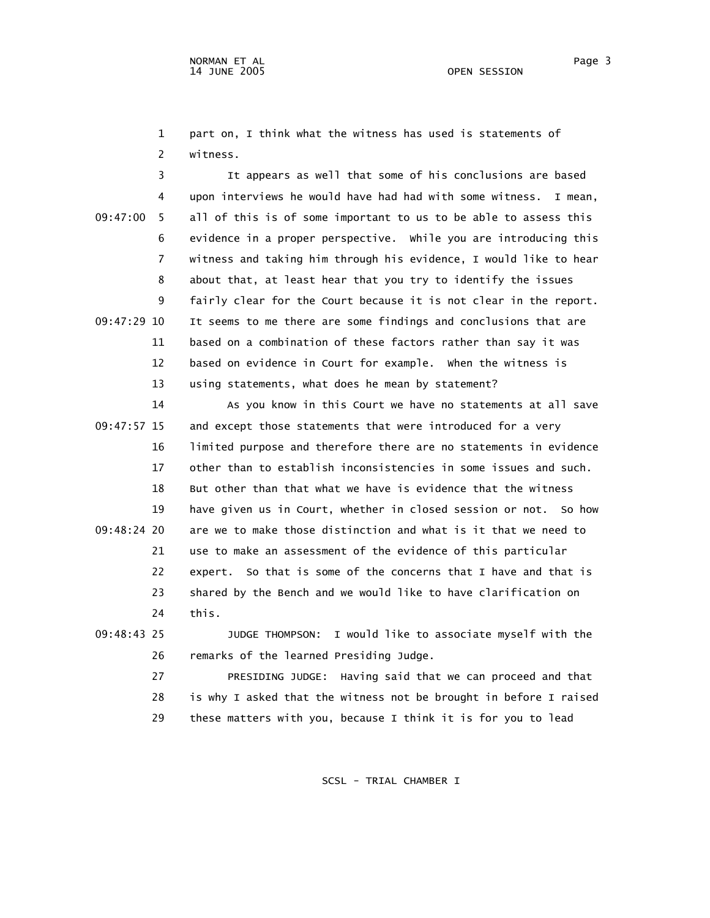1 part on, I think what the witness has used is statements of 2 witness.

 3 It appears as well that some of his conclusions are based 4 upon interviews he would have had had with some witness. I mean, 09:47:00 5 all of this is of some important to us to be able to assess this 6 evidence in a proper perspective. While you are introducing this 7 witness and taking him through his evidence, I would like to hear 8 about that, at least hear that you try to identify the issues 9 fairly clear for the Court because it is not clear in the report. 09:47:29 10 It seems to me there are some findings and conclusions that are 11 based on a combination of these factors rather than say it was 12 based on evidence in Court for example. When the witness is 13 using statements, what does he mean by statement?

 14 As you know in this Court we have no statements at all save 09:47:57 15 and except those statements that were introduced for a very 16 limited purpose and therefore there are no statements in evidence 17 other than to establish inconsistencies in some issues and such. 18 But other than that what we have is evidence that the witness 19 have given us in Court, whether in closed session or not. So how 09:48:24 20 are we to make those distinction and what is it that we need to 21 use to make an assessment of the evidence of this particular 22 expert. So that is some of the concerns that I have and that is 23 shared by the Bench and we would like to have clarification on 24 this.

 09:48:43 25 JUDGE THOMPSON: I would like to associate myself with the 26 remarks of the learned Presiding Judge.

> 27 PRESIDING JUDGE: Having said that we can proceed and that 28 is why I asked that the witness not be brought in before I raised 29 these matters with you, because I think it is for you to lead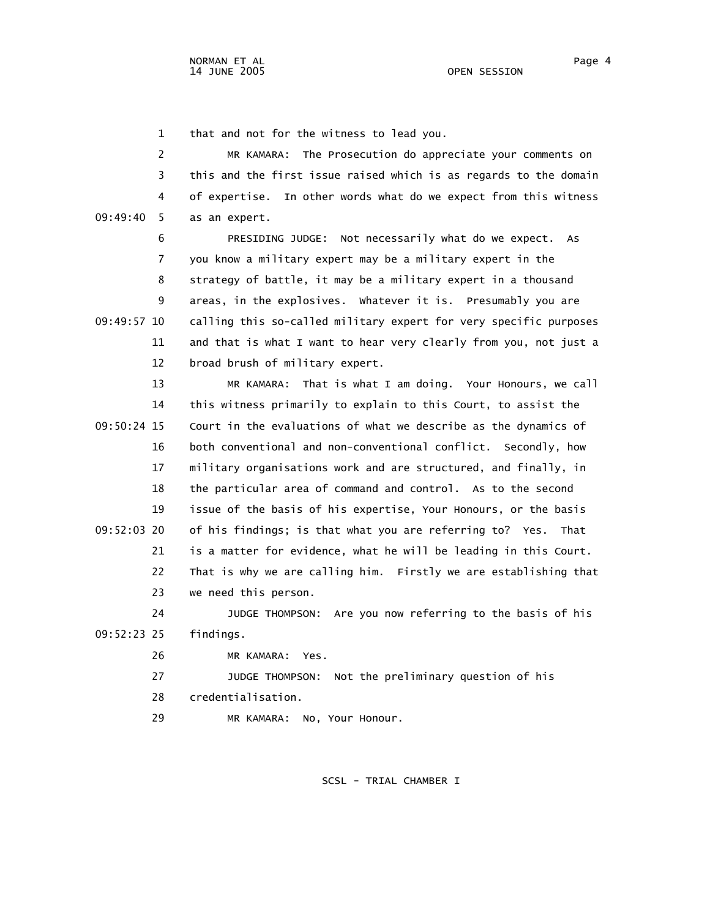1 that and not for the witness to lead you.

 2 MR KAMARA: The Prosecution do appreciate your comments on 3 this and the first issue raised which is as regards to the domain 4 of expertise. In other words what do we expect from this witness 09:49:40 5 as an expert.

 6 PRESIDING JUDGE: Not necessarily what do we expect. As 7 you know a military expert may be a military expert in the 8 strategy of battle, it may be a military expert in a thousand 9 areas, in the explosives. Whatever it is. Presumably you are 09:49:57 10 calling this so-called military expert for very specific purposes 11 and that is what I want to hear very clearly from you, not just a 12 broad brush of military expert.

 13 MR KAMARA: That is what I am doing. Your Honours, we call 14 this witness primarily to explain to this Court, to assist the 09:50:24 15 Court in the evaluations of what we describe as the dynamics of 16 both conventional and non-conventional conflict. Secondly, how 17 military organisations work and are structured, and finally, in 18 the particular area of command and control. As to the second 19 issue of the basis of his expertise, Your Honours, or the basis 09:52:03 20 of his findings; is that what you are referring to? Yes. That 21 is a matter for evidence, what he will be leading in this Court. 22 That is why we are calling him. Firstly we are establishing that 23 we need this person. 24 JUDGE THOMPSON: Are you now referring to the basis of his

09:52:23 25 findings.

26 MR KAMARA: Yes.

 27 JUDGE THOMPSON: Not the preliminary question of his 28 credentialisation.

29 MR KAMARA: No, Your Honour.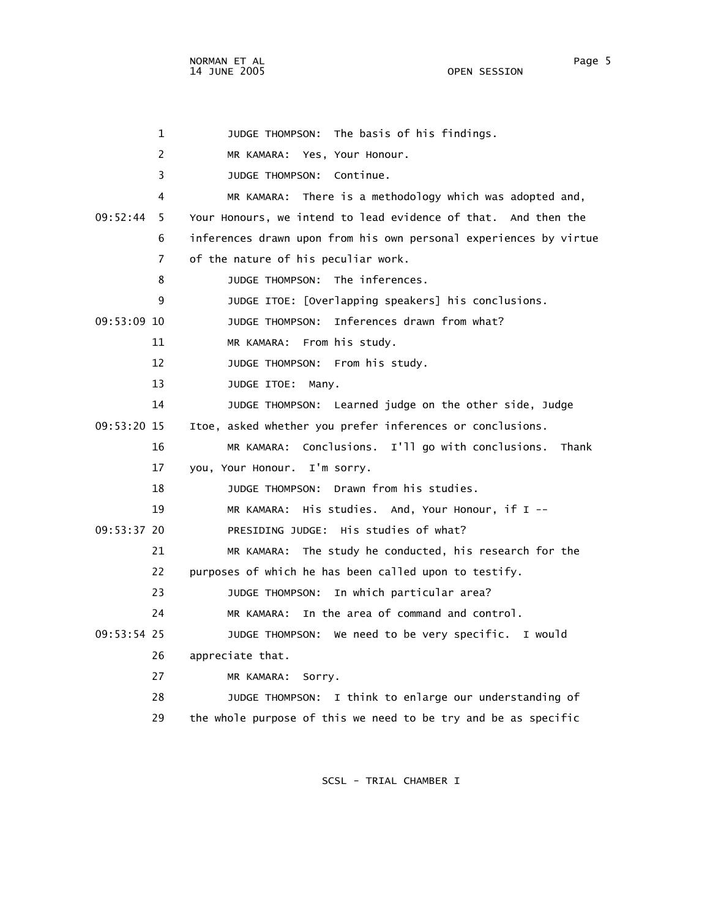1 JUDGE THOMPSON: The basis of his findings. 2 MR KAMARA: Yes, Your Honour. 3 JUDGE THOMPSON: Continue. 4 MR KAMARA: There is a methodology which was adopted and, 09:52:44 5 Your Honours, we intend to lead evidence of that. And then the 6 inferences drawn upon from his own personal experiences by virtue 7 of the nature of his peculiar work. 8 JUDGE THOMPSON: The inferences. 9 JUDGE ITOE: [Overlapping speakers] his conclusions. 09:53:09 10 JUDGE THOMPSON: Inferences drawn from what? 11 MR KAMARA: From his study. 12 JUDGE THOMPSON: From his study. 13 JUDGE ITOE: Many. 14 JUDGE THOMPSON: Learned judge on the other side, Judge 09:53:20 15 Itoe, asked whether you prefer inferences or conclusions. 16 MR KAMARA: Conclusions. I'll go with conclusions. Thank 17 you, Your Honour. I'm sorry. 18 JUDGE THOMPSON: Drawn from his studies. 19 MR KAMARA: His studies. And, Your Honour, if I -- 09:53:37 20 PRESIDING JUDGE: His studies of what? 21 MR KAMARA: The study he conducted, his research for the 22 purposes of which he has been called upon to testify. 23 JUDGE THOMPSON: In which particular area? 24 MR KAMARA: In the area of command and control. 09:53:54 25 JUDGE THOMPSON: We need to be very specific. I would 26 appreciate that. 27 MR KAMARA: Sorry. 28 JUDGE THOMPSON: I think to enlarge our understanding of 29 the whole purpose of this we need to be try and be as specific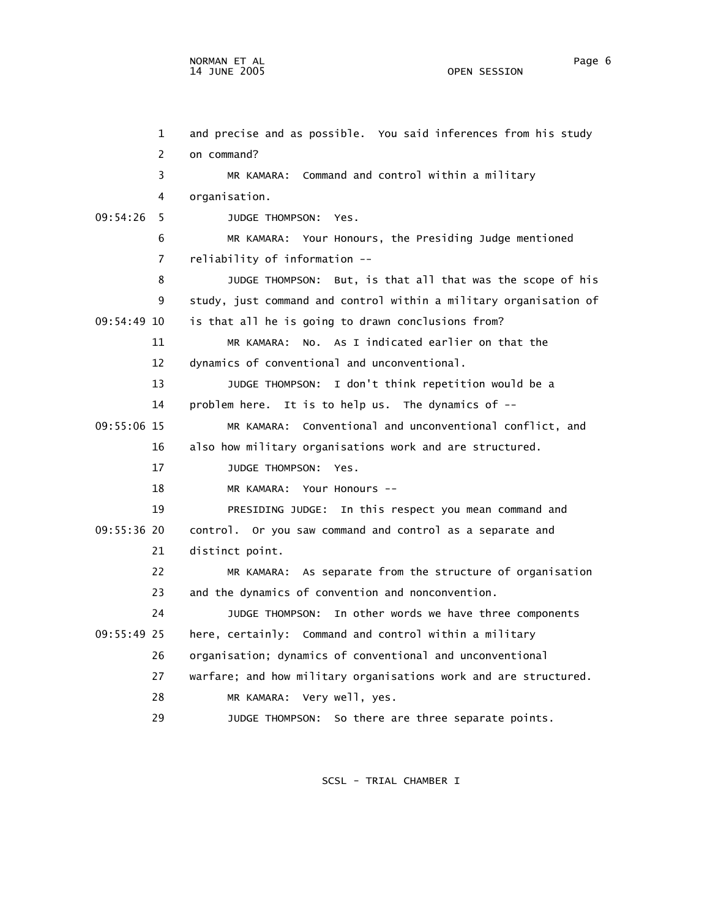1 and precise and as possible. You said inferences from his study 2 on command? 3 MR KAMARA: Command and control within a military 4 organisation. 09:54:26 5 JUDGE THOMPSON: Yes. 6 MR KAMARA: Your Honours, the Presiding Judge mentioned 7 reliability of information -- 8 JUDGE THOMPSON: But, is that all that was the scope of his 9 study, just command and control within a military organisation of 09:54:49 10 is that all he is going to drawn conclusions from? 11 MR KAMARA: No. As I indicated earlier on that the 12 dynamics of conventional and unconventional. 13 JUDGE THOMPSON: I don't think repetition would be a 14 problem here. It is to help us. The dynamics of -- 09:55:06 15 MR KAMARA: Conventional and unconventional conflict, and 16 also how military organisations work and are structured. 17 JUDGE THOMPSON: Yes. 18 MR KAMARA: Your Honours -- 19 PRESIDING JUDGE: In this respect you mean command and 09:55:36 20 control. Or you saw command and control as a separate and 21 distinct point. 22 MR KAMARA: As separate from the structure of organisation 23 and the dynamics of convention and nonconvention. 24 JUDGE THOMPSON: In other words we have three components 09:55:49 25 here, certainly: Command and control within a military 26 organisation; dynamics of conventional and unconventional 27 warfare; and how military organisations work and are structured. 28 MR KAMARA: Very well, yes.

29 JUDGE THOMPSON: So there are three separate points.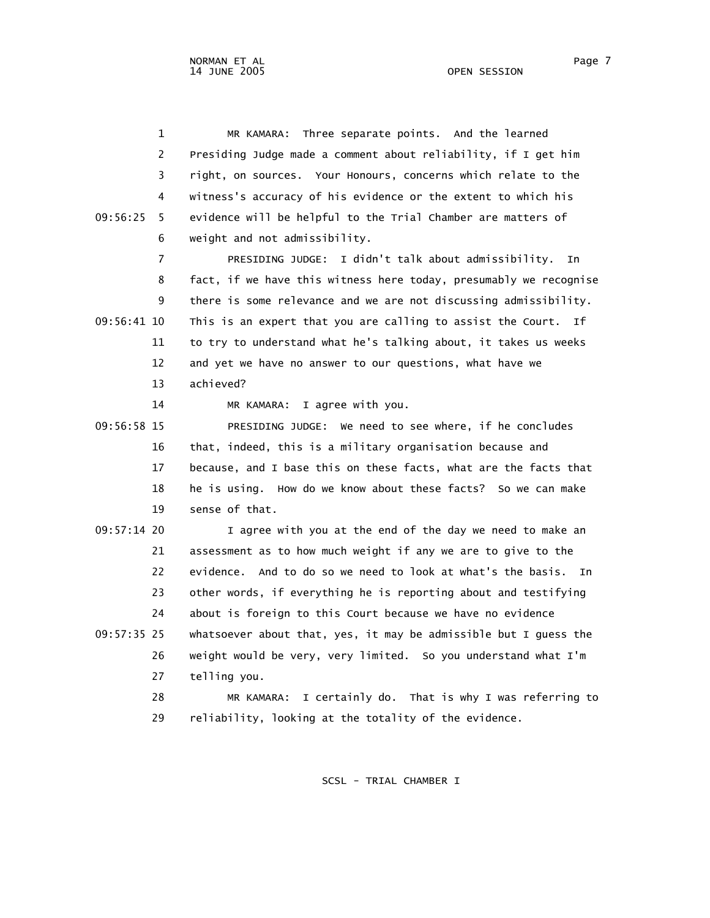1 MR KAMARA: Three separate points. And the learned 2 Presiding Judge made a comment about reliability, if I get him 3 right, on sources. Your Honours, concerns which relate to the 4 witness's accuracy of his evidence or the extent to which his 09:56:25 5 evidence will be helpful to the Trial Chamber are matters of 6 weight and not admissibility. 7 PRESIDING JUDGE: I didn't talk about admissibility. In 8 fact, if we have this witness here today, presumably we recognise 9 there is some relevance and we are not discussing admissibility. 09:56:41 10 This is an expert that you are calling to assist the Court. If 11 to try to understand what he's talking about, it takes us weeks 12 and yet we have no answer to our questions, what have we 13 achieved? 14 MR KAMARA: I agree with you. 09:56:58 15 PRESIDING JUDGE: We need to see where, if he concludes 16 that, indeed, this is a military organisation because and 17 because, and I base this on these facts, what are the facts that 18 he is using. How do we know about these facts? So we can make 19 sense of that. 09:57:14 20 I agree with you at the end of the day we need to make an 21 assessment as to how much weight if any we are to give to the 22 evidence. And to do so we need to look at what's the basis. In 23 other words, if everything he is reporting about and testifying 24 about is foreign to this Court because we have no evidence 09:57:35 25 whatsoever about that, yes, it may be admissible but I guess the 26 weight would be very, very limited. So you understand what I'm 27 telling you. 28 MR KAMARA: I certainly do. That is why I was referring to 29 reliability, looking at the totality of the evidence.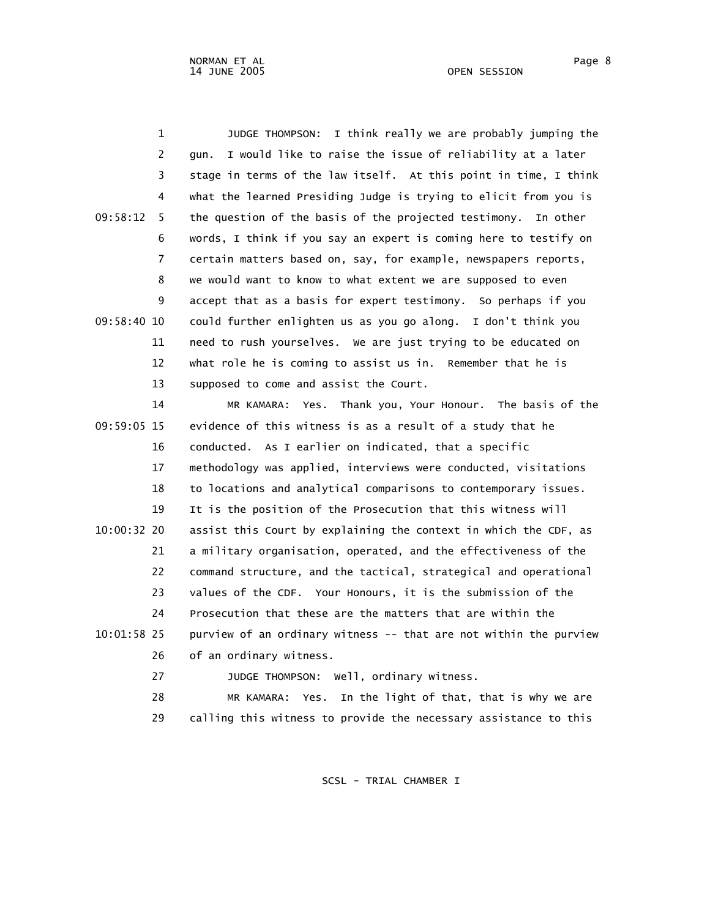1 JUDGE THOMPSON: I think really we are probably jumping the 2 gun. I would like to raise the issue of reliability at a later 3 stage in terms of the law itself. At this point in time, I think 4 what the learned Presiding Judge is trying to elicit from you is 09:58:12 5 the question of the basis of the projected testimony. In other 6 words, I think if you say an expert is coming here to testify on 7 certain matters based on, say, for example, newspapers reports, 8 we would want to know to what extent we are supposed to even 9 accept that as a basis for expert testimony. So perhaps if you 09:58:40 10 could further enlighten us as you go along. I don't think you 11 need to rush yourselves. We are just trying to be educated on 12 what role he is coming to assist us in. Remember that he is 13 supposed to come and assist the Court.

 14 MR KAMARA: Yes. Thank you, Your Honour. The basis of the 09:59:05 15 evidence of this witness is as a result of a study that he 16 conducted. As I earlier on indicated, that a specific 17 methodology was applied, interviews were conducted, visitations 18 to locations and analytical comparisons to contemporary issues. 19 It is the position of the Prosecution that this witness will 10:00:32 20 assist this Court by explaining the context in which the CDF, as 21 a military organisation, operated, and the effectiveness of the 22 command structure, and the tactical, strategical and operational 23 values of the CDF. Your Honours, it is the submission of the 24 Prosecution that these are the matters that are within the 10:01:58 25 purview of an ordinary witness -- that are not within the purview 26 of an ordinary witness.

27 JUDGE THOMPSON: Well, ordinary witness.

 28 MR KAMARA: Yes. In the light of that, that is why we are 29 calling this witness to provide the necessary assistance to this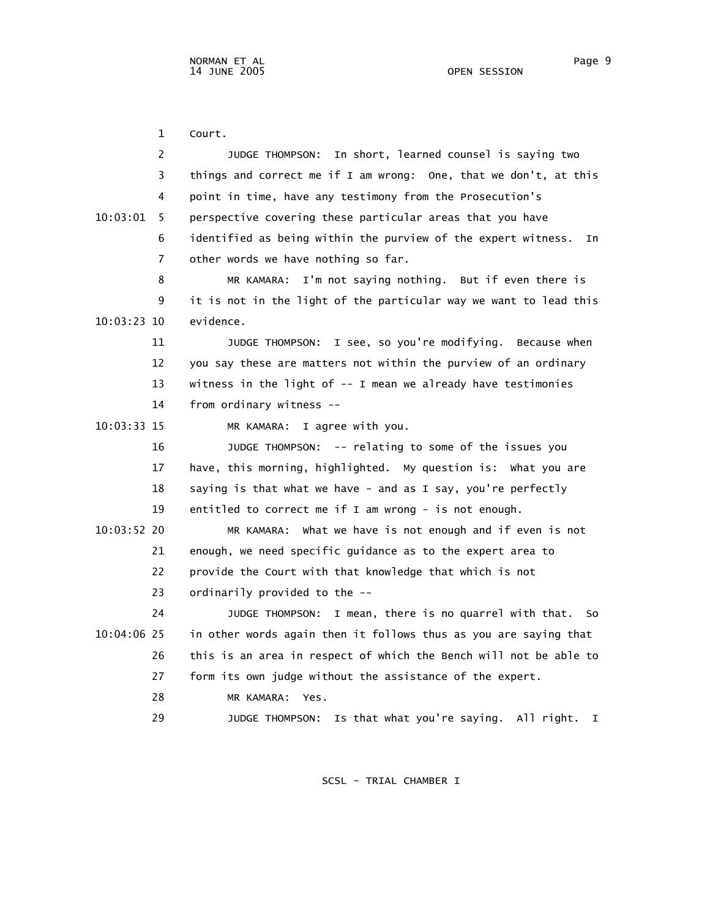1 Court. 2 JUDGE THOMPSON: In short, learned counsel is saying two 3 things and correct me if I am wrong: One, that we don't, at this 4 point in time, have any testimony from the Prosecution's 10:03:01 5 perspective covering these particular areas that you have 6 identified as being within the purview of the expert witness. In 7 other words we have nothing so far. 8 MR KAMARA: I'm not saying nothing. But if even there is 9 it is not in the light of the particular way we want to lead this 10:03:23 10 evidence. 11 JUDGE THOMPSON: I see, so you're modifying. Because when 12 you say these are matters not within the purview of an ordinary 13 witness in the light of -- I mean we already have testimonies 14 from ordinary witness -- 10:03:33 15 MR KAMARA: I agree with you. 16 JUDGE THOMPSON: -- relating to some of the issues you 17 have, this morning, highlighted. My question is: What you are 18 saying is that what we have - and as I say, you're perfectly 19 entitled to correct me if I am wrong - is not enough. 10:03:52 20 MR KAMARA: What we have is not enough and if even is not 21 enough, we need specific guidance as to the expert area to 22 provide the Court with that knowledge that which is not 23 ordinarily provided to the -- 24 JUDGE THOMPSON: I mean, there is no quarrel with that. So 10:04:06 25 in other words again then it follows thus as you are saying that 26 this is an area in respect of which the Bench will not be able to 27 form its own judge without the assistance of the expert. 28 MR KAMARA: Yes. 29 JUDGE THOMPSON: Is that what you're saying. All right. I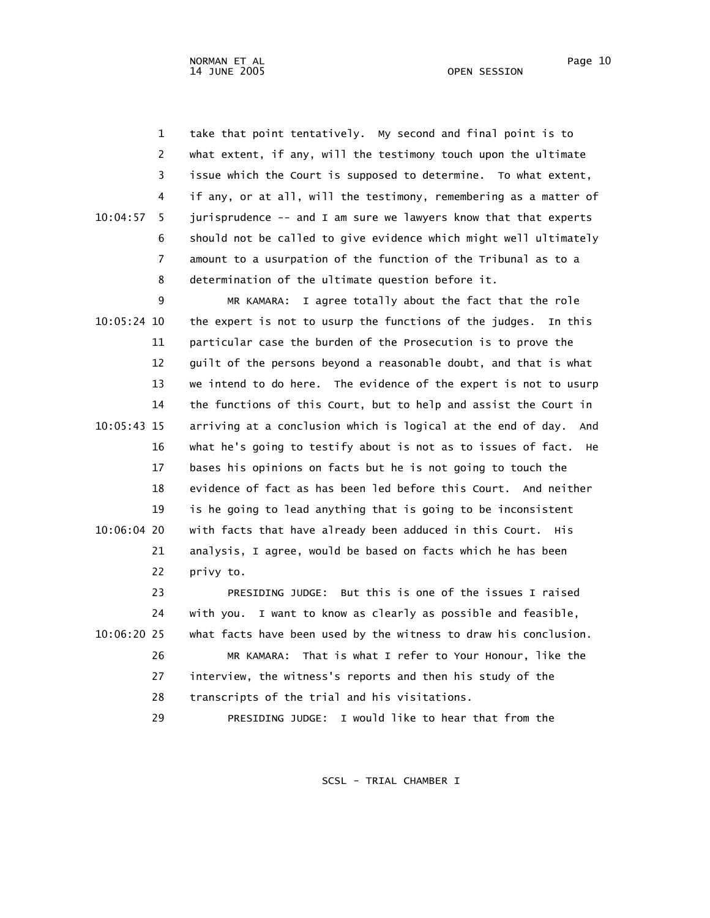1 take that point tentatively. My second and final point is to 2 what extent, if any, will the testimony touch upon the ultimate 3 issue which the Court is supposed to determine. To what extent, 4 if any, or at all, will the testimony, remembering as a matter of 10:04:57 5 jurisprudence -- and I am sure we lawyers know that that experts 6 should not be called to give evidence which might well ultimately 7 amount to a usurpation of the function of the Tribunal as to a 8 determination of the ultimate question before it.

 9 MR KAMARA: I agree totally about the fact that the role 10:05:24 10 the expert is not to usurp the functions of the judges. In this 11 particular case the burden of the Prosecution is to prove the 12 guilt of the persons beyond a reasonable doubt, and that is what 13 we intend to do here. The evidence of the expert is not to usurp 14 the functions of this Court, but to help and assist the Court in 10:05:43 15 arriving at a conclusion which is logical at the end of day. And 16 what he's going to testify about is not as to issues of fact. He 17 bases his opinions on facts but he is not going to touch the 18 evidence of fact as has been led before this Court. And neither 19 is he going to lead anything that is going to be inconsistent 10:06:04 20 with facts that have already been adduced in this Court. His 21 analysis, I agree, would be based on facts which he has been 22 privy to.

 23 PRESIDING JUDGE: But this is one of the issues I raised 24 with you. I want to know as clearly as possible and feasible, 10:06:20 25 what facts have been used by the witness to draw his conclusion. 26 MR KAMARA: That is what I refer to Your Honour, like the 27 interview, the witness's reports and then his study of the 28 transcripts of the trial and his visitations. 29 PRESIDING JUDGE: I would like to hear that from the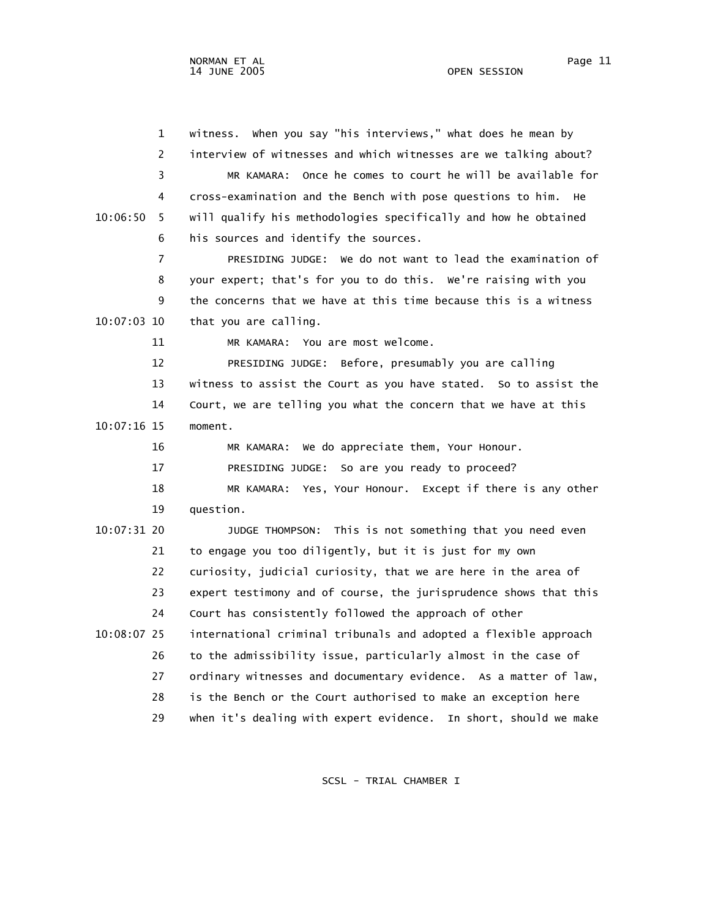1 witness. When you say "his interviews," what does he mean by 2 interview of witnesses and which witnesses are we talking about? 3 MR KAMARA: Once he comes to court he will be available for 4 cross-examination and the Bench with pose questions to him. He 10:06:50 5 will qualify his methodologies specifically and how he obtained 6 his sources and identify the sources. 7 PRESIDING JUDGE: We do not want to lead the examination of 8 your expert; that's for you to do this. We're raising with you 9 the concerns that we have at this time because this is a witness 10:07:03 10 that you are calling. 11 MR KAMARA: You are most welcome. 12 PRESIDING JUDGE: Before, presumably you are calling 13 witness to assist the Court as you have stated. So to assist the 14 Court, we are telling you what the concern that we have at this 10:07:16 15 moment. 16 MR KAMARA: We do appreciate them, Your Honour. 17 PRESIDING JUDGE: So are you ready to proceed? 18 MR KAMARA: Yes, Your Honour. Except if there is any other 19 question. 10:07:31 20 JUDGE THOMPSON: This is not something that you need even 21 to engage you too diligently, but it is just for my own 22 curiosity, judicial curiosity, that we are here in the area of 23 expert testimony and of course, the jurisprudence shows that this 24 Court has consistently followed the approach of other 10:08:07 25 international criminal tribunals and adopted a flexible approach 26 to the admissibility issue, particularly almost in the case of 27 ordinary witnesses and documentary evidence. As a matter of law, 28 is the Bench or the Court authorised to make an exception here 29 when it's dealing with expert evidence. In short, should we make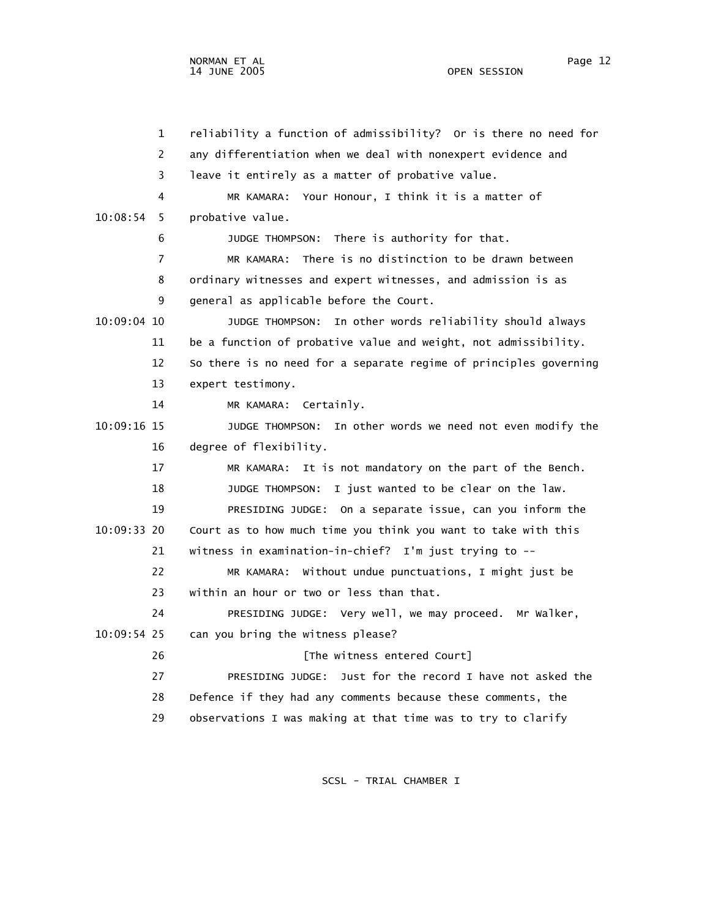1 reliability a function of admissibility? Or is there no need for 2 any differentiation when we deal with nonexpert evidence and 3 leave it entirely as a matter of probative value. 4 MR KAMARA: Your Honour, I think it is a matter of 10:08:54 5 probative value. 6 JUDGE THOMPSON: There is authority for that. 7 MR KAMARA: There is no distinction to be drawn between 8 ordinary witnesses and expert witnesses, and admission is as 9 general as applicable before the Court. 10:09:04 10 JUDGE THOMPSON: In other words reliability should always 11 be a function of probative value and weight, not admissibility. 12 So there is no need for a separate regime of principles governing 13 expert testimony. 14 MR KAMARA: Certainly. 10:09:16 15 JUDGE THOMPSON: In other words we need not even modify the 16 degree of flexibility. 17 MR KAMARA: It is not mandatory on the part of the Bench. 18 JUDGE THOMPSON: I just wanted to be clear on the law. 19 PRESIDING JUDGE: On a separate issue, can you inform the 10:09:33 20 Court as to how much time you think you want to take with this 21 witness in examination-in-chief? I'm just trying to -- 22 MR KAMARA: Without undue punctuations, I might just be 23 within an hour or two or less than that. 24 PRESIDING JUDGE: Very well, we may proceed. Mr Walker, 10:09:54 25 can you bring the witness please? 26 **Example 26** [The witness entered Court] 27 PRESIDING JUDGE: Just for the record I have not asked the 28 Defence if they had any comments because these comments, the 29 observations I was making at that time was to try to clarify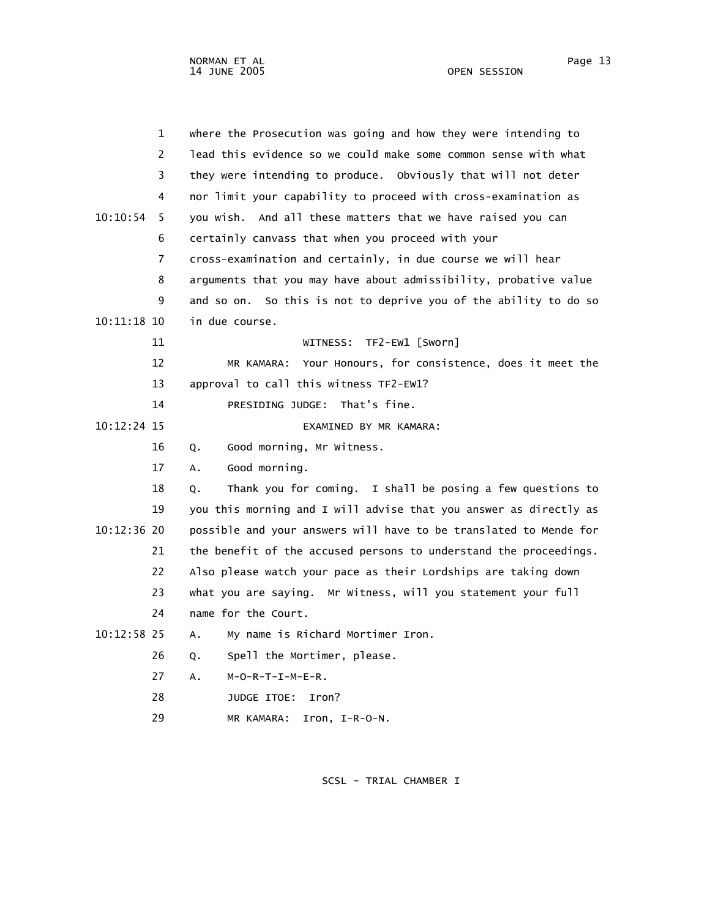| 1              | where the Prosecution was going and how they were intending to    |
|----------------|-------------------------------------------------------------------|
| 2              | lead this evidence so we could make some common sense with what   |
| 3              | they were intending to produce. Obviously that will not deter     |
| 4              | nor limit your capability to proceed with cross-examination as    |
| 10:10:54<br>5  | you wish. And all these matters that we have raised you can       |
| 6              | certainly canvass that when you proceed with your                 |
| $\overline{7}$ | cross-examination and certainly, in due course we will hear       |
| 8              | arguments that you may have about admissibility, probative value  |
| 9              | and so on. So this is not to deprive you of the ability to do so  |
| $10:11:18$ 10  | in due course.                                                    |
| 11             | TF2-EW1 [Sworn]<br>WITNESS:                                       |
| 12             | Your Honours, for consistence, does it meet the<br>MR KAMARA:     |
| 13             | approval to call this witness TF2-EW1?                            |
| 14             | PRESIDING JUDGE: That's fine.                                     |
| 10:12:24 15    | EXAMINED BY MR KAMARA:                                            |
| 16             | Good morning, Mr Witness.<br>Q.                                   |
| 17             | Good morning.<br>А.                                               |
| 18             | Thank you for coming. I shall be posing a few questions to<br>Q.  |
| 19             | you this morning and I will advise that you answer as directly as |
| 10:12:36 20    | possible and your answers will have to be translated to Mende for |
| 21             | the benefit of the accused persons to understand the proceedings. |
| 22             | Also please watch your pace as their Lordships are taking down    |
| 23             | what you are saying. Mr Witness, will you statement your full     |
| 24             | name for the Court.                                               |
| $10:12:58$ 25  | My name is Richard Mortimer Iron.<br>Α.                           |
| 26             | Spell the Mortimer, please.<br>Q.                                 |
| 27             | $M-O-R-T-I-M-E-R$ .<br>А.                                         |
| 28             | JUDGE ITOE:<br>Iron?                                              |
| 29             | MR KAMARA:<br>Iron, $I-R-O-N$ .                                   |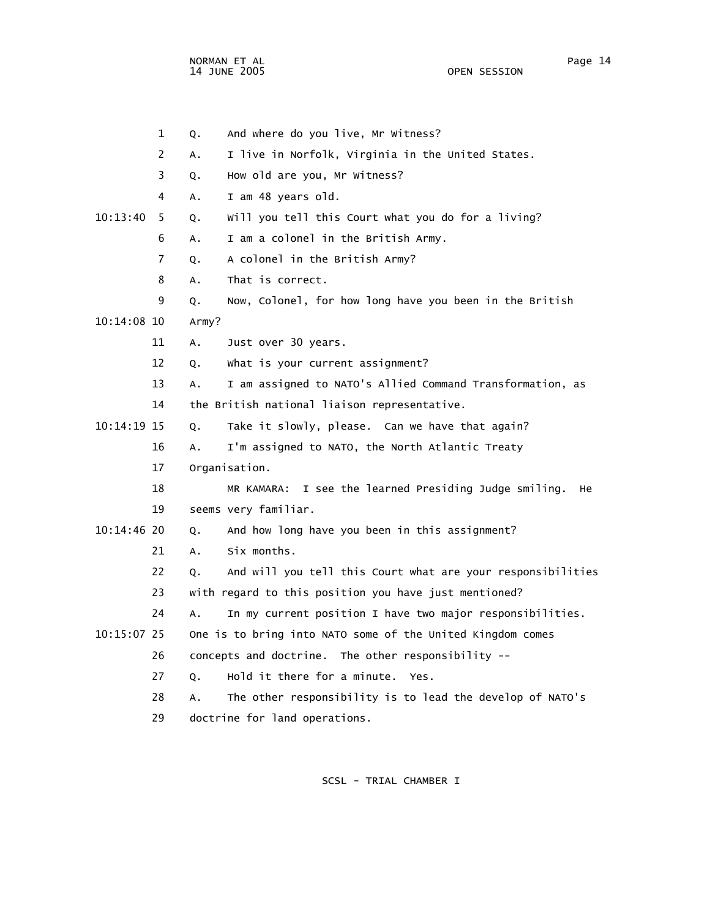NORMAN ET AL Page 14

 1 Q. And where do you live, Mr Witness? 2 A. I live in Norfolk, Virginia in the United States. 3 Q. How old are you, Mr Witness? 4 A. I am 48 years old. 10:13:40 5 Q. Will you tell this Court what you do for a living? 6 A. I am a colonel in the British Army. 7 Q. A colonel in the British Army? 8 A. That is correct. 9 Q. Now, Colonel, for how long have you been in the British 10:14:08 10 Army? 11 A. Just over 30 years. 12 Q. What is your current assignment? 13 A. I am assigned to NATO's Allied Command Transformation, as 14 the British national liaison representative. 10:14:19 15 Q. Take it slowly, please. Can we have that again? 16 A. I'm assigned to NATO, the North Atlantic Treaty 17 Organisation. 18 MR KAMARA: I see the learned Presiding Judge smiling. He 19 seems very familiar. 10:14:46 20 Q. And how long have you been in this assignment? 21 A. Six months. 22 Q. And will you tell this Court what are your responsibilities 23 with regard to this position you have just mentioned? 24 A. In my current position I have two major responsibilities. 10:15:07 25 One is to bring into NATO some of the United Kingdom comes 26 concepts and doctrine. The other responsibility -- 27 Q. Hold it there for a minute. Yes. 28 A. The other responsibility is to lead the develop of NATO's

29 doctrine for land operations.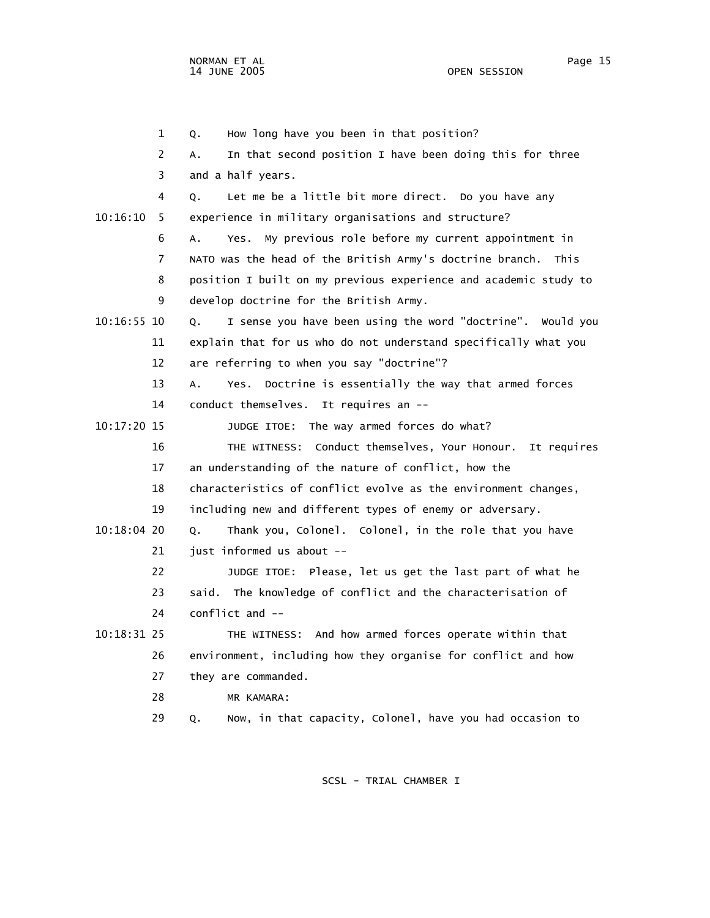1 Q. How long have you been in that position? 2 A. In that second position I have been doing this for three 3 and a half years. 4 Q. Let me be a little bit more direct. Do you have any 10:16:10 5 experience in military organisations and structure? 6 A. Yes. My previous role before my current appointment in 7 NATO was the head of the British Army's doctrine branch. This 8 position I built on my previous experience and academic study to 9 develop doctrine for the British Army. 10:16:55 10 Q. I sense you have been using the word "doctrine". Would you 11 explain that for us who do not understand specifically what you 12 are referring to when you say "doctrine"? 13 A. Yes. Doctrine is essentially the way that armed forces 14 conduct themselves. It requires an -- 10:17:20 15 JUDGE ITOE: The way armed forces do what? 16 THE WITNESS: Conduct themselves, Your Honour. It requires 17 an understanding of the nature of conflict, how the 18 characteristics of conflict evolve as the environment changes, 19 including new and different types of enemy or adversary. 10:18:04 20 Q. Thank you, Colonel. Colonel, in the role that you have 21 just informed us about -- 22 JUDGE ITOE: Please, let us get the last part of what he 23 said. The knowledge of conflict and the characterisation of 24 conflict and -- 10:18:31 25 THE WITNESS: And how armed forces operate within that 26 environment, including how they organise for conflict and how 27 they are commanded. 28 MR KAMARA: 29 Q. Now, in that capacity, Colonel, have you had occasion to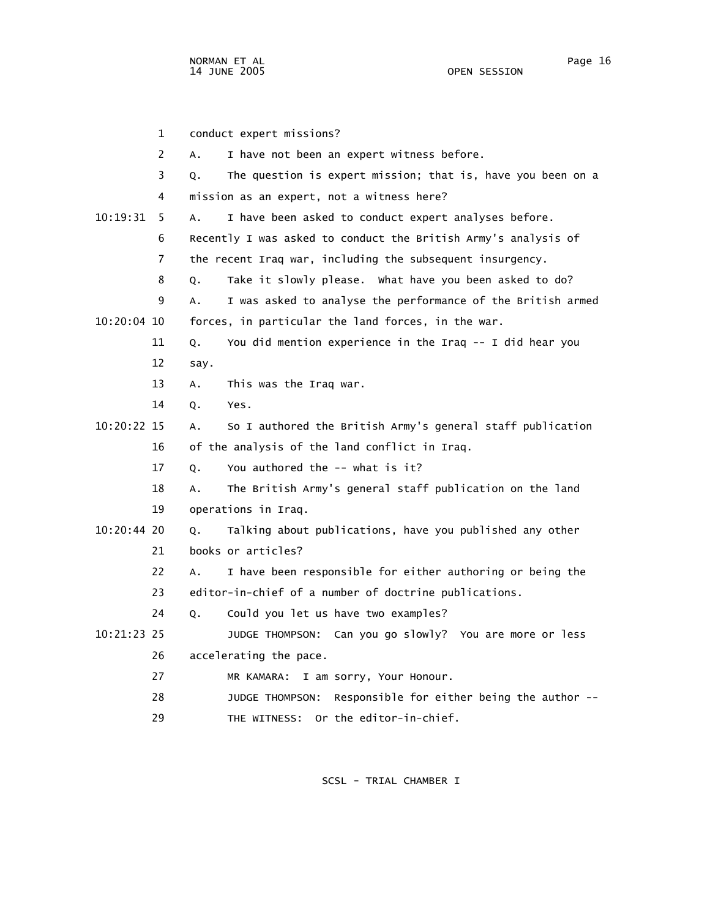|             | $\mathbf 1$ | conduct expert missions?                                          |
|-------------|-------------|-------------------------------------------------------------------|
|             | 2           | I have not been an expert witness before.<br>Α.                   |
|             | 3           | The question is expert mission; that is, have you been on a<br>Q. |
|             | 4           | mission as an expert, not a witness here?                         |
| 10:19:31    | 5           | I have been asked to conduct expert analyses before.<br>А.        |
|             | 6           | Recently I was asked to conduct the British Army's analysis of    |
|             | 7           | the recent Iraq war, including the subsequent insurgency.         |
|             | 8           | Take it slowly please. What have you been asked to do?<br>Q.      |
|             | 9           | I was asked to analyse the performance of the British armed<br>А. |
| 10:20:04 10 |             | forces, in particular the land forces, in the war.                |
|             | 11          | You did mention experience in the Iraq -- I did hear you<br>Q.    |
|             | 12          | say.                                                              |
|             | 13          | This was the Iraq war.<br>Α.                                      |
|             | 14          | Yes.<br>Q.                                                        |
| 10:20:22 15 |             | So I authored the British Army's general staff publication<br>А.  |
|             | 16          | of the analysis of the land conflict in Iraq.                     |
|             | 17          | You authored the -- what is it?<br>Q.                             |
|             | 18          | The British Army's general staff publication on the land<br>Α.    |
|             | 19          | operations in Iraq.                                               |
| 10:20:44 20 |             | Talking about publications, have you published any other<br>Q.    |
|             | 21          | books or articles?                                                |
|             | 22          | I have been responsible for either authoring or being the<br>A.   |
|             | 23          | editor-in-chief of a number of doctrine publications.             |
|             | 24          | Could you let us have two examples?<br>Q.                         |
| 10:21:23 25 |             | JUDGE THOMPSON: Can you go slowly? You are more or less           |
|             | 26          | accelerating the pace.                                            |
|             | 27          | I am sorry, Your Honour.<br>MR KAMARA:                            |
|             | 28          | Responsible for either being the author --<br>JUDGE THOMPSON:     |
|             | 29          | THE WITNESS: Or the editor-in-chief.                              |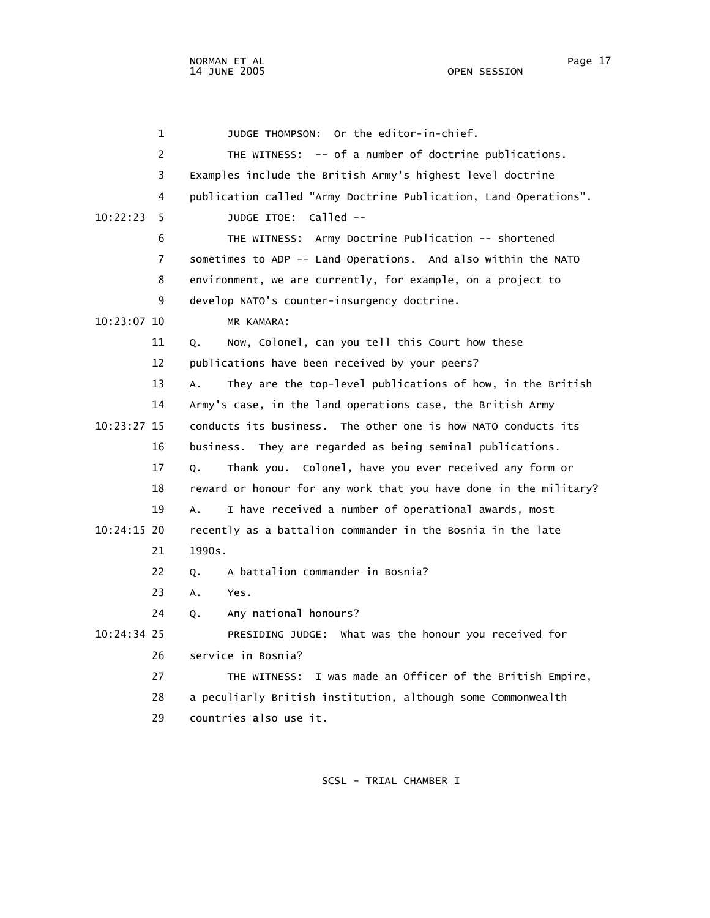1 JUDGE THOMPSON: Or the editor-in-chief. 2 THE WITNESS: -- of a number of doctrine publications. 3 Examples include the British Army's highest level doctrine 4 publication called "Army Doctrine Publication, Land Operations". 10:22:23 5 JUDGE ITOE: Called -- 6 THE WITNESS: Army Doctrine Publication -- shortened 7 sometimes to ADP -- Land Operations. And also within the NATO 8 environment, we are currently, for example, on a project to 9 develop NATO's counter-insurgency doctrine. 10:23:07 10 MR KAMARA: 11 Q. Now, Colonel, can you tell this Court how these 12 publications have been received by your peers? 13 A. They are the top-level publications of how, in the British 14 Army's case, in the land operations case, the British Army 10:23:27 15 conducts its business. The other one is how NATO conducts its 16 business. They are regarded as being seminal publications. 17 Q. Thank you. Colonel, have you ever received any form or 18 reward or honour for any work that you have done in the military? 19 A. I have received a number of operational awards, most 10:24:15 20 recently as a battalion commander in the Bosnia in the late 21 1990s. 22 O. A battalion commander in Bosnia? 23 A. Yes. 24 Q. Any national honours? 10:24:34 25 PRESIDING JUDGE: What was the honour you received for 26 service in Bosnia? 27 THE WITNESS: I was made an Officer of the British Empire, 28 a peculiarly British institution, although some Commonwealth 29 countries also use it.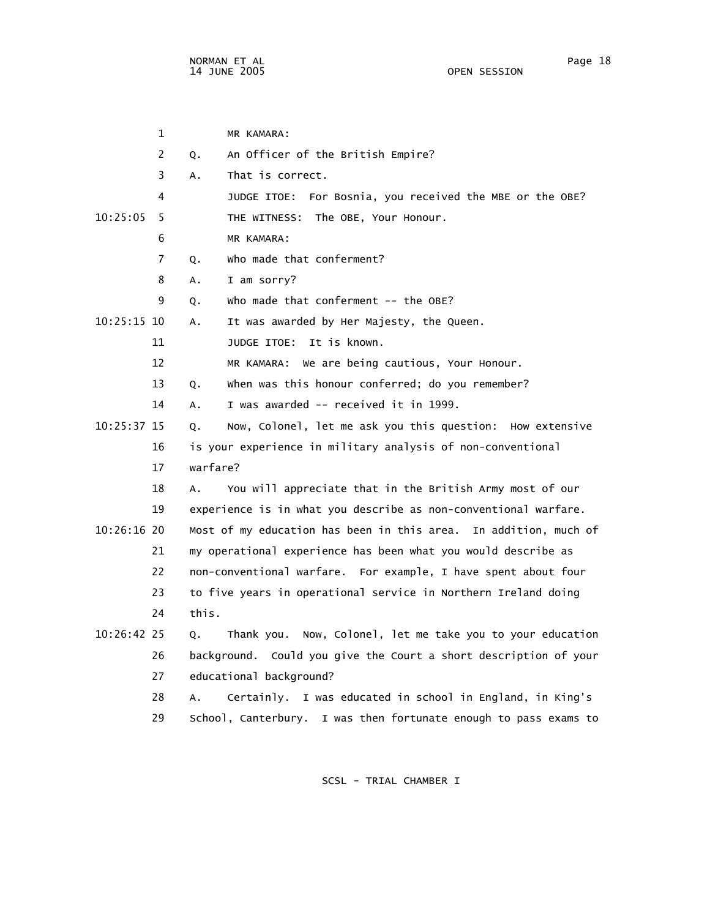|               | 1  |          | MR KAMARA:                                                       |
|---------------|----|----------|------------------------------------------------------------------|
|               | 2  | Q.       | An Officer of the British Empire?                                |
|               | 3  | Α.       | That is correct.                                                 |
|               | 4  |          | JUDGE ITOE: For Bosnia, you received the MBE or the OBE?         |
| 10:25:05      | 5  |          | THE WITNESS: The OBE, Your Honour.                               |
|               | 6  |          | MR KAMARA:                                                       |
|               | 7  | Q.       | who made that conferment?                                        |
|               | 8  | А.       | I am sorry?                                                      |
|               | 9  | Q.       | Who made that conferment $-$ - the OBE?                          |
| $10:25:15$ 10 |    | А.       | It was awarded by Her Majesty, the Queen.                        |
|               | 11 |          | JUDGE ITOE: It is known.                                         |
|               | 12 |          | MR KAMARA: We are being cautious, Your Honour.                   |
|               | 13 | Q.       | when was this honour conferred; do you remember?                 |
|               | 14 | Α.       | I was awarded -- received it in 1999.                            |
| 10:25:37 15   |    | Q.       | Now, Colonel, let me ask you this question: How extensive        |
|               | 16 |          | is your experience in military analysis of non-conventional      |
|               | 17 | warfare? |                                                                  |
|               | 18 | A.       | You will appreciate that in the British Army most of our         |
|               | 19 |          | experience is in what you describe as non-conventional warfare.  |
| $10:26:16$ 20 |    |          | Most of my education has been in this area. In addition, much of |
|               | 21 |          | my operational experience has been what you would describe as    |
|               | 22 |          | non-conventional warfare. For example, I have spent about four   |
|               | 23 |          | to five years in operational service in Northern Ireland doing   |
|               | 24 | this.    |                                                                  |
| 10:26:42 25   |    | Q.       | Thank you. Now, Colonel, let me take you to your education       |
|               | 26 |          | background. Could you give the Court a short description of your |
|               | 27 |          | educational background?                                          |
|               | 28 | А.       | Certainly. I was educated in school in England, in King's        |
|               | 29 |          | School, Canterbury. I was then fortunate enough to pass exams to |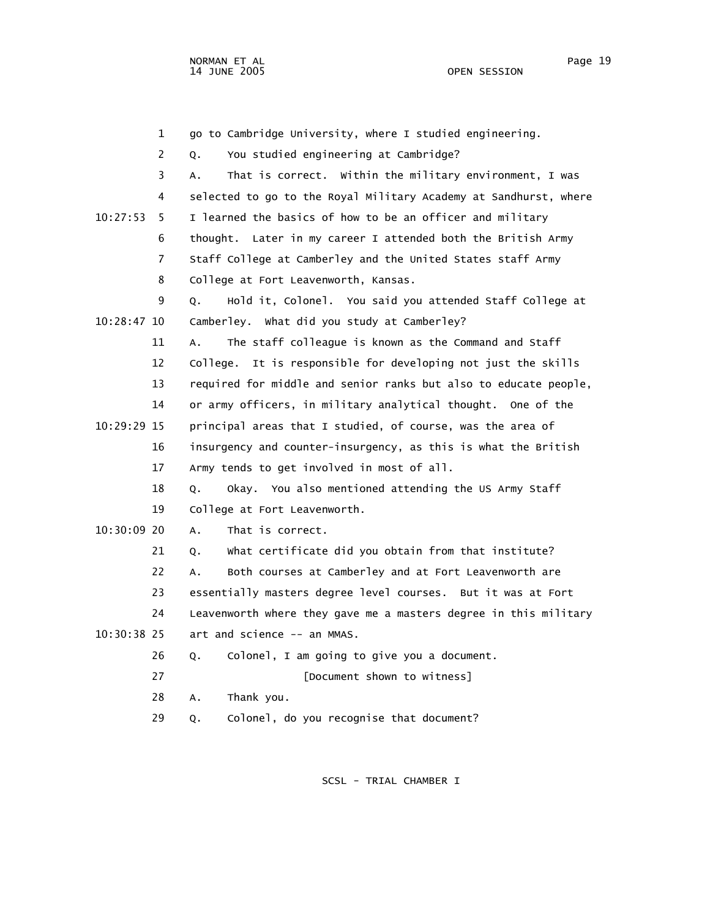1 go to Cambridge University, where I studied engineering. 2 Q. You studied engineering at Cambridge? 3 A. That is correct. Within the military environment, I was 4 selected to go to the Royal Military Academy at Sandhurst, where 10:27:53 5 I learned the basics of how to be an officer and military 6 thought. Later in my career I attended both the British Army 7 Staff College at Camberley and the United States staff Army 8 College at Fort Leavenworth, Kansas. 9 Q. Hold it, Colonel. You said you attended Staff College at 10:28:47 10 Camberley. What did you study at Camberley? 11 A. The staff colleague is known as the Command and Staff 12 College. It is responsible for developing not just the skills 13 required for middle and senior ranks but also to educate people, 14 or army officers, in military analytical thought. One of the 10:29:29 15 principal areas that I studied, of course, was the area of 16 insurgency and counter-insurgency, as this is what the British 17 Army tends to get involved in most of all. 18 Q. Okay. You also mentioned attending the US Army Staff 19 College at Fort Leavenworth. 10:30:09 20 A. That is correct. 21 0. What certificate did you obtain from that institute? 22 A. Both courses at Camberley and at Fort Leavenworth are 23 essentially masters degree level courses. But it was at Fort 24 Leavenworth where they gave me a masters degree in this military 10:30:38 25 art and science -- an MMAS. 26 Q. Colonel, I am going to give you a document. 27 *Document shown to witness*] 28 A. Thank you. 29 Q. Colonel, do you recognise that document?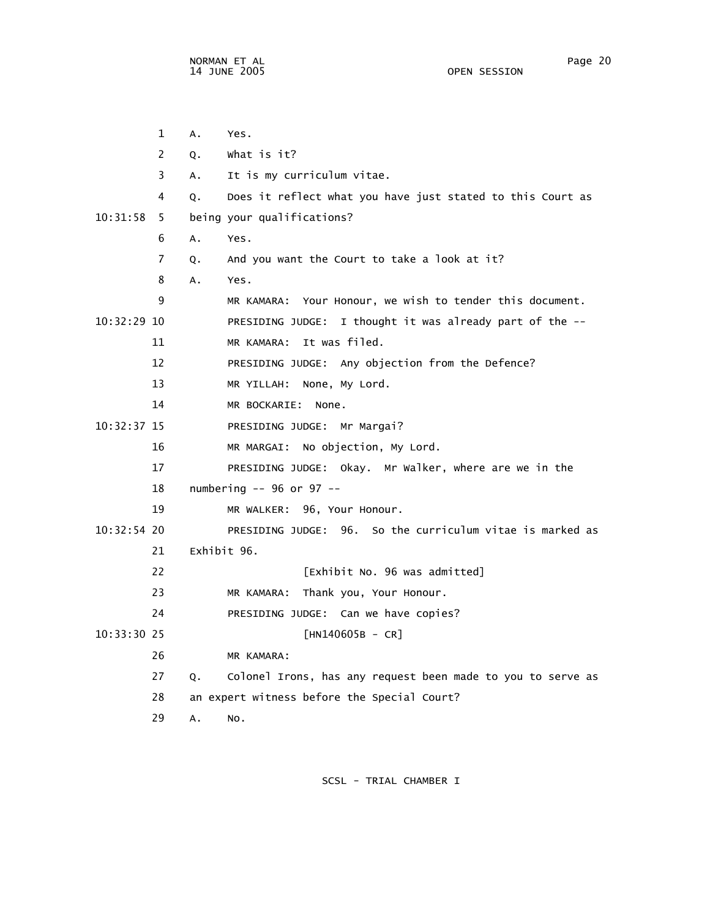|               | 1              | А.          | Yes.                                                        |
|---------------|----------------|-------------|-------------------------------------------------------------|
|               | 2              | Q.          | what is it?                                                 |
|               | 3              | A.          | It is my curriculum vitae.                                  |
|               | 4              | Q.          | Does it reflect what you have just stated to this Court as  |
| 10:31:58      | 5              |             | being your qualifications?                                  |
|               | 6              | A.          | Yes.                                                        |
|               | $\overline{7}$ | Q.          | And you want the Court to take a look at it?                |
|               | 8              | A.          | Yes.                                                        |
|               | 9              |             | MR KAMARA: Your Honour, we wish to tender this document.    |
| $10:32:29$ 10 |                |             | PRESIDING JUDGE: I thought it was already part of the --    |
|               | 11             |             | MR KAMARA: It was filed.                                    |
|               | 12             |             | PRESIDING JUDGE: Any objection from the Defence?            |
|               | 13             |             | MR YILLAH: None, My Lord.                                   |
|               | 14             |             | MR BOCKARIE:<br>None.                                       |
| $10:32:37$ 15 |                |             | PRESIDING JUDGE: Mr Margai?                                 |
|               | 16             |             | MR MARGAI: No objection, My Lord.                           |
|               | 17             |             | PRESIDING JUDGE: Okay. Mr Walker, where are we in the       |
|               | 18             |             | numbering -- 96 or 97 --                                    |
|               | 19             |             | MR WALKER: 96, Your Honour.                                 |
| $10:32:54$ 20 |                |             | PRESIDING JUDGE: 96. So the curriculum vitae is marked as   |
|               | 21             | Exhibit 96. |                                                             |
|               | 22             |             | [Exhibit No. 96 was admitted]                               |
|               | 23             |             | MR KAMARA: Thank you, Your Honour.                          |
|               | 24             |             | PRESIDING JUDGE: Can we have copies?                        |
| 10:33:30 25   |                |             | $[HM140605B - CR]$                                          |
|               | 26             |             | MR KAMARA:                                                  |
|               | 27             | Q.          | Colonel Irons, has any request been made to you to serve as |
|               | 28             |             | an expert witness before the Special Court?                 |
|               | 29             | А.          | NO.                                                         |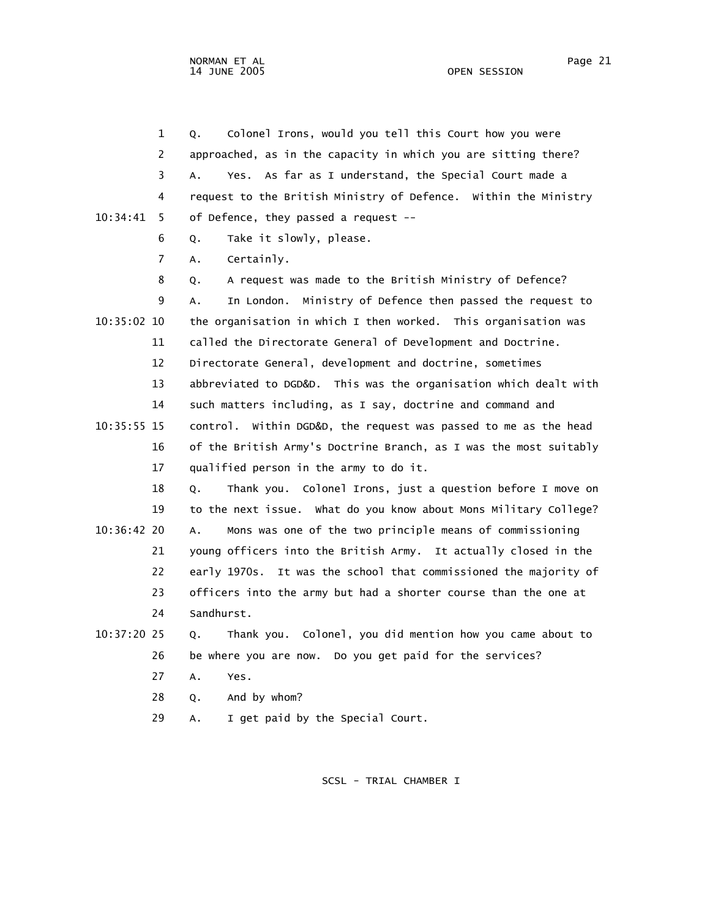NORMAN ET AL Page 21

 1 Q. Colonel Irons, would you tell this Court how you were 2 approached, as in the capacity in which you are sitting there? 3 A. Yes. As far as I understand, the Special Court made a 4 request to the British Ministry of Defence. Within the Ministry 10:34:41 5 of Defence, they passed a request -- 6 Q. Take it slowly, please. 7 A. Certainly. 8 Q. A request was made to the British Ministry of Defence? 9 A. In London. Ministry of Defence then passed the request to 10:35:02 10 the organisation in which I then worked. This organisation was 11 called the Directorate General of Development and Doctrine. 12 Directorate General, development and doctrine, sometimes 13 abbreviated to DGD&D. This was the organisation which dealt with 14 such matters including, as I say, doctrine and command and 10:35:55 15 control. Within DGD&D, the request was passed to me as the head 16 of the British Army's Doctrine Branch, as I was the most suitably 17 qualified person in the army to do it. 18 Q. Thank you. Colonel Irons, just a question before I move on 19 to the next issue. What do you know about Mons Military College? 10:36:42 20 A. Mons was one of the two principle means of commissioning 21 young officers into the British Army. It actually closed in the 22 early 1970s. It was the school that commissioned the majority of 23 officers into the army but had a shorter course than the one at 24 Sandhurst. 10:37:20 25 Q. Thank you. Colonel, you did mention how you came about to 26 be where you are now. Do you get paid for the services? 27 A. Yes. 28 Q. And by whom?

29 A. I get paid by the Special Court.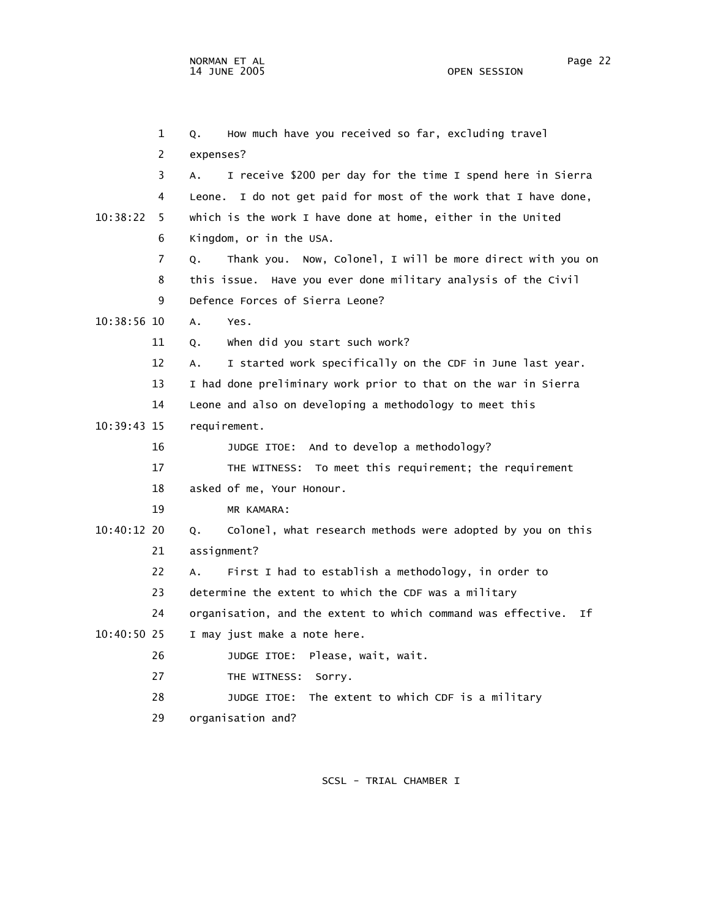1 Q. How much have you received so far, excluding travel 2 expenses? 3 A. I receive \$200 per day for the time I spend here in Sierra 4 Leone. I do not get paid for most of the work that I have done, 10:38:22 5 which is the work I have done at home, either in the United 6 Kingdom, or in the USA. 7 Q. Thank you. Now, Colonel, I will be more direct with you on 8 this issue. Have you ever done military analysis of the Civil 9 Defence Forces of Sierra Leone? 10:38:56 10 A. Yes. 11 Q. When did you start such work? 12 A. I started work specifically on the CDF in June last year. 13 I had done preliminary work prior to that on the war in Sierra 14 Leone and also on developing a methodology to meet this 10:39:43 15 requirement. 16 JUDGE ITOE: And to develop a methodology? 17 THE WITNESS: To meet this requirement; the requirement 18 asked of me, Your Honour. 19 MR KAMARA: 10:40:12 20 Q. Colonel, what research methods were adopted by you on this 21 assignment? 22 A. First I had to establish a methodology, in order to 23 determine the extent to which the CDF was a military 24 organisation, and the extent to which command was effective. If 10:40:50 25 I may just make a note here. 26 JUDGE ITOE: Please, wait, wait. 27 THE WITNESS: Sorry. 28 JUDGE ITOE: The extent to which CDF is a military 29 organisation and?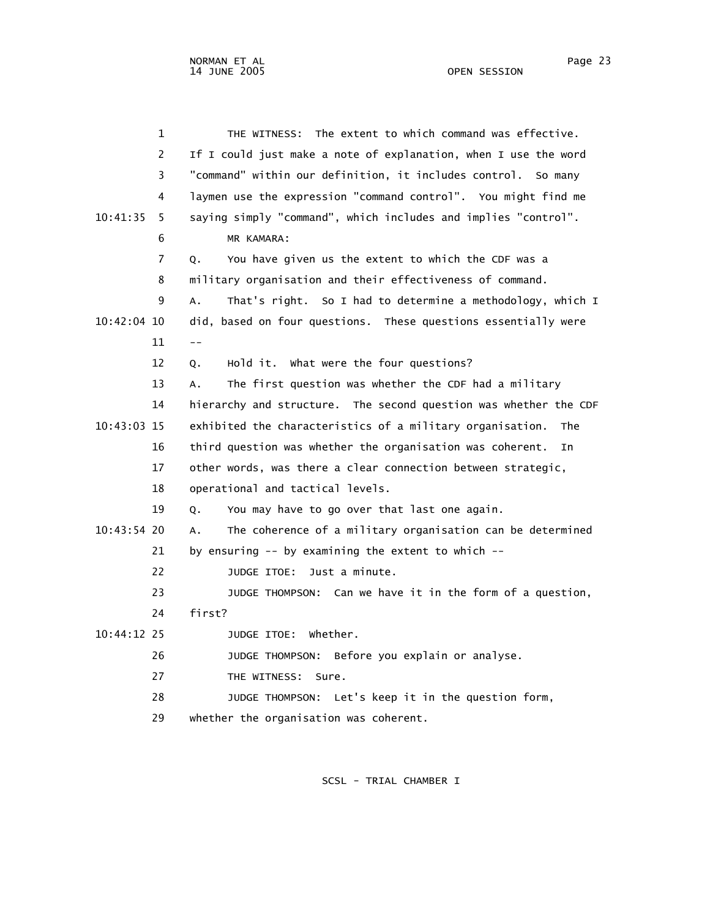|               | $\mathbf 1$ | THE WITNESS: The extent to which command was effective.          |
|---------------|-------------|------------------------------------------------------------------|
|               | 2           | If I could just make a note of explanation, when I use the word  |
|               | 3           | "command" within our definition, it includes control. So many    |
|               | 4           | laymen use the expression "command control". You might find me   |
| 10:41:35      | 5.          | saying simply "command", which includes and implies "control".   |
|               | 6           | MR KAMARA:                                                       |
|               | 7           | You have given us the extent to which the CDF was a<br>Q.        |
|               | 8           | military organisation and their effectiveness of command.        |
|               | 9           | That's right. So I had to determine a methodology, which I<br>A. |
| 10:42:04 10   |             | did, based on four questions. These questions essentially were   |
|               | 11          | $- -$                                                            |
|               | 12          | Hold it. What were the four questions?<br>Q.                     |
|               | 13          | The first question was whether the CDF had a military<br>А.      |
|               | 14          | hierarchy and structure. The second question was whether the CDF |
| 10:43:03 15   |             | exhibited the characteristics of a military organisation.<br>The |
|               | 16          | third question was whether the organisation was coherent.<br>In  |
|               | 17          | other words, was there a clear connection between strategic,     |
|               | 18          | operational and tactical levels.                                 |
|               | 19          | You may have to go over that last one again.<br>Q.               |
| 10:43:54 20   |             | The coherence of a military organisation can be determined<br>А. |
|               | 21          | by ensuring $-$ by examining the extent to which $-$             |
|               | 22          | Just a minute.<br>JUDGE ITOE:                                    |
|               | 23          | JUDGE THOMPSON: Can we have it in the form of a question,        |
|               | 24          | first?                                                           |
| $10:44:12$ 25 |             | JUDGE ITOE: Whether.                                             |
|               | 26          | JUDGE THOMPSON: Before you explain or analyse.                   |
|               | 27          | THE WITNESS: Sure.                                               |
|               | 28          | JUDGE THOMPSON: Let's keep it in the question form,              |
|               | 29          | whether the organisation was coherent.                           |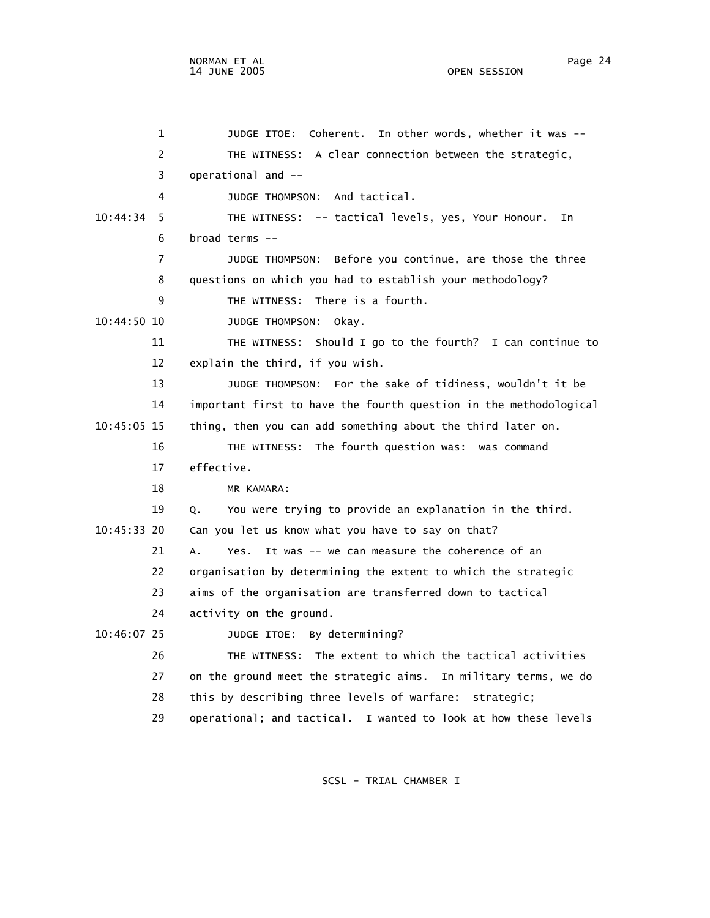1 JUDGE ITOE: Coherent. In other words, whether it was -- 2 THE WITNESS: A clear connection between the strategic, 3 operational and -- 4 JUDGE THOMPSON: And tactical. 10:44:34 5 THE WITNESS: -- tactical levels, yes, Your Honour. In 6 broad terms -- 7 JUDGE THOMPSON: Before you continue, are those the three 8 questions on which you had to establish your methodology? 9 THE WITNESS: There is a fourth. 10:44:50 10 JUDGE THOMPSON: Okay. 11 THE WITNESS: Should I go to the fourth? I can continue to 12 explain the third, if you wish. 13 JUDGE THOMPSON: For the sake of tidiness, wouldn't it be 14 important first to have the fourth question in the methodological 10:45:05 15 thing, then you can add something about the third later on. 16 THE WITNESS: The fourth question was: was command 17 effective. 18 MR KAMARA: 19 Q. You were trying to provide an explanation in the third. 10:45:33 20 Can you let us know what you have to say on that? 21 A. Yes. It was -- we can measure the coherence of an 22 organisation by determining the extent to which the strategic 23 aims of the organisation are transferred down to tactical 24 activity on the ground. 10:46:07 25 JUDGE ITOE: By determining? 26 THE WITNESS: The extent to which the tactical activities 27 on the ground meet the strategic aims. In military terms, we do 28 this by describing three levels of warfare: strategic; 29 operational; and tactical. I wanted to look at how these levels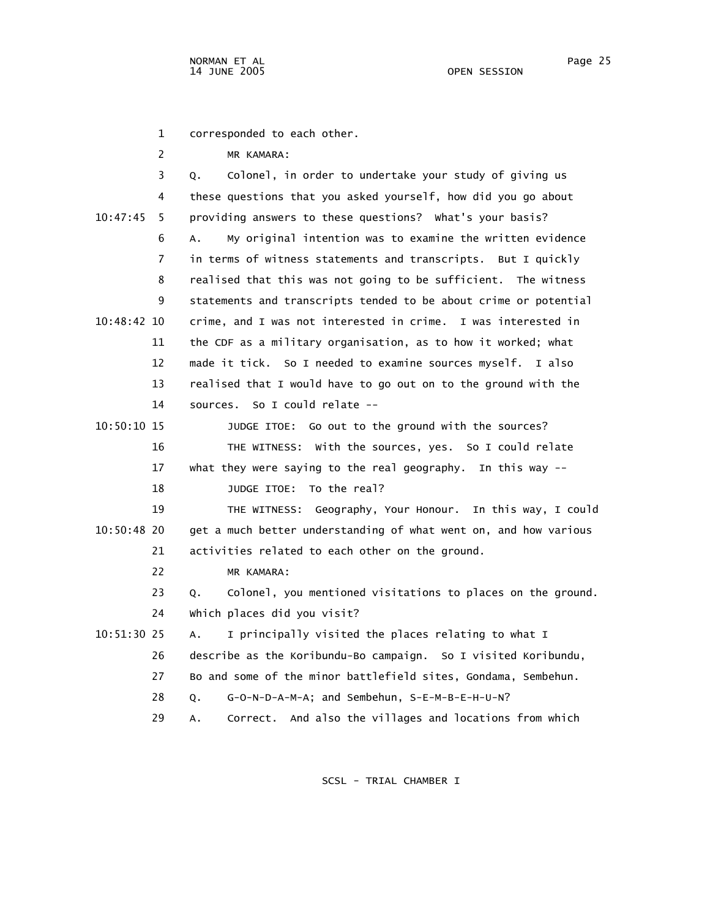1 corresponded to each other.

2 MR KAMARA:

|               | 3  | Colonel, in order to undertake your study of giving us<br>Q.      |
|---------------|----|-------------------------------------------------------------------|
|               | 4  | these questions that you asked yourself, how did you go about     |
| 10:47:45      | 5  | providing answers to these questions? What's your basis?          |
|               | 6  | My original intention was to examine the written evidence<br>Α.   |
|               | 7  | in terms of witness statements and transcripts. But I quickly     |
|               | 8  | realised that this was not going to be sufficient. The witness    |
|               | 9  | statements and transcripts tended to be about crime or potential  |
| $10:48:42$ 10 |    | crime, and I was not interested in crime. I was interested in     |
|               | 11 | the CDF as a military organisation, as to how it worked; what     |
|               | 12 | made it tick. So I needed to examine sources myself. I also       |
|               | 13 | realised that I would have to go out on to the ground with the    |
|               | 14 | sources. So I could relate --                                     |
| $10:50:10$ 15 |    | JUDGE ITOE: Go out to the ground with the sources?                |
|               | 16 | THE WITNESS: With the sources, yes. So I could relate             |
|               | 17 | what they were saying to the real geography. In this way --       |
|               | 18 | To the real?<br>JUDGE ITOE:                                       |
|               | 19 | THE WITNESS: Geography, Your Honour. In this way, I could         |
| 10:50:48 20   |    | get a much better understanding of what went on, and how various  |
|               | 21 | activities related to each other on the ground.                   |
|               | 22 | MR KAMARA:                                                        |
|               | 23 | Colonel, you mentioned visitations to places on the ground.<br>Q. |
|               | 24 | Which places did you visit?                                       |
| 10:51:30 25   |    | I principally visited the places relating to what I<br>Α.         |
|               | 26 | describe as the Koribundu-Bo campaign. So I visited Koribundu,    |
|               | 27 | Bo and some of the minor battlefield sites, Gondama, Sembehun.    |
|               | 28 | G-O-N-D-A-M-A; and Sembehun, S-E-M-B-E-H-U-N?<br>Q.               |
|               | 29 | Correct. And also the villages and locations from which<br>А.     |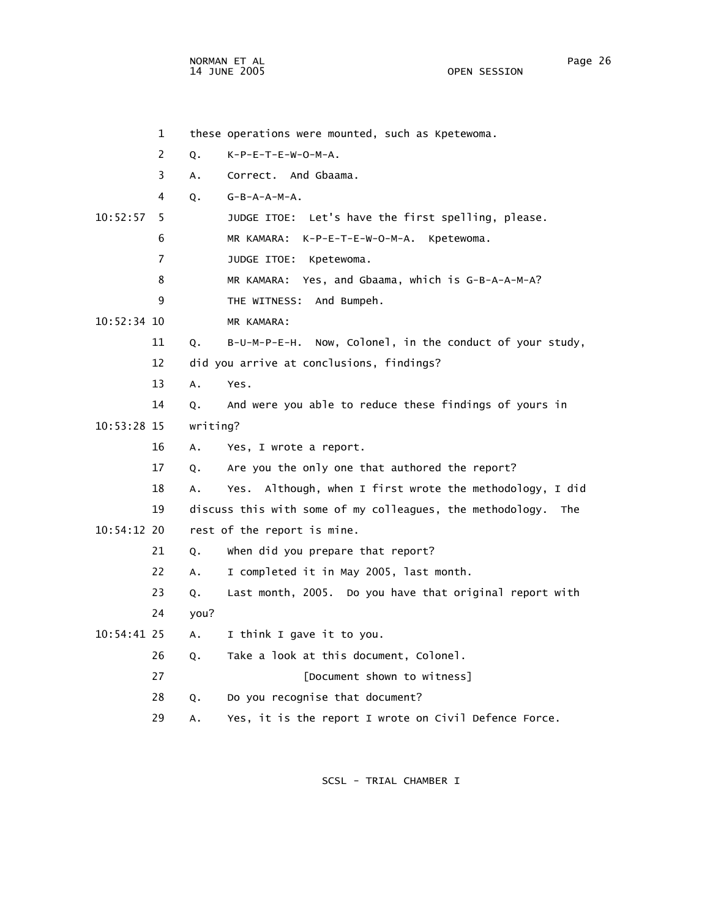NORMAN ET AL Page 26

OPEN SESSION

 1 these operations were mounted, such as Kpetewoma. 2 Q. K-P-E-T-E-W-O-M-A. 3 A. Correct. And Gbaama. 4 Q. G-B-A-A-M-A. 10:52:57 5 JUDGE ITOE: Let's have the first spelling, please. 6 MR KAMARA: K-P-E-T-E-W-O-M-A. Kpetewoma. 7 JUDGE ITOE: Kpetewoma. 8 MR KAMARA: Yes, and Gbaama, which is G-B-A-A-M-A? 9 THE WITNESS: And Bumpeh. 10:52:34 10 MR KAMARA: 11 Q. B-U-M-P-E-H. Now, Colonel, in the conduct of your study, 12 did you arrive at conclusions, findings? 13 A. Yes. 14 Q. And were you able to reduce these findings of yours in 10:53:28 15 writing? 16 A. Yes, I wrote a report. 17 Q. Are you the only one that authored the report? 18 A. Yes. Although, when I first wrote the methodology, I did 19 discuss this with some of my colleagues, the methodology. The 10:54:12 20 rest of the report is mine. 21 Q. When did you prepare that report? 22 A. I completed it in May 2005, last month. 23 Q. Last month, 2005. Do you have that original report with 24 you? 10:54:41 25 A. I think I gave it to you. 26 Q. Take a look at this document, Colonel. 27 **EDocument shown to witness**] 28 Q. Do you recognise that document? 29 A. Yes, it is the report I wrote on Civil Defence Force.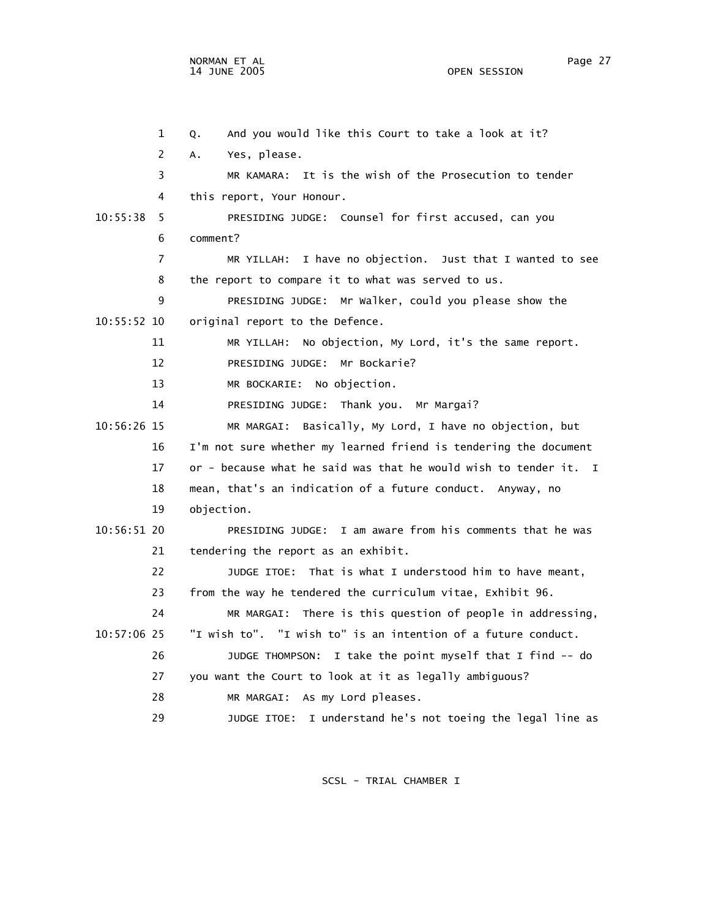1 Q. And you would like this Court to take a look at it? 2 A. Yes, please. 3 MR KAMARA: It is the wish of the Prosecution to tender 4 this report, Your Honour. 10:55:38 5 PRESIDING JUDGE: Counsel for first accused, can you 6 comment? 7 MR YILLAH: I have no objection. Just that I wanted to see 8 the report to compare it to what was served to us. 9 PRESIDING JUDGE: Mr Walker, could you please show the 10:55:52 10 original report to the Defence. 11 MR YILLAH: No objection, My Lord, it's the same report. 12 PRESIDING JUDGE: Mr Bockarie? 13 MR BOCKARIE: No objection. 14 PRESIDING JUDGE: Thank you. Mr Margai? 10:56:26 15 MR MARGAI: Basically, My Lord, I have no objection, but 16 I'm not sure whether my learned friend is tendering the document 17 or - because what he said was that he would wish to tender it. I 18 mean, that's an indication of a future conduct. Anyway, no 19 objection. 10:56:51 20 PRESIDING JUDGE: I am aware from his comments that he was 21 tendering the report as an exhibit. 22 JUDGE ITOE: That is what I understood him to have meant, 23 from the way he tendered the curriculum vitae, Exhibit 96. 24 MR MARGAI: There is this question of people in addressing, 10:57:06 25 "I wish to". "I wish to" is an intention of a future conduct. 26 JUDGE THOMPSON: I take the point myself that I find -- do 27 you want the Court to look at it as legally ambiguous? 28 MR MARGAI: As my Lord pleases. 29 JUDGE ITOE: I understand he's not toeing the legal line as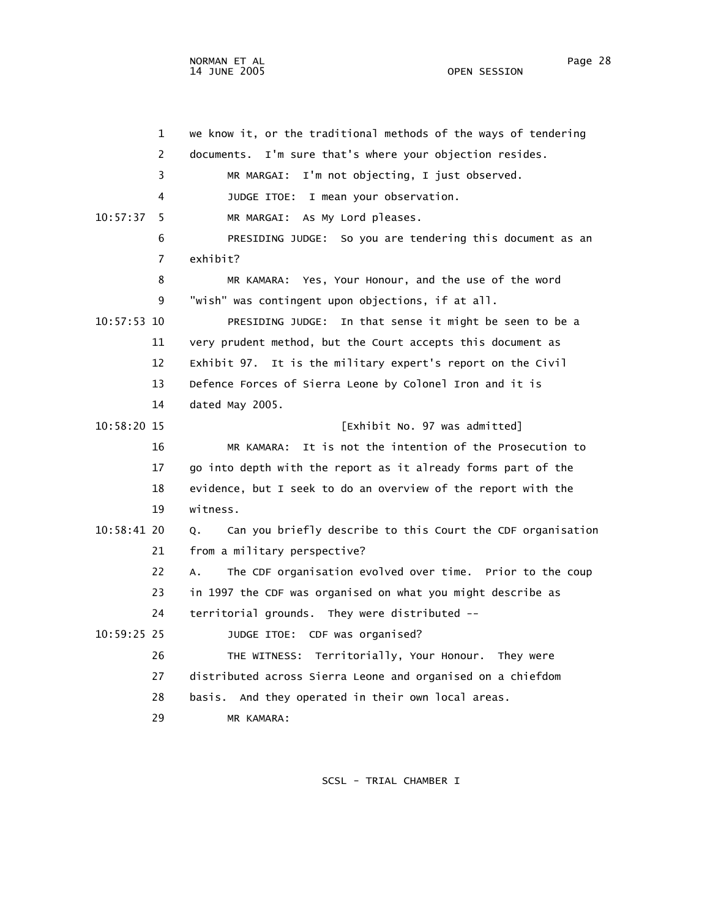1 we know it, or the traditional methods of the ways of tendering 2 documents. I'm sure that's where your objection resides. 3 MR MARGAI: I'm not objecting, I just observed. 4 JUDGE ITOE: I mean your observation. 10:57:37 5 MR MARGAI: As My Lord pleases. 6 PRESIDING JUDGE: So you are tendering this document as an 7 exhibit? 8 MR KAMARA: Yes, Your Honour, and the use of the word 9 "wish" was contingent upon objections, if at all. 10:57:53 10 PRESIDING JUDGE: In that sense it might be seen to be a 11 very prudent method, but the Court accepts this document as 12 Exhibit 97. It is the military expert's report on the Civil 13 Defence Forces of Sierra Leone by Colonel Iron and it is 14 dated May 2005. 10:58:20 15 [Exhibit No. 97 was admitted] 16 MR KAMARA: It is not the intention of the Prosecution to 17 go into depth with the report as it already forms part of the 18 evidence, but I seek to do an overview of the report with the 19 witness. 10:58:41 20 Q. Can you briefly describe to this Court the CDF organisation 21 from a military perspective? 22 A. The CDF organisation evolved over time. Prior to the coup 23 in 1997 the CDF was organised on what you might describe as 24 territorial grounds. They were distributed -- 10:59:25 25 JUDGE ITOE: CDF was organised? 26 THE WITNESS: Territorially, Your Honour. They were 27 distributed across Sierra Leone and organised on a chiefdom 28 basis. And they operated in their own local areas. 29 MR KAMARA: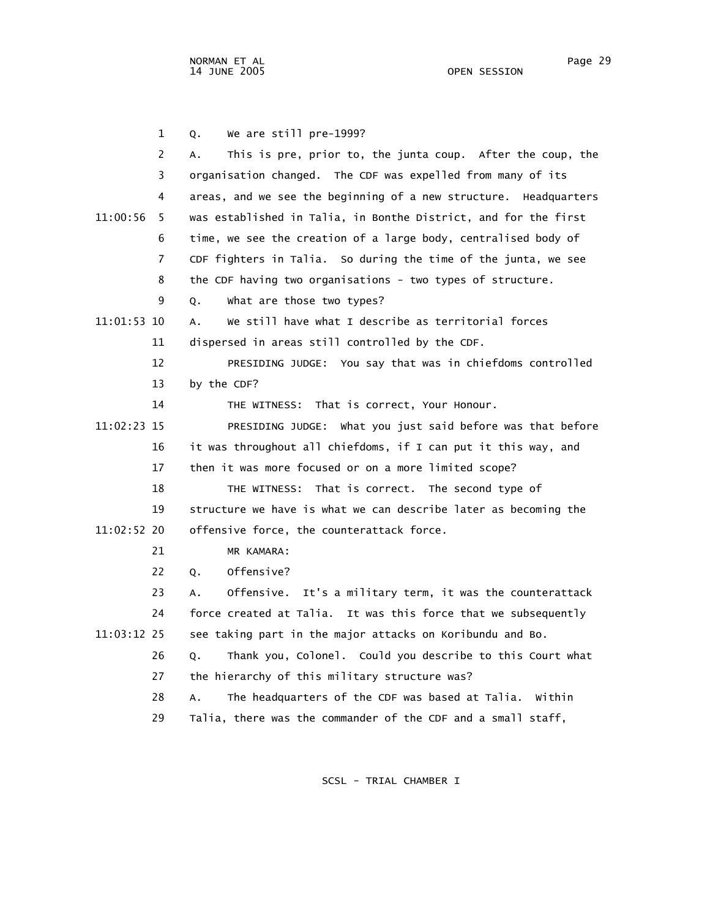1 Q. We are still pre-1999? 2 A. This is pre, prior to, the junta coup. After the coup, the 3 organisation changed. The CDF was expelled from many of its 4 areas, and we see the beginning of a new structure. Headquarters 11:00:56 5 was established in Talia, in Bonthe District, and for the first 6 time, we see the creation of a large body, centralised body of 7 CDF fighters in Talia. So during the time of the junta, we see 8 the CDF having two organisations - two types of structure. 9 Q. What are those two types? 11:01:53 10 A. We still have what I describe as territorial forces 11 dispersed in areas still controlled by the CDF. 12 PRESIDING JUDGE: You say that was in chiefdoms controlled 13 by the CDF? 14 THE WITNESS: That is correct, Your Honour. 11:02:23 15 PRESIDING JUDGE: What you just said before was that before 16 it was throughout all chiefdoms, if I can put it this way, and 17 then it was more focused or on a more limited scope? 18 THE WITNESS: That is correct. The second type of 19 structure we have is what we can describe later as becoming the 11:02:52 20 offensive force, the counterattack force. 21 MR KAMARA: 22 Q. Offensive? 23 A. Offensive. It's a military term, it was the counterattack 24 force created at Talia. It was this force that we subsequently 11:03:12 25 see taking part in the major attacks on Koribundu and Bo. 26 Q. Thank you, Colonel. Could you describe to this Court what 27 the hierarchy of this military structure was? 28 A. The headquarters of the CDF was based at Talia. Within 29 Talia, there was the commander of the CDF and a small staff,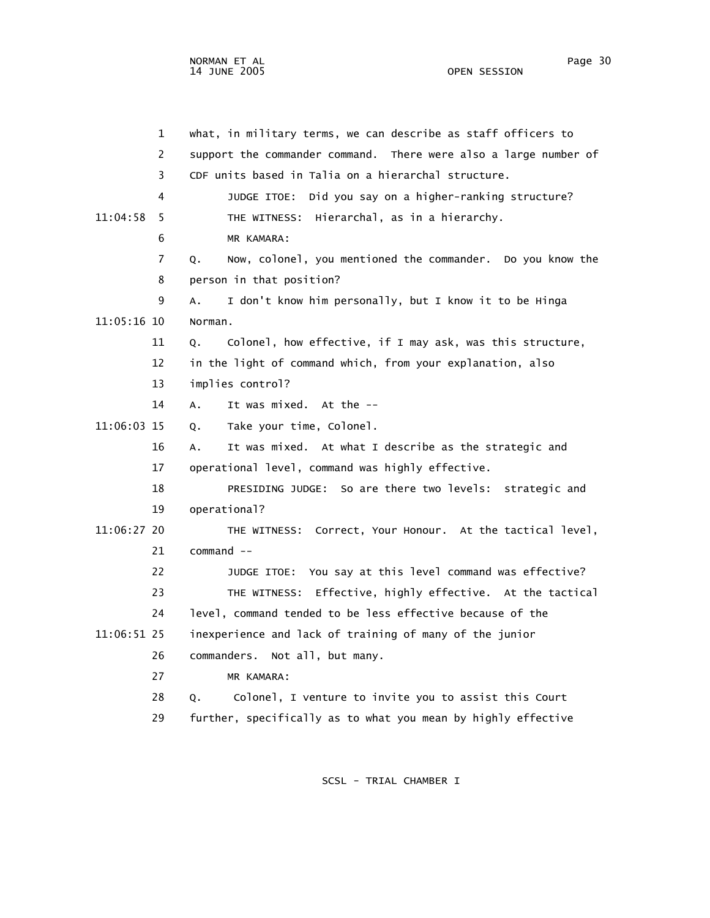1 what, in military terms, we can describe as staff officers to 2 support the commander command. There were also a large number of 3 CDF units based in Talia on a hierarchal structure. 4 JUDGE ITOE: Did you say on a higher-ranking structure? 11:04:58 5 THE WITNESS: Hierarchal, as in a hierarchy. 6 MR KAMARA: 7 Q. Now, colonel, you mentioned the commander. Do you know the 8 person in that position? 9 A. I don't know him personally, but I know it to be Hinga 11:05:16 10 Norman. 11 Q. Colonel, how effective, if I may ask, was this structure, 12 in the light of command which, from your explanation, also 13 implies control? 14 A. It was mixed. At the -- 11:06:03 15 Q. Take your time, Colonel. 16 A. It was mixed. At what I describe as the strategic and 17 operational level, command was highly effective. 18 PRESIDING JUDGE: So are there two levels: strategic and 19 operational? 11:06:27 20 THE WITNESS: Correct, Your Honour. At the tactical level, 21 command -- 22 JUDGE ITOE: You say at this level command was effective? 23 THE WITNESS: Effective, highly effective. At the tactical 24 level, command tended to be less effective because of the 11:06:51 25 inexperience and lack of training of many of the junior 26 commanders. Not all, but many. 27 MR KAMARA: 28 Q. Colonel, I venture to invite you to assist this Court 29 further, specifically as to what you mean by highly effective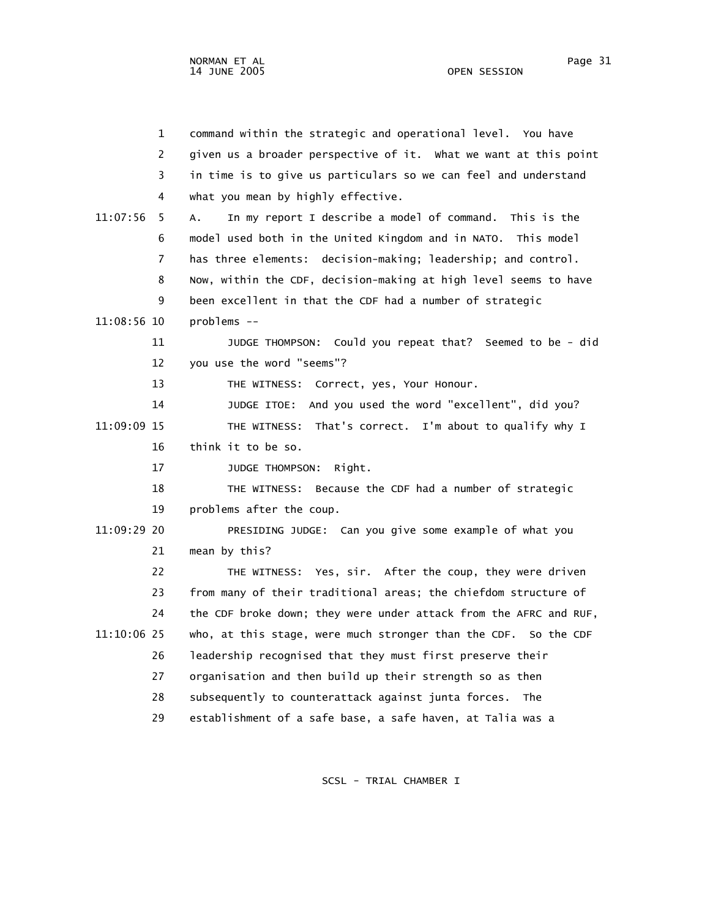| $\mathbf{1}$  | command within the strategic and operational level. You have      |
|---------------|-------------------------------------------------------------------|
| 2             | given us a broader perspective of it. What we want at this point  |
| 3             | in time is to give us particulars so we can feel and understand   |
| 4             | what you mean by highly effective.                                |
| 11:07:56<br>5 | In my report I describe a model of command. This is the<br>А.     |
| 6             | model used both in the United Kingdom and in NATO. This model     |
| 7             | has three elements: decision-making; leadership; and control.     |
| 8             | Now, within the CDF, decision-making at high level seems to have  |
| 9             | been excellent in that the CDF had a number of strategic          |
| 11:08:56 10   | problems --                                                       |
| 11            | JUDGE THOMPSON: Could you repeat that? Seemed to be - did         |
| 12            | you use the word "seems"?                                         |
| 13            | THE WITNESS: Correct, yes, Your Honour.                           |
| 14            | And you used the word "excellent", did you?<br>JUDGE ITOE:        |
| 11:09:09 15   | THE WITNESS: That's correct. I'm about to qualify why I           |
| 16            | think it to be so.                                                |
| 17            | Right.<br>JUDGE THOMPSON:                                         |
| 18            | THE WITNESS: Because the CDF had a number of strategic            |
| 19            | problems after the coup.                                          |
| 11:09:29 20   | PRESIDING JUDGE: Can you give some example of what you            |
| 21            | mean by this?                                                     |
| 22            | THE WITNESS: Yes, sir. After the coup, they were driven           |
| 23            | from many of their traditional areas; the chiefdom structure of   |
| 24            | the CDF broke down; they were under attack from the AFRC and RUF, |
| 11:10:06 25   | who, at this stage, were much stronger than the CDF. So the CDF   |
| 26            | leadership recognised that they must first preserve their         |
| 27            | organisation and then build up their strength so as then          |
| 28            | subsequently to counterattack against junta forces. The           |
| 29            | establishment of a safe base, a safe haven, at Talia was a        |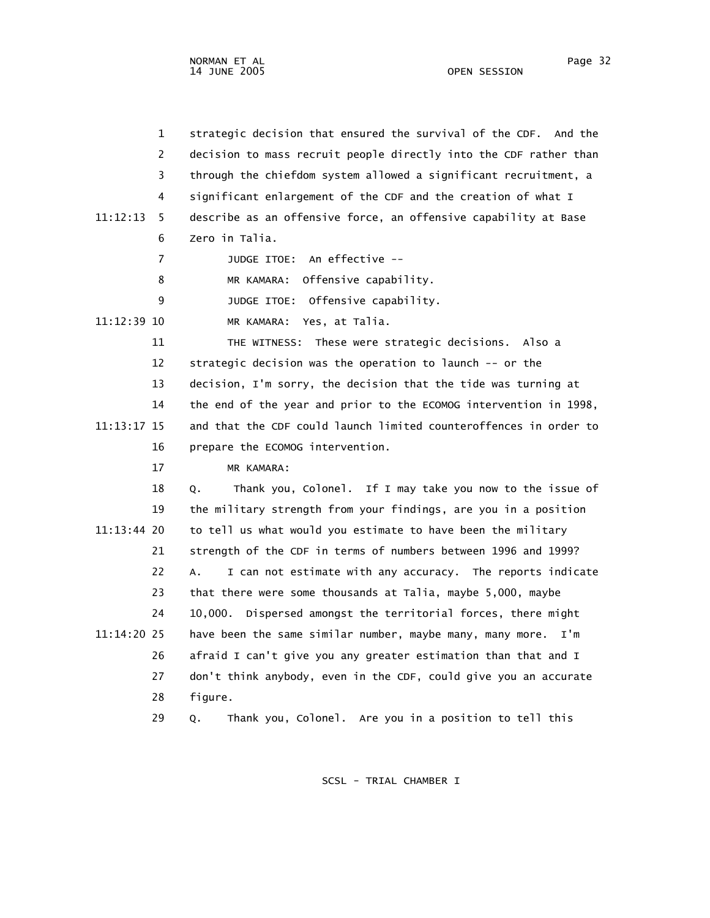1 strategic decision that ensured the survival of the CDF. And the 2 decision to mass recruit people directly into the CDF rather than 3 through the chiefdom system allowed a significant recruitment, a 4 significant enlargement of the CDF and the creation of what I 11:12:13 5 describe as an offensive force, an offensive capability at Base 6 Zero in Talia. 7 JUDGE ITOE: An effective -- 8 MR KAMARA: Offensive capability. 9 JUDGE ITOE: Offensive capability. 11:12:39 10 MR KAMARA: Yes, at Talia. 11 THE WITNESS: These were strategic decisions. Also a 12 strategic decision was the operation to launch -- or the 13 decision, I'm sorry, the decision that the tide was turning at 14 the end of the year and prior to the ECOMOG intervention in 1998, 11:13:17 15 and that the CDF could launch limited counteroffences in order to 16 prepare the ECOMOG intervention. 17 MR KAMARA: 18 Q. Thank you, Colonel. If I may take you now to the issue of 19 the military strength from your findings, are you in a position 11:13:44 20 to tell us what would you estimate to have been the military 21 strength of the CDF in terms of numbers between 1996 and 1999? 22 A. I can not estimate with any accuracy. The reports indicate 23 that there were some thousands at Talia, maybe 5,000, maybe 24 10,000. Dispersed amongst the territorial forces, there might 11:14:20 25 have been the same similar number, maybe many, many more. I'm 26 afraid I can't give you any greater estimation than that and I 27 don't think anybody, even in the CDF, could give you an accurate 28 figure. 29 Q. Thank you, Colonel. Are you in a position to tell this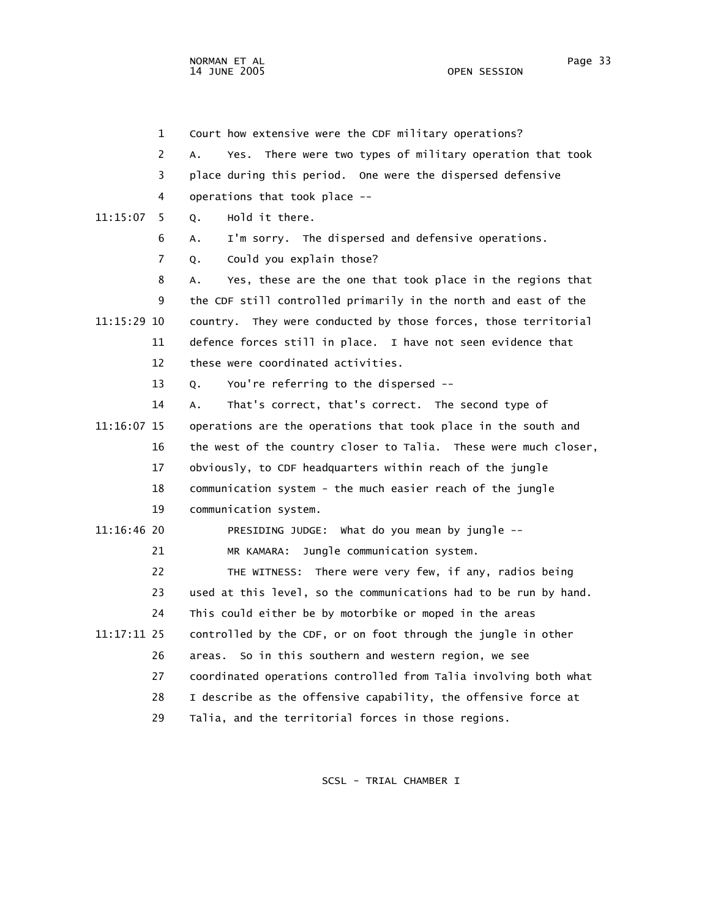1 Court how extensive were the CDF military operations? 2 A. Yes. There were two types of military operation that took 3 place during this period. One were the dispersed defensive 4 operations that took place -- 11:15:07 5 Q. Hold it there. 6 A. I'm sorry. The dispersed and defensive operations. 7 Q. Could you explain those? 8 A. Yes, these are the one that took place in the regions that 9 the CDF still controlled primarily in the north and east of the 11:15:29 10 country. They were conducted by those forces, those territorial 11 defence forces still in place. I have not seen evidence that 12 these were coordinated activities. 13 Q. You're referring to the dispersed -- 14 A. That's correct, that's correct. The second type of 11:16:07 15 operations are the operations that took place in the south and 16 the west of the country closer to Talia. These were much closer, 17 obviously, to CDF headquarters within reach of the jungle 18 communication system - the much easier reach of the jungle 19 communication system. 11:16:46 20 PRESIDING JUDGE: What do you mean by jungle -- 21 MR KAMARA: Jungle communication system. 22 THE WITNESS: There were very few, if any, radios being 23 used at this level, so the communications had to be run by hand. 24 This could either be by motorbike or moped in the areas 11:17:11 25 controlled by the CDF, or on foot through the jungle in other 26 areas. So in this southern and western region, we see 27 coordinated operations controlled from Talia involving both what 28 I describe as the offensive capability, the offensive force at 29 Talia, and the territorial forces in those regions.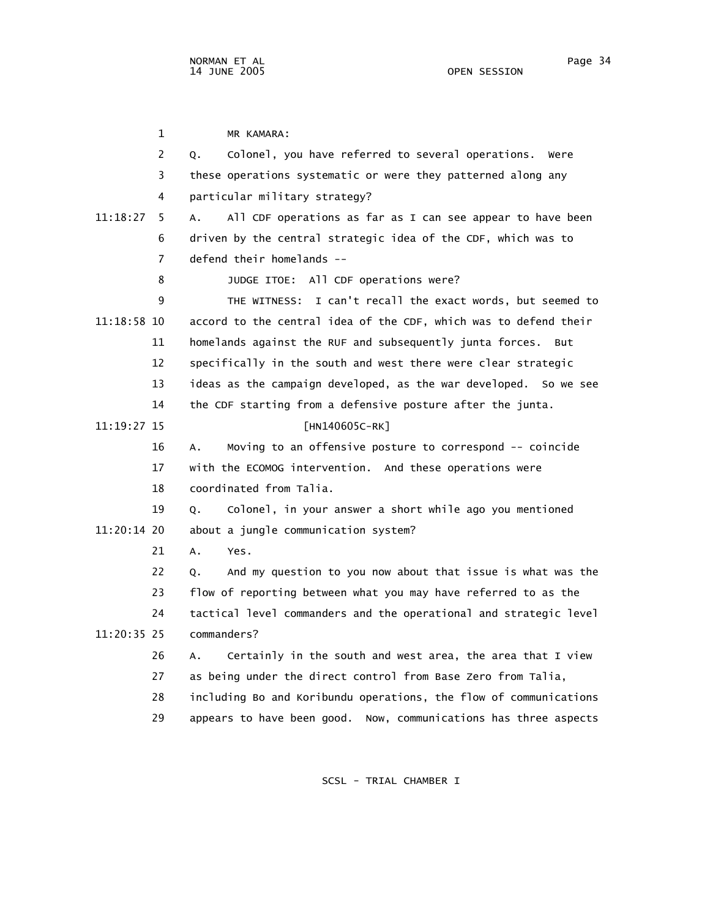1 MR KAMARA: 2 Q. Colonel, you have referred to several operations. Were 3 these operations systematic or were they patterned along any 4 particular military strategy? 11:18:27 5 A. All CDF operations as far as I can see appear to have been 6 driven by the central strategic idea of the CDF, which was to 7 defend their homelands -- 8 JUDGE ITOE: All CDF operations were? 9 THE WITNESS: I can't recall the exact words, but seemed to 11:18:58 10 accord to the central idea of the CDF, which was to defend their 11 homelands against the RUF and subsequently junta forces. But 12 specifically in the south and west there were clear strategic 13 ideas as the campaign developed, as the war developed. So we see 14 the CDF starting from a defensive posture after the junta. 11:19:27 15 [HN140605C-RK] 16 A. Moving to an offensive posture to correspond -- coincide 17 with the ECOMOG intervention. And these operations were 18 coordinated from Talia. 19 Q. Colonel, in your answer a short while ago you mentioned 11:20:14 20 about a jungle communication system? 21 A. Yes. 22 Q. And my question to you now about that issue is what was the 23 flow of reporting between what you may have referred to as the 24 tactical level commanders and the operational and strategic level 11:20:35 25 commanders? 26 A. Certainly in the south and west area, the area that I view 27 as being under the direct control from Base Zero from Talia, 28 including Bo and Koribundu operations, the flow of communications 29 appears to have been good. Now, communications has three aspects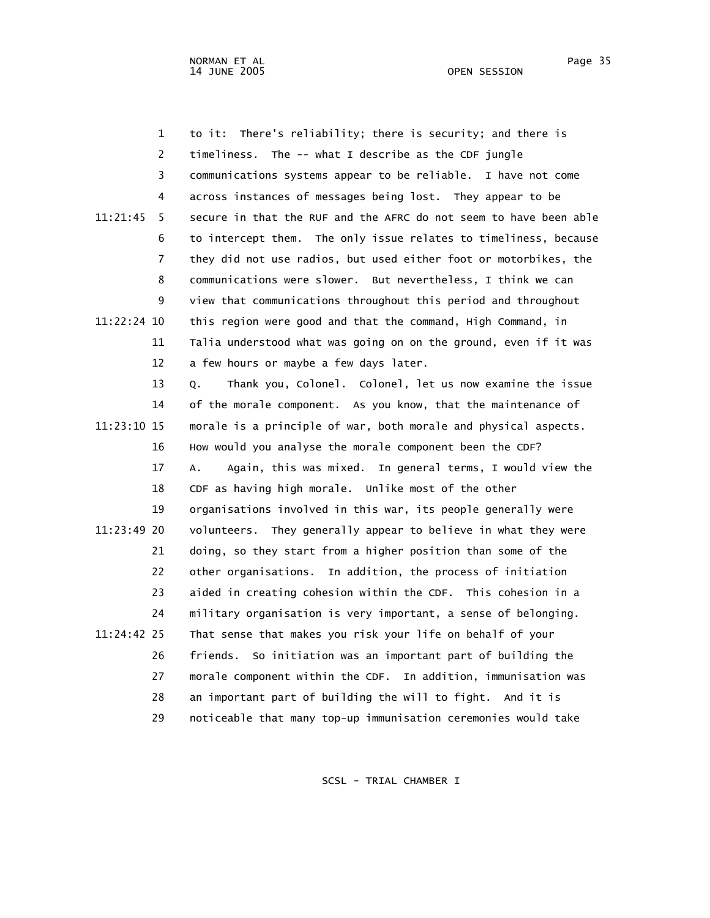1 to it: There's reliability; there is security; and there is 2 timeliness. The -- what I describe as the CDF jungle 3 communications systems appear to be reliable. I have not come 4 across instances of messages being lost. They appear to be 11:21:45 5 secure in that the RUF and the AFRC do not seem to have been able 6 to intercept them. The only issue relates to timeliness, because 7 they did not use radios, but used either foot or motorbikes, the 8 communications were slower. But nevertheless, I think we can 9 view that communications throughout this period and throughout 11:22:24 10 this region were good and that the command, High Command, in 11 Talia understood what was going on on the ground, even if it was 12 a few hours or maybe a few days later. 13 Q. Thank you, Colonel. Colonel, let us now examine the issue 14 of the morale component. As you know, that the maintenance of 11:23:10 15 morale is a principle of war, both morale and physical aspects. 16 How would you analyse the morale component been the CDF? 17 A. Again, this was mixed. In general terms, I would view the 18 CDF as having high morale. Unlike most of the other 19 organisations involved in this war, its people generally were 11:23:49 20 volunteers. They generally appear to believe in what they were 21 doing, so they start from a higher position than some of the 22 other organisations. In addition, the process of initiation 23 aided in creating cohesion within the CDF. This cohesion in a 24 military organisation is very important, a sense of belonging. 11:24:42 25 That sense that makes you risk your life on behalf of your 26 friends. So initiation was an important part of building the 27 morale component within the CDF. In addition, immunisation was 28 an important part of building the will to fight. And it is 29 noticeable that many top-up immunisation ceremonies would take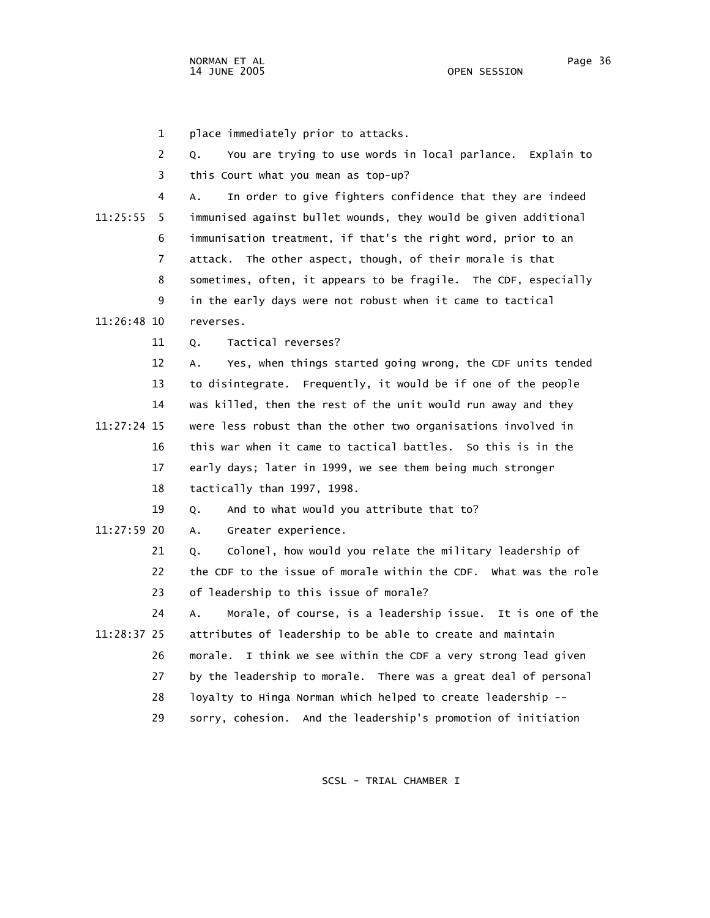1 place immediately prior to attacks. 2 Q. You are trying to use words in local parlance. Explain to 3 this Court what you mean as top-up? 4 A. In order to give fighters confidence that they are indeed 11:25:55 5 immunised against bullet wounds, they would be given additional 6 immunisation treatment, if that's the right word, prior to an 7 attack. The other aspect, though, of their morale is that 8 sometimes, often, it appears to be fragile. The CDF, especially 9 in the early days were not robust when it came to tactical 11:26:48 10 reverses. 11 Q. Tactical reverses? 12 A. Yes, when things started going wrong, the CDF units tended 13 to disintegrate. Frequently, it would be if one of the people 14 was killed, then the rest of the unit would run away and they 11:27:24 15 were less robust than the other two organisations involved in 16 this war when it came to tactical battles. So this is in the 17 early days; later in 1999, we see them being much stronger 18 tactically than 1997, 1998. 19 Q. And to what would you attribute that to? 11:27:59 20 A. Greater experience. 21 Q. Colonel, how would you relate the military leadership of 22 the CDF to the issue of morale within the CDF. What was the role 23 of leadership to this issue of morale? 24 A. Morale, of course, is a leadership issue. It is one of the 11:28:37 25 attributes of leadership to be able to create and maintain 26 morale. I think we see within the CDF a very strong lead given 27 by the leadership to morale. There was a great deal of personal 28 loyalty to Hinga Norman which helped to create leadership -- 29 sorry, cohesion. And the leadership's promotion of initiation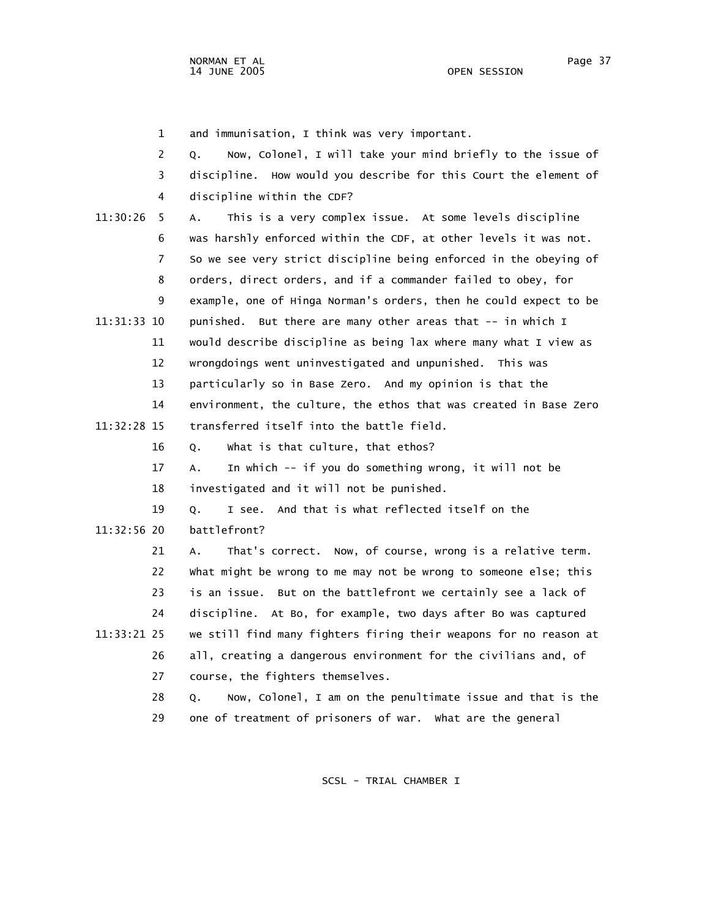1 and immunisation, I think was very important.

|             | $\overline{2}$ | Now, Colonel, I will take your mind briefly to the issue of<br>Q. |
|-------------|----------------|-------------------------------------------------------------------|
|             | 3              | discipline. How would you describe for this Court the element of  |
|             | 4              | discipline within the CDF?                                        |
| 11:30:26    | 5              | This is a very complex issue. At some levels discipline<br>A.     |
|             | 6              | was harshly enforced within the CDF, at other levels it was not.  |
|             | 7              | So we see very strict discipline being enforced in the obeying of |
|             | 8              | orders, direct orders, and if a commander failed to obey, for     |
|             | 9              | example, one of Hinga Norman's orders, then he could expect to be |
| 11:31:33 10 |                | punished. But there are many other areas that -- in which I       |
|             | 11             | would describe discipline as being lax where many what I view as  |
|             | 12             | wrongdoings went uninvestigated and unpunished. This was          |
|             | 13             | particularly so in Base Zero. And my opinion is that the          |
|             | 14             | environment, the culture, the ethos that was created in Base Zero |
| 11:32:28 15 |                | transferred itself into the battle field.                         |
|             | 16             | what is that culture, that ethos?<br>Q.                           |
|             | 17             | In which -- if you do something wrong, it will not be<br>А.       |
|             | 18             | investigated and it will not be punished.                         |
|             | 19             | And that is what reflected itself on the<br>Q.<br>I see.          |
| 11:32:56 20 |                | battlefront?                                                      |
|             | 21             | That's correct. Now, of course, wrong is a relative term.<br>Α.   |
|             | 22             | what might be wrong to me may not be wrong to someone else; this  |
|             | 23             | is an issue. But on the battlefront we certainly see a lack of    |
|             | 24             | discipline. At Bo, for example, two days after Bo was captured    |
| 11:33:21 25 |                | we still find many fighters firing their weapons for no reason at |
|             | 26             | all, creating a dangerous environment for the civilians and, of   |
|             | 27             | course, the fighters themselves.                                  |
|             | 28             | Now, Colonel, I am on the penultimate issue and that is the<br>Q. |
|             | 29             | one of treatment of prisoners of war. What are the general        |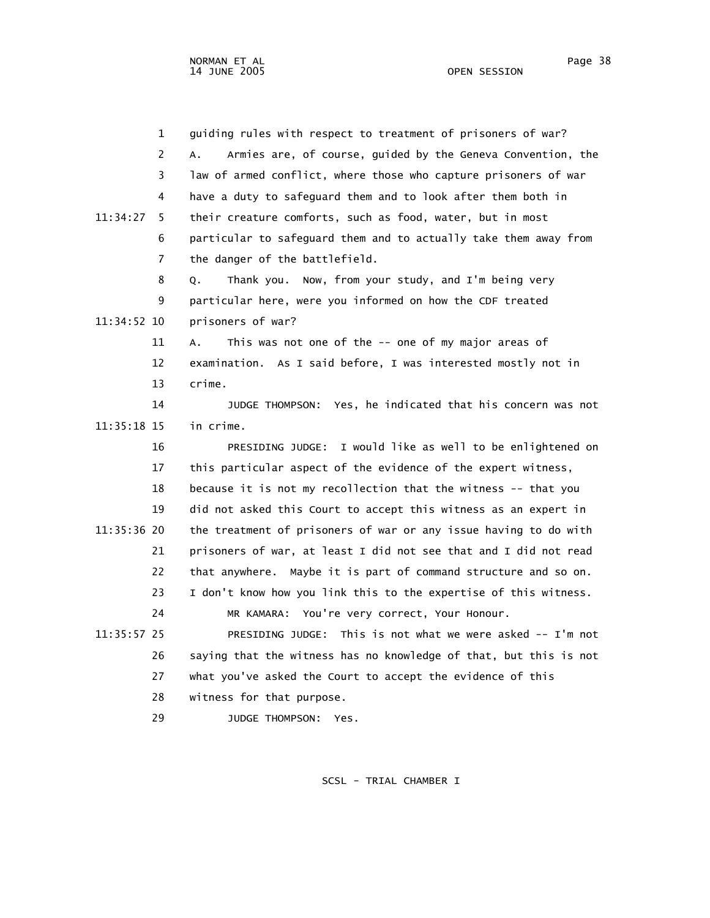NORMAN ET AL Page 38

 1 guiding rules with respect to treatment of prisoners of war? 2 A. Armies are, of course, guided by the Geneva Convention, the 3 law of armed conflict, where those who capture prisoners of war 4 have a duty to safeguard them and to look after them both in 11:34:27 5 their creature comforts, such as food, water, but in most 6 particular to safeguard them and to actually take them away from 7 the danger of the battlefield. 8 Q. Thank you. Now, from your study, and I'm being very 9 particular here, were you informed on how the CDF treated 11:34:52 10 prisoners of war? 11 A. This was not one of the -- one of my major areas of 12 examination. As I said before, I was interested mostly not in 13 crime. 14 JUDGE THOMPSON: Yes, he indicated that his concern was not 11:35:18 15 in crime. 16 PRESIDING JUDGE: I would like as well to be enlightened on 17 this particular aspect of the evidence of the expert witness, 18 because it is not my recollection that the witness -- that you 19 did not asked this Court to accept this witness as an expert in 11:35:36 20 the treatment of prisoners of war or any issue having to do with 21 prisoners of war, at least I did not see that and I did not read 22 that anywhere. Maybe it is part of command structure and so on. 23 I don't know how you link this to the expertise of this witness. 24 MR KAMARA: You're very correct, Your Honour. 11:35:57 25 PRESIDING JUDGE: This is not what we were asked -- I'm not 26 saying that the witness has no knowledge of that, but this is not 27 what you've asked the Court to accept the evidence of this 28 witness for that purpose. 29 JUDGE THOMPSON: Yes.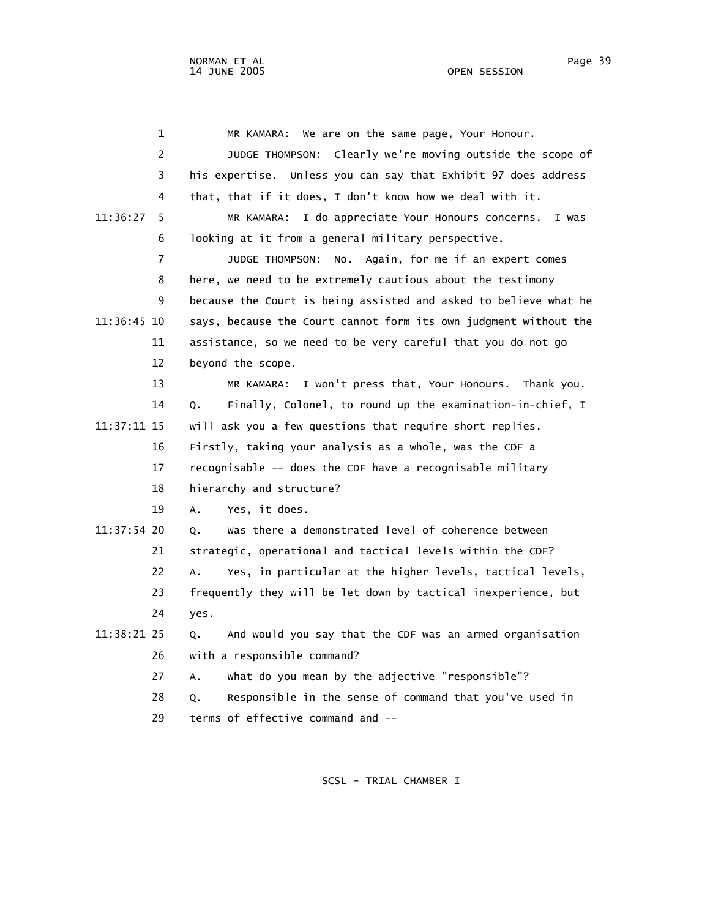| 1              | We are on the same page, Your Honour.<br>MR KAMARA:              |
|----------------|------------------------------------------------------------------|
| $\overline{2}$ | JUDGE THOMPSON: Clearly we're moving outside the scope of        |
| 3              | his expertise. Unless you can say that Exhibit 97 does address   |
| 4              | that, that if it does, I don't know how we deal with it.         |
| 11:36:27<br>5. | MR KAMARA: I do appreciate Your Honours concerns.<br>I was       |
| 6              | looking at it from a general military perspective.               |
| 7              | No. Again, for me if an expert comes<br>JUDGE THOMPSON:          |
| 8              | here, we need to be extremely cautious about the testimony       |
| 9              | because the Court is being assisted and asked to believe what he |
| 11:36:45 10    | says, because the Court cannot form its own judgment without the |
| 11             | assistance, so we need to be very careful that you do not go     |
| 12             | beyond the scope.                                                |
| 13             | MR KAMARA: I won't press that, Your Honours. Thank you.          |
| 14             | Finally, Colonel, to round up the examination-in-chief, I<br>Q.  |
| 11:37:11 15    | will ask you a few questions that require short replies.         |
| 16             | Firstly, taking your analysis as a whole, was the CDF a          |
| 17             | recognisable -- does the CDF have a recognisable military        |
| 18             | hierarchy and structure?                                         |
| 19             | Yes, it does.<br>Α.                                              |
| 11:37:54 20    | was there a demonstrated level of coherence between<br>Q.        |
| 21             | strategic, operational and tactical levels within the CDF?       |
| 22             | Yes, in particular at the higher levels, tactical levels,<br>Α.  |
| 23             | frequently they will be let down by tactical inexperience, but   |
| 24             | yes.                                                             |
| 11:38:21 25    | And would you say that the CDF was an armed organisation<br>Q.   |
| 26             | with a responsible command?                                      |
| 27             | what do you mean by the adjective "responsible"?<br>Α.           |
| 28             | Responsible in the sense of command that you've used in<br>Q.    |
| 29             | terms of effective command and --                                |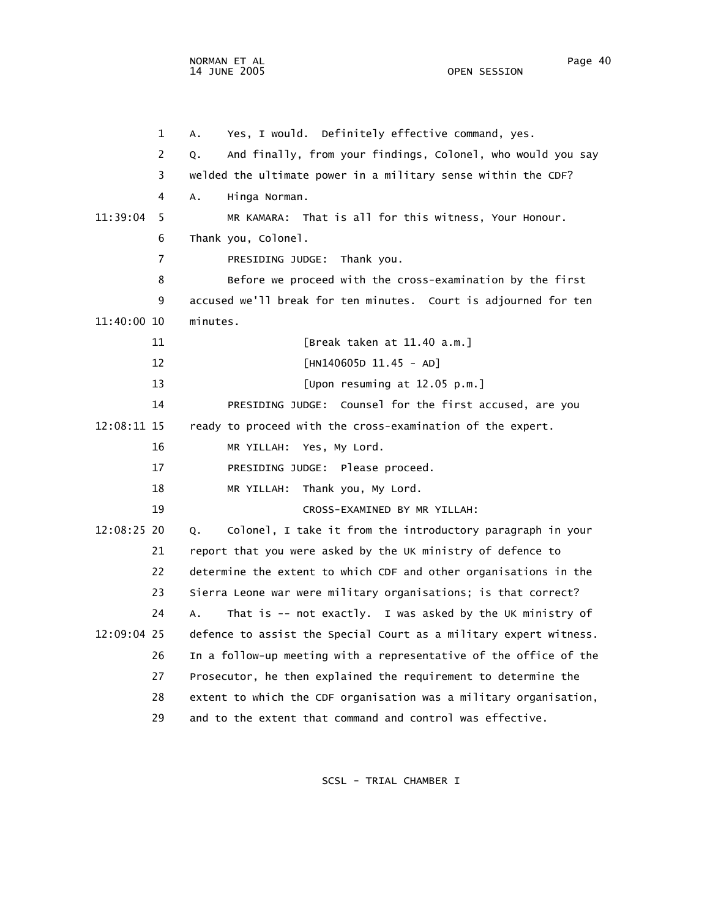NORMAN ET AL Page 40

OPEN SESSION

 1 A. Yes, I would. Definitely effective command, yes. 2 Q. And finally, from your findings, Colonel, who would you say 3 welded the ultimate power in a military sense within the CDF? 4 A. Hinga Norman. 11:39:04 5 MR KAMARA: That is all for this witness, Your Honour. 6 Thank you, Colonel. 7 PRESIDING JUDGE: Thank you. 8 Before we proceed with the cross-examination by the first 9 accused we'll break for ten minutes. Court is adjourned for ten 11:40:00 10 minutes. 11 [Break taken at 11.40 a.m.] 12 [HN140605D 11.45 - AD] 13 [Upon resuming at 12.05 p.m.] 14 PRESIDING JUDGE: Counsel for the first accused, are you 12:08:11 15 ready to proceed with the cross-examination of the expert. 16 MR YILLAH: Yes, My Lord. 17 PRESIDING JUDGE: Please proceed. 18 MR YILLAH: Thank you, My Lord. 19 CROSS-EXAMINED BY MR YILLAH: 12:08:25 20 Q. Colonel, I take it from the introductory paragraph in your 21 report that you were asked by the UK ministry of defence to 22 determine the extent to which CDF and other organisations in the 23 Sierra Leone war were military organisations; is that correct? 24 A. That is -- not exactly. I was asked by the UK ministry of 12:09:04 25 defence to assist the Special Court as a military expert witness. 26 In a follow-up meeting with a representative of the office of the 27 Prosecutor, he then explained the requirement to determine the 28 extent to which the CDF organisation was a military organisation, 29 and to the extent that command and control was effective.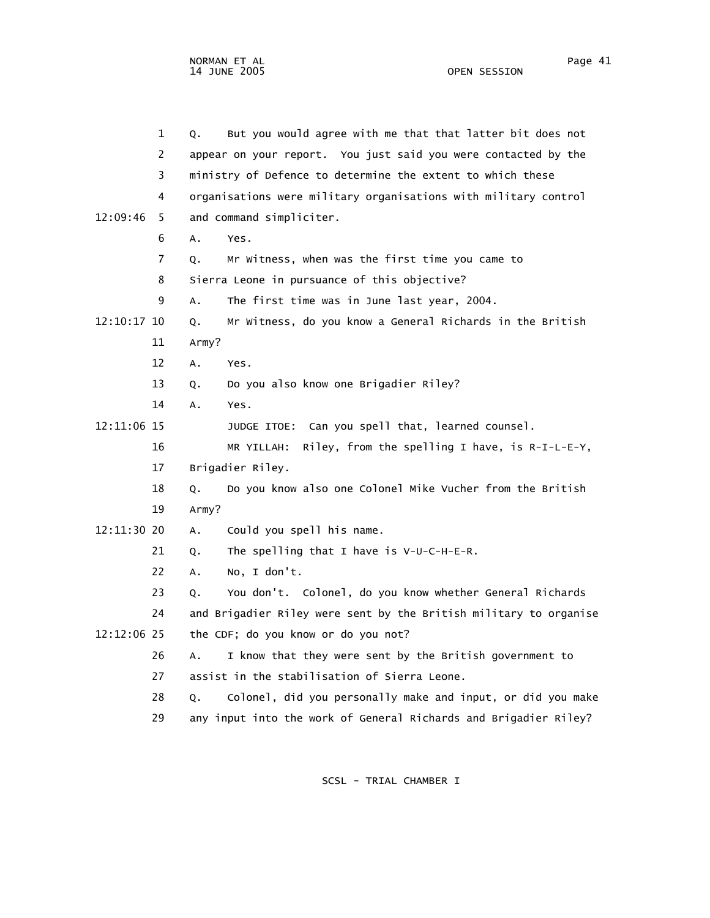|             | $\mathbf 1$<br>Q. | But you would agree with me that that latter bit does not         |
|-------------|-------------------|-------------------------------------------------------------------|
|             | 2                 | appear on your report. You just said you were contacted by the    |
|             | 3                 | ministry of Defence to determine the extent to which these        |
|             | 4                 | organisations were military organisations with military control   |
| 12:09:46    | 5                 | and command simpliciter.                                          |
|             | 6<br>А.           | Yes.                                                              |
|             | 7<br>Q.           | Mr Witness, when was the first time you came to                   |
|             | 8                 | Sierra Leone in pursuance of this objective?                      |
|             | 9<br>Α.           | The first time was in June last year, 2004.                       |
| 12:10:17 10 | Q.                | Mr Witness, do you know a General Richards in the British         |
| 11          | Army?             |                                                                   |
| 12          | Α.                | Yes.                                                              |
| 13          | Q.                | Do you also know one Brigadier Riley?                             |
| 14          | А.                | Yes.                                                              |
| 12:11:06 15 |                   | JUDGE ITOE: Can you spell that, learned counsel.                  |
| 16          |                   | Riley, from the spelling I have, is R-I-L-E-Y,<br>MR YILLAH:      |
| 17          |                   | Brigadier Riley.                                                  |
| 18          | Q.                | Do you know also one Colonel Mike Vucher from the British         |
| 19          | Army?             |                                                                   |
| 12:11:30 20 | Α.                | Could you spell his name.                                         |
| 21          | Q.                | The spelling that I have is $V-U-C-H-E-R$ .                       |
| 22          | А.                | No, I don't.                                                      |
| 23          | Q.                | You don't. Colonel, do you know whether General Richards          |
| 24          |                   | and Brigadier Riley were sent by the British military to organise |
| 12:12:06 25 |                   | the CDF; do you know or do you not?                               |
| 26          | Α.                | I know that they were sent by the British government to           |
| 27          |                   | assist in the stabilisation of Sierra Leone.                      |
| 28          | Q.                | Colonel, did you personally make and input, or did you make       |
| 29          |                   | any input into the work of General Richards and Brigadier Riley?  |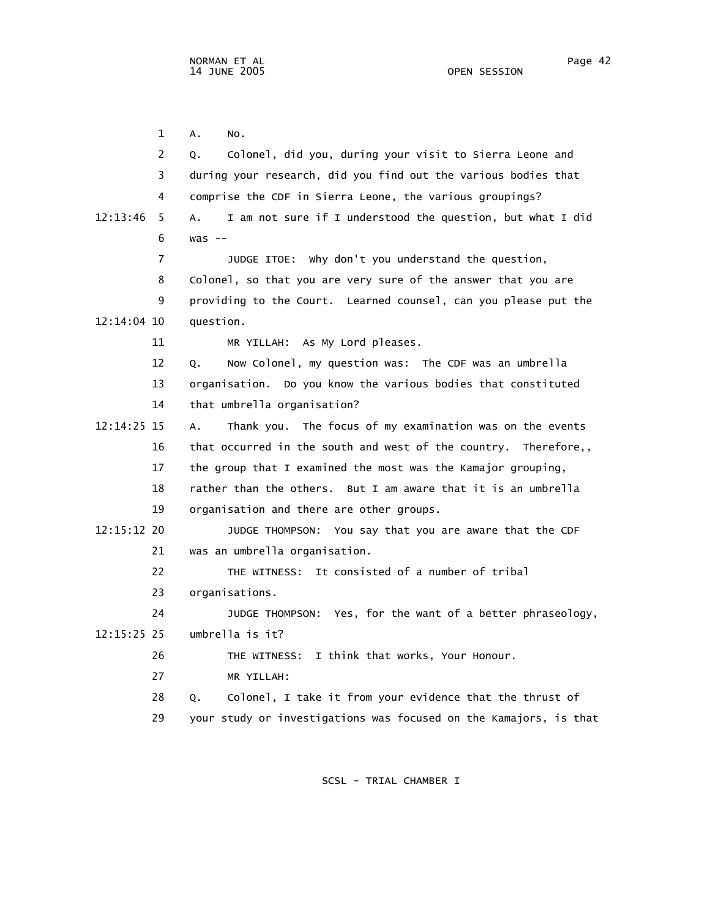1 A. No. 2 Q. Colonel, did you, during your visit to Sierra Leone and 3 during your research, did you find out the various bodies that 4 comprise the CDF in Sierra Leone, the various groupings? 12:13:46 5 A. I am not sure if I understood the question, but what I did 6 was -- 7 JUDGE ITOE: Why don't you understand the question, 8 Colonel, so that you are very sure of the answer that you are 9 providing to the Court. Learned counsel, can you please put the 12:14:04 10 question. 11 MR YILLAH: As My Lord pleases. 12 Q. Now Colonel, my question was: The CDF was an umbrella 13 organisation. Do you know the various bodies that constituted 14 that umbrella organisation? 12:14:25 15 A. Thank you. The focus of my examination was on the events 16 that occurred in the south and west of the country. Therefore,, 17 the group that I examined the most was the Kamajor grouping, 18 rather than the others. But I am aware that it is an umbrella 19 organisation and there are other groups. 12:15:12 20 JUDGE THOMPSON: You say that you are aware that the CDF 21 was an umbrella organisation. 22 THE WITNESS: It consisted of a number of tribal 23 organisations. 24 JUDGE THOMPSON: Yes, for the want of a better phraseology, 12:15:25 25 umbrella is it? 26 THE WITNESS: I think that works, Your Honour. 27 MR YILLAH: 28 Q. Colonel, I take it from your evidence that the thrust of 29 your study or investigations was focused on the Kamajors, is that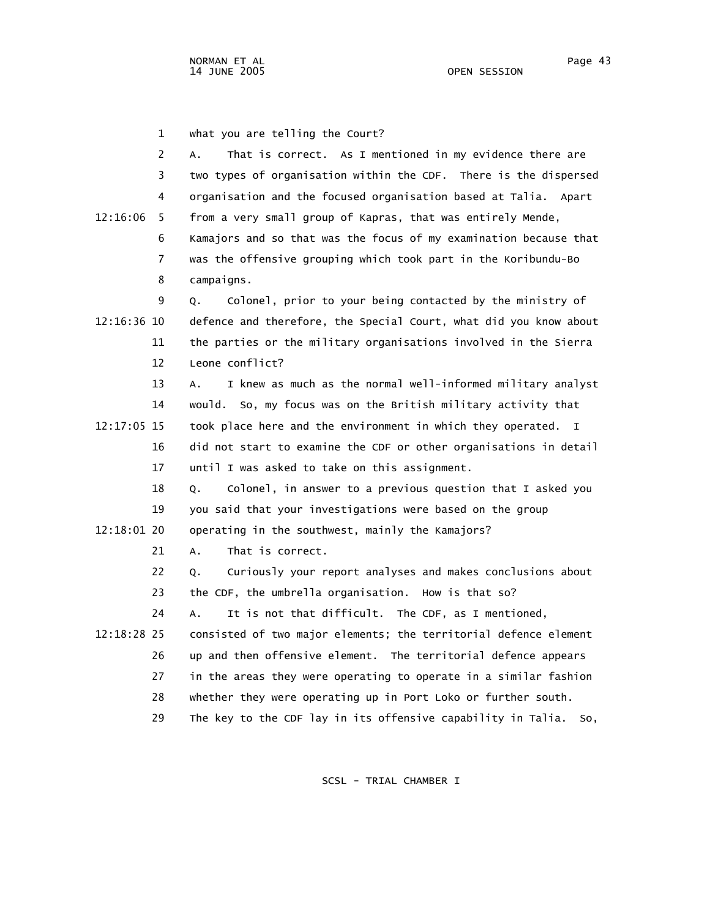1 what you are telling the Court?

| $\overline{2}$ | That is correct. As I mentioned in my evidence there are<br>А.      |
|----------------|---------------------------------------------------------------------|
| 3              | two types of organisation within the CDF. There is the dispersed    |
| 4              | organisation and the focused organisation based at Talia. Apart     |
| 12:16:06<br>5. | from a very small group of Kapras, that was entirely Mende,         |
| 6              | Kamajors and so that was the focus of my examination because that   |
| 7              | was the offensive grouping which took part in the Koribundu-Bo      |
| 8              | campaigns.                                                          |
| 9              | Colonel, prior to your being contacted by the ministry of<br>Q.     |
| 12:16:36 10    | defence and therefore, the Special Court, what did you know about   |
| 11             | the parties or the military organisations involved in the Sierra    |
| 12             | Leone conflict?                                                     |
| 13             | I knew as much as the normal well-informed military analyst<br>Α.   |
| 14             | would. So, my focus was on the British military activity that       |
| 12:17:05 15    | took place here and the environment in which they operated. I       |
| 16             | did not start to examine the CDF or other organisations in detail   |
| 17             | until I was asked to take on this assignment.                       |
| 18             | Colonel, in answer to a previous question that I asked you<br>Q.    |
| 19             | you said that your investigations were based on the group           |
| 12:18:01 20    | operating in the southwest, mainly the Kamajors?                    |
| 21             | A.<br>That is correct.                                              |
| 22             | Curiously your report analyses and makes conclusions about<br>Q.    |
| 23             | the CDF, the umbrella organisation. How is that so?                 |
| 24             | It is not that difficult. The CDF, as I mentioned,<br>А.            |
| 12:18:28 25    | consisted of two major elements; the territorial defence element    |
| 26             | up and then offensive element. The territorial defence appears      |
| 27             | in the areas they were operating to operate in a similar fashion    |
| 28             | whether they were operating up in Port Loko or further south.       |
| 29             | The key to the CDF lay in its offensive capability in Talia.<br>So, |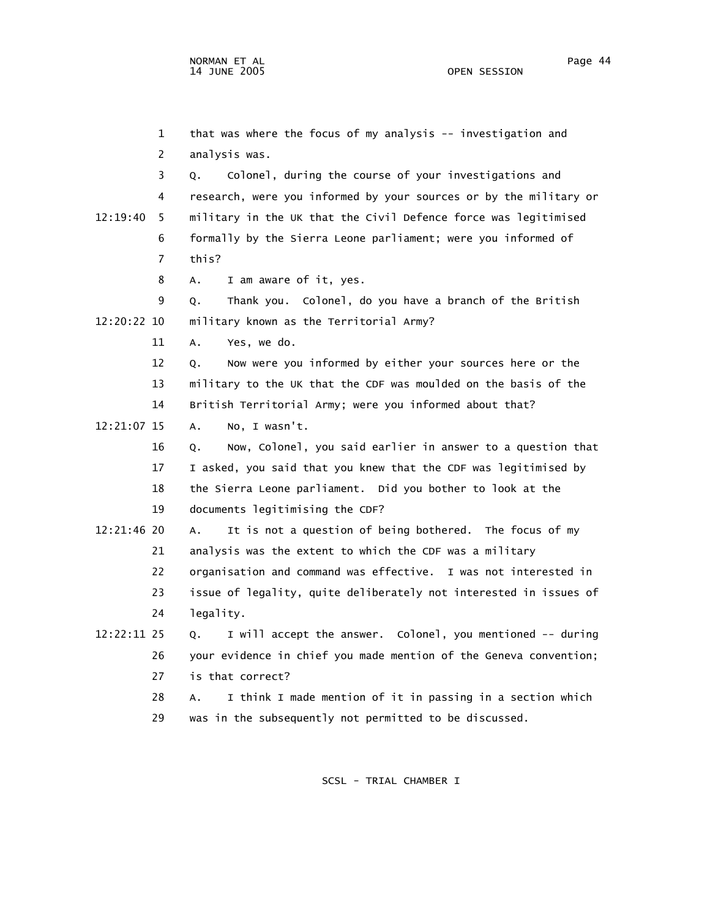1 that was where the focus of my analysis -- investigation and 2 analysis was. 3 Q. Colonel, during the course of your investigations and 4 research, were you informed by your sources or by the military or 12:19:40 5 military in the UK that the Civil Defence force was legitimised 6 formally by the Sierra Leone parliament; were you informed of 7 this? 8 A. I am aware of it, yes. 9 Q. Thank you. Colonel, do you have a branch of the British 12:20:22 10 military known as the Territorial Army? 11 A. Yes, we do. 12 Q. Now were you informed by either your sources here or the 13 military to the UK that the CDF was moulded on the basis of the 14 British Territorial Army; were you informed about that? 12:21:07 15 A. No, I wasn't. 16 Q. Now, Colonel, you said earlier in answer to a question that 17 I asked, you said that you knew that the CDF was legitimised by 18 the Sierra Leone parliament. Did you bother to look at the 19 documents legitimising the CDF? 12:21:46 20 A. It is not a question of being bothered. The focus of my 21 analysis was the extent to which the CDF was a military 22 organisation and command was effective. I was not interested in 23 issue of legality, quite deliberately not interested in issues of 24 legality. 12:22:11 25 Q. I will accept the answer. Colonel, you mentioned -- during 26 your evidence in chief you made mention of the Geneva convention; 27 is that correct? 28 A. I think I made mention of it in passing in a section which 29 was in the subsequently not permitted to be discussed.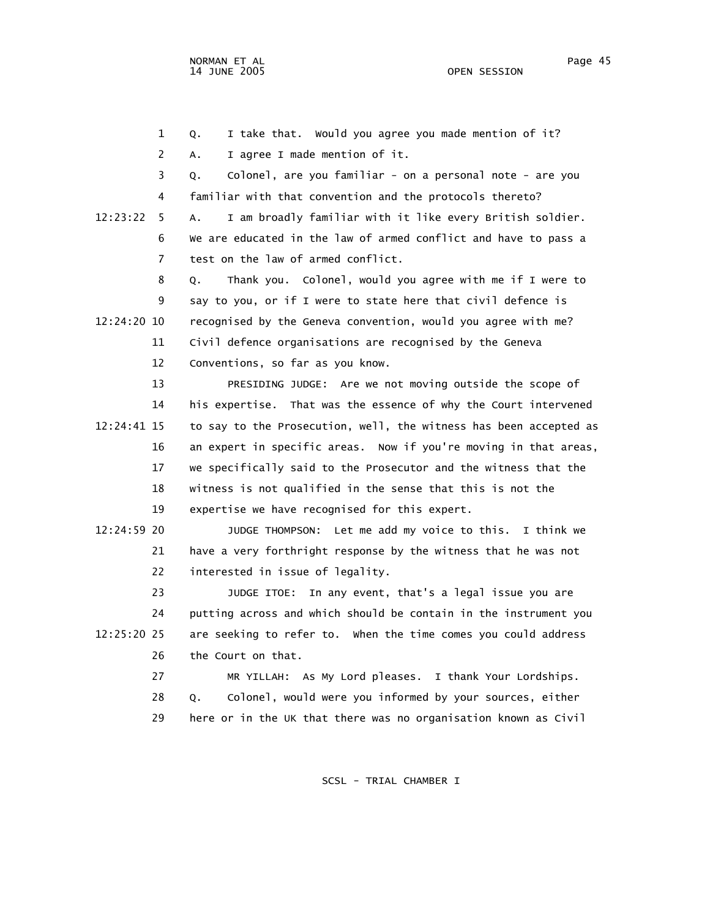1 Q. I take that. Would you agree you made mention of it? 2 A. I agree I made mention of it. 3 Q. Colonel, are you familiar - on a personal note - are you 4 familiar with that convention and the protocols thereto? 12:23:22 5 A. I am broadly familiar with it like every British soldier. 6 We are educated in the law of armed conflict and have to pass a 7 test on the law of armed conflict. 8 Q. Thank you. Colonel, would you agree with me if I were to 9 say to you, or if I were to state here that civil defence is 12:24:20 10 recognised by the Geneva convention, would you agree with me? 11 Civil defence organisations are recognised by the Geneva 12 Conventions, so far as you know. 13 PRESIDING JUDGE: Are we not moving outside the scope of 14 his expertise. That was the essence of why the Court intervened 12:24:41 15 to say to the Prosecution, well, the witness has been accepted as 16 an expert in specific areas. Now if you're moving in that areas, 17 we specifically said to the Prosecutor and the witness that the 18 witness is not qualified in the sense that this is not the 19 expertise we have recognised for this expert. 12:24:59 20 JUDGE THOMPSON: Let me add my voice to this. I think we 21 have a very forthright response by the witness that he was not 22 interested in issue of legality. 23 JUDGE ITOE: In any event, that's a legal issue you are 24 putting across and which should be contain in the instrument you 12:25:20 25 are seeking to refer to. When the time comes you could address 26 the Court on that. 27 MR YILLAH: As My Lord pleases. I thank Your Lordships.

 28 Q. Colonel, would were you informed by your sources, either 29 here or in the UK that there was no organisation known as Civil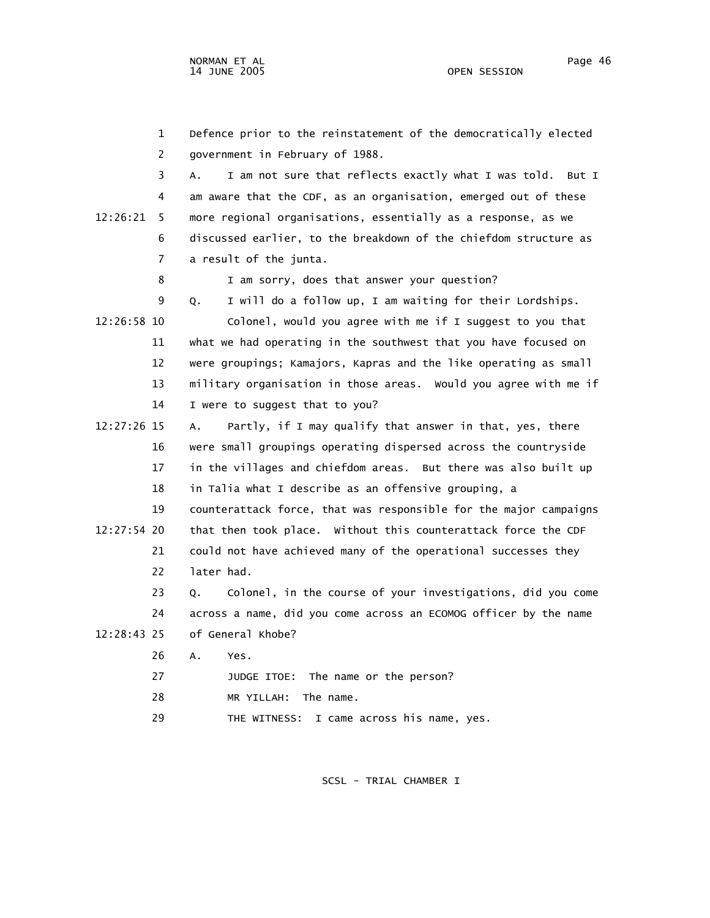1 Defence prior to the reinstatement of the democratically elected 2 government in February of 1988. 3 A. I am not sure that reflects exactly what I was told. But I 4 am aware that the CDF, as an organisation, emerged out of these 12:26:21 5 more regional organisations, essentially as a response, as we 6 discussed earlier, to the breakdown of the chiefdom structure as 7 a result of the junta. 8 I am sorry, does that answer your question? 9 Q. I will do a follow up, I am waiting for their Lordships. 12:26:58 10 Colonel, would you agree with me if I suggest to you that 11 what we had operating in the southwest that you have focused on 12 were groupings; Kamajors, Kapras and the like operating as small 13 military organisation in those areas. Would you agree with me if 14 I were to suggest that to you? 12:27:26 15 A. Partly, if I may qualify that answer in that, yes, there 16 were small groupings operating dispersed across the countryside 17 in the villages and chiefdom areas. But there was also built up 18 in Talia what I describe as an offensive grouping, a 19 counterattack force, that was responsible for the major campaigns 12:27:54 20 that then took place. Without this counterattack force the CDF 21 could not have achieved many of the operational successes they 22 later had. 23 Q. Colonel, in the course of your investigations, did you come 24 across a name, did you come across an ECOMOG officer by the name 12:28:43 25 of General Khobe? 26 A. Yes. 27 JUDGE ITOE: The name or the person? 28 MR YILLAH: The name.

29 THE WITNESS: I came across his name, yes.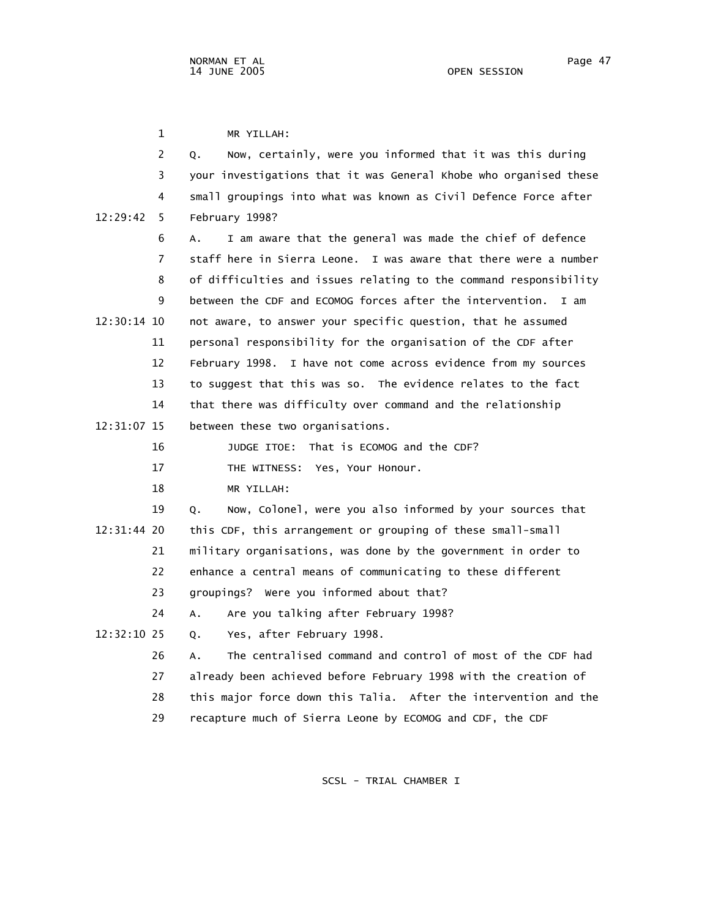1 MR YILLAH: 2 Q. Now, certainly, were you informed that it was this during 3 your investigations that it was General Khobe who organised these 4 small groupings into what was known as Civil Defence Force after 12:29:42 5 February 1998? 6 A. I am aware that the general was made the chief of defence 7 staff here in Sierra Leone. I was aware that there were a number 8 of difficulties and issues relating to the command responsibility 9 between the CDF and ECOMOG forces after the intervention. I am 12:30:14 10 not aware, to answer your specific question, that he assumed 11 personal responsibility for the organisation of the CDF after 12 February 1998. I have not come across evidence from my sources 13 to suggest that this was so. The evidence relates to the fact 14 that there was difficulty over command and the relationship 12:31:07 15 between these two organisations. 16 JUDGE ITOE: That is ECOMOG and the CDF? 17 THE WITNESS: Yes, Your Honour. 18 MR YILLAH: 19 Q. Now, Colonel, were you also informed by your sources that 12:31:44 20 this CDF, this arrangement or grouping of these small-small 21 military organisations, was done by the government in order to 22 enhance a central means of communicating to these different 23 groupings? Were you informed about that? 24 A. Are you talking after February 1998? 12:32:10 25 Q. Yes, after February 1998. 26 A. The centralised command and control of most of the CDF had 27 already been achieved before February 1998 with the creation of 28 this major force down this Talia. After the intervention and the 29 recapture much of Sierra Leone by ECOMOG and CDF, the CDF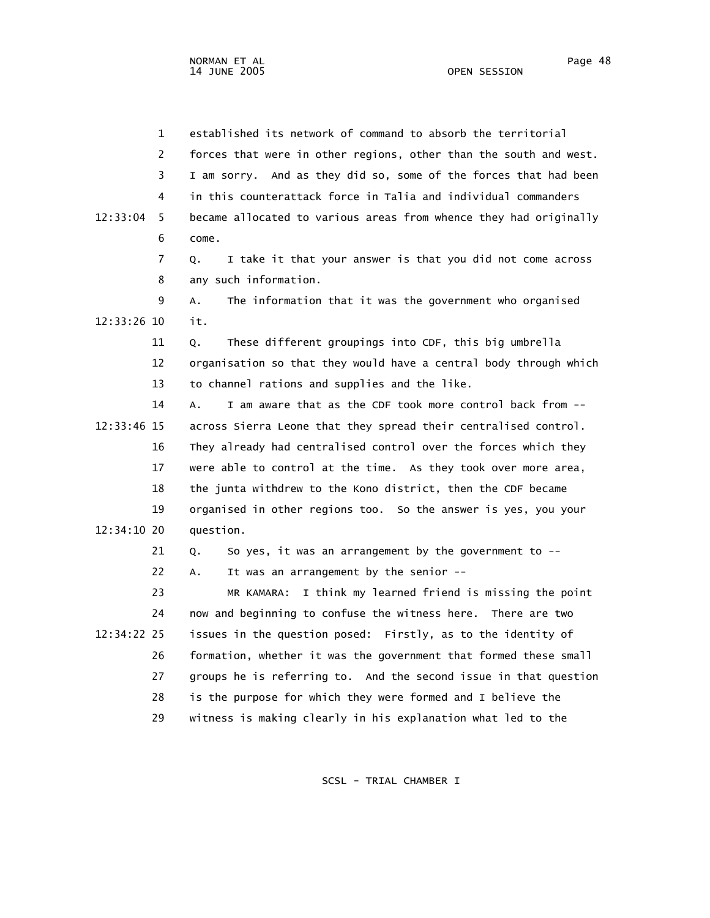NORMAN ET AL Page 48

 1 established its network of command to absorb the territorial 2 forces that were in other regions, other than the south and west. 3 I am sorry. And as they did so, some of the forces that had been 4 in this counterattack force in Talia and individual commanders 12:33:04 5 became allocated to various areas from whence they had originally 6 come. 7 Q. I take it that your answer is that you did not come across 8 any such information. 9 A. The information that it was the government who organised 12:33:26 10 it. 11 Q. These different groupings into CDF, this big umbrella 12 organisation so that they would have a central body through which 13 to channel rations and supplies and the like. 14 A. I am aware that as the CDF took more control back from -- 12:33:46 15 across Sierra Leone that they spread their centralised control. 16 They already had centralised control over the forces which they 17 were able to control at the time. As they took over more area, 18 the junta withdrew to the Kono district, then the CDF became 19 organised in other regions too. So the answer is yes, you your 12:34:10 20 question. 21 Q. So yes, it was an arrangement by the government to -- 22 A. It was an arrangement by the senior -- 23 MR KAMARA: I think my learned friend is missing the point 24 now and beginning to confuse the witness here. There are two 12:34:22 25 issues in the question posed: Firstly, as to the identity of 26 formation, whether it was the government that formed these small 27 groups he is referring to. And the second issue in that question 28 is the purpose for which they were formed and I believe the 29 witness is making clearly in his explanation what led to the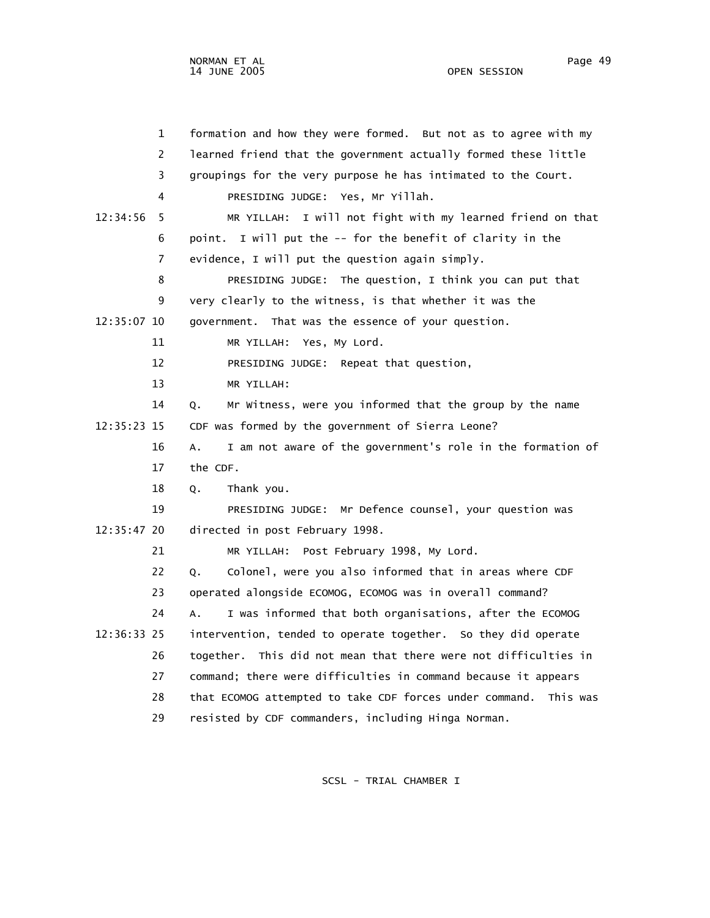| $\mathbf{1}$   | formation and how they were formed. But not as to agree with my           |
|----------------|---------------------------------------------------------------------------|
| $\overline{2}$ | learned friend that the government actually formed these little           |
| 3              | groupings for the very purpose he has intimated to the Court.             |
| 4              | PRESIDING JUDGE: Yes, Mr Yillah.                                          |
| 12:34:56<br>5  | I will not fight with my learned friend on that<br>MR YILLAH:             |
| 6              | point. I will put the -- for the benefit of clarity in the                |
| $\overline{7}$ | evidence, I will put the question again simply.                           |
| 8              | PRESIDING JUDGE: The question, I think you can put that                   |
| 9              | very clearly to the witness, is that whether it was the                   |
| 12:35:07 10    | government. That was the essence of your question.                        |
| 11             | MR YILLAH: Yes, My Lord.                                                  |
| 12             | PRESIDING JUDGE: Repeat that question,                                    |
| 13             | MR YILLAH:                                                                |
| 14             | Mr Witness, were you informed that the group by the name<br>Q.            |
| 12:35:23 15    | CDF was formed by the government of Sierra Leone?                         |
| 16             | I am not aware of the government's role in the formation of<br>A.         |
| 17             | the CDF.                                                                  |
| 18             | Thank you.<br>Q.                                                          |
| 19             | PRESIDING JUDGE: Mr Defence counsel, your question was                    |
| 12:35:47 20    | directed in post February 1998.                                           |
| 21             | MR YILLAH: Post February 1998, My Lord.                                   |
| 22             | Colonel, were you also informed that in areas where CDF<br>Q.             |
| 23             | operated alongside ECOMOG, ECOMOG was in overall command?                 |
| 24             | I was informed that both organisations, after the ECOMOG<br>$A_{\bullet}$ |
| 12:36:33 25    | intervention, tended to operate together. So they did operate             |
| 26             | together. This did not mean that there were not difficulties in           |
| 27             | command; there were difficulties in command because it appears            |
| 28             | that ECOMOG attempted to take CDF forces under command. This was          |
| 29             | resisted by CDF commanders, including Hinga Norman.                       |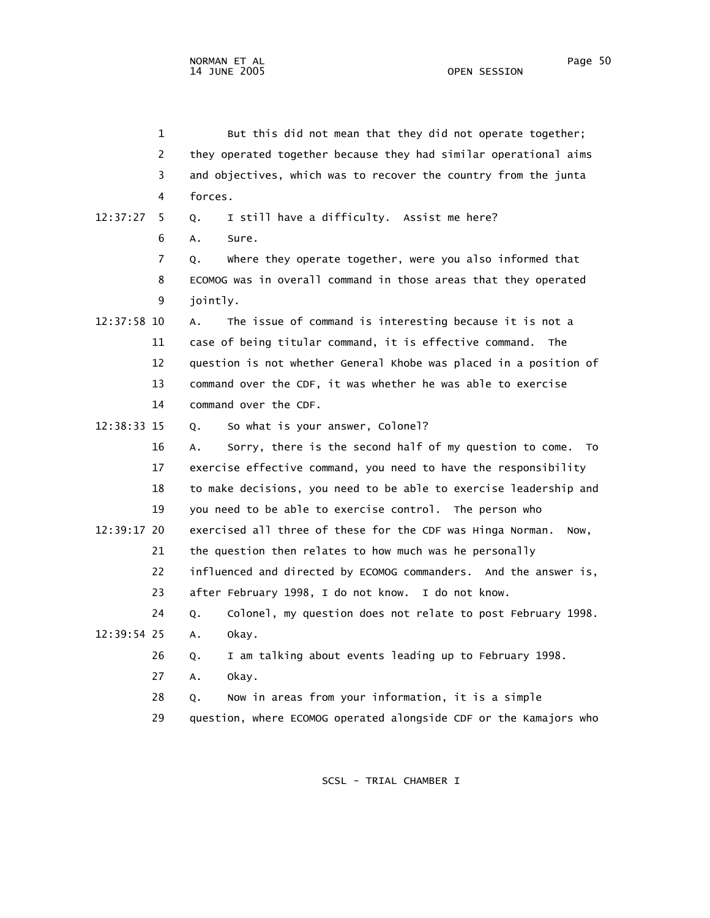|             | 1              | But this did not mean that they did not operate together;          |
|-------------|----------------|--------------------------------------------------------------------|
|             | $\overline{2}$ | they operated together because they had similar operational aims   |
|             | 3              | and objectives, which was to recover the country from the junta    |
|             | 4              | forces.                                                            |
| 12:37:27    | 5.             | I still have a difficulty. Assist me here?<br>Q.                   |
|             | 6              | A.<br>Sure.                                                        |
|             | 7              | where they operate together, were you also informed that<br>Q.     |
|             | 8              | ECOMOG was in overall command in those areas that they operated    |
|             | 9              | jointly.                                                           |
| 12:37:58 10 |                | The issue of command is interesting because it is not a<br>А.      |
|             | 11             | case of being titular command, it is effective command. The        |
|             | 12             | question is not whether General Khobe was placed in a position of  |
|             | 13             | command over the CDF, it was whether he was able to exercise       |
|             | 14             | command over the CDF.                                              |
| 12:38:33 15 |                | So what is your answer, Colonel?<br>Q.                             |
|             | 16             | Sorry, there is the second half of my question to come. To<br>А.   |
|             | 17             | exercise effective command, you need to have the responsibility    |
|             | 18             | to make decisions, you need to be able to exercise leadership and  |
|             | 19             | you need to be able to exercise control. The person who            |
| 12:39:17 20 |                | exercised all three of these for the CDF was Hinga Norman.<br>Now, |
|             | 21             | the question then relates to how much was he personally            |
|             | 22             | influenced and directed by ECOMOG commanders. And the answer is,   |
|             | 23             | after February 1998, I do not know.<br>I do not know.              |
|             | 24             | Colonel, my question does not relate to post February 1998.<br>Q.  |
| 12:39:54 25 |                | okay.<br>A.                                                        |
|             | 26             | I am talking about events leading up to February 1998.<br>Q.       |
|             | 27             | okay.<br>Α.                                                        |
|             | 28             | Now in areas from your information, it is a simple<br>Q.           |

29 question, where ECOMOG operated alongside CDF or the Kamajors who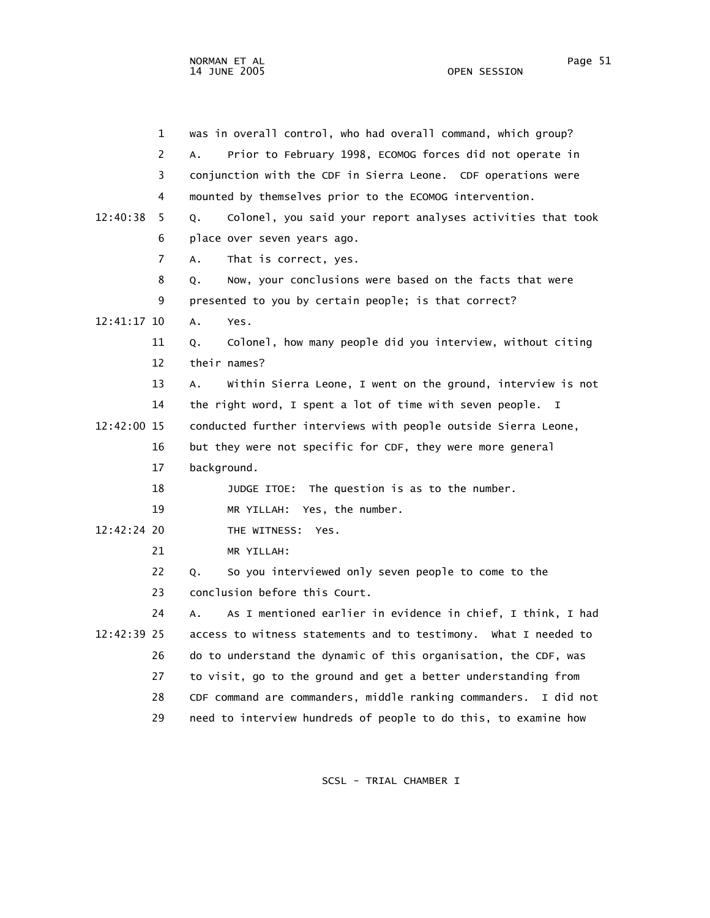1 was in overall control, who had overall command, which group? 2 A. Prior to February 1998, ECOMOG forces did not operate in 3 conjunction with the CDF in Sierra Leone. CDF operations were

 4 mounted by themselves prior to the ECOMOG intervention. 12:40:38 5 Q. Colonel, you said your report analyses activities that took 6 place over seven years ago. 7 A. That is correct, yes. 8 Q. Now, your conclusions were based on the facts that were 9 presented to you by certain people; is that correct? 12:41:17 10 A. Yes. 11 Q. Colonel, how many people did you interview, without citing 12 their names? 13 A. Within Sierra Leone, I went on the ground, interview is not 14 the right word, I spent a lot of time with seven people. I 12:42:00 15 conducted further interviews with people outside Sierra Leone, 16 but they were not specific for CDF, they were more general 17 background. 18 JUDGE ITOE: The question is as to the number. 19 MR YILLAH: Yes, the number. 12:42:24 20 THE WITNESS: Yes. 21 MR YILLAH: 22 Q. So you interviewed only seven people to come to the 23 conclusion before this Court. 24 A. As I mentioned earlier in evidence in chief, I think, I had 12:42:39 25 access to witness statements and to testimony. What I needed to 26 do to understand the dynamic of this organisation, the CDF, was 27 to visit, go to the ground and get a better understanding from 28 CDF command are commanders, middle ranking commanders. I did not 29 need to interview hundreds of people to do this, to examine how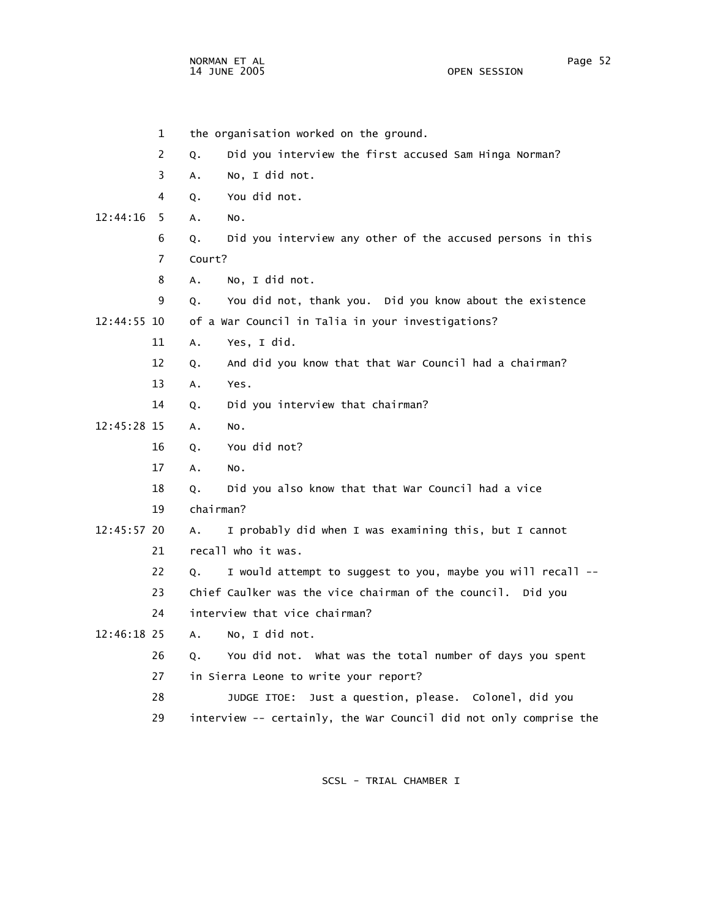NORMAN ET AL Page 52 14 JUNE 2005

 1 the organisation worked on the ground. 2 Q. Did you interview the first accused Sam Hinga Norman? 3 A. No, I did not. 4 Q. You did not. 12:44:16 5 A. No. 6 Q. Did you interview any other of the accused persons in this 7 Court? 8 A. No, I did not. 9 Q. You did not, thank you. Did you know about the existence 12:44:55 10 of a War Council in Talia in your investigations? 11 A. Yes, I did. 12 Q. And did you know that that War Council had a chairman? 13 A. Yes. 14 Q. Did you interview that chairman? 12:45:28 15 A. No. 16 Q. You did not? 17 A. No. 18 Q. Did you also know that that War Council had a vice 19 chairman? 12:45:57 20 A. I probably did when I was examining this, but I cannot 21 recall who it was. 22 Q. I would attempt to suggest to you, maybe you will recall -- 23 Chief Caulker was the vice chairman of the council. Did you 24 interview that vice chairman? 12:46:18 25 A. No, I did not. 26 Q. You did not. What was the total number of days you spent 27 in Sierra Leone to write your report? 28 JUDGE ITOE: Just a question, please. Colonel, did you 29 interview -- certainly, the War Council did not only comprise the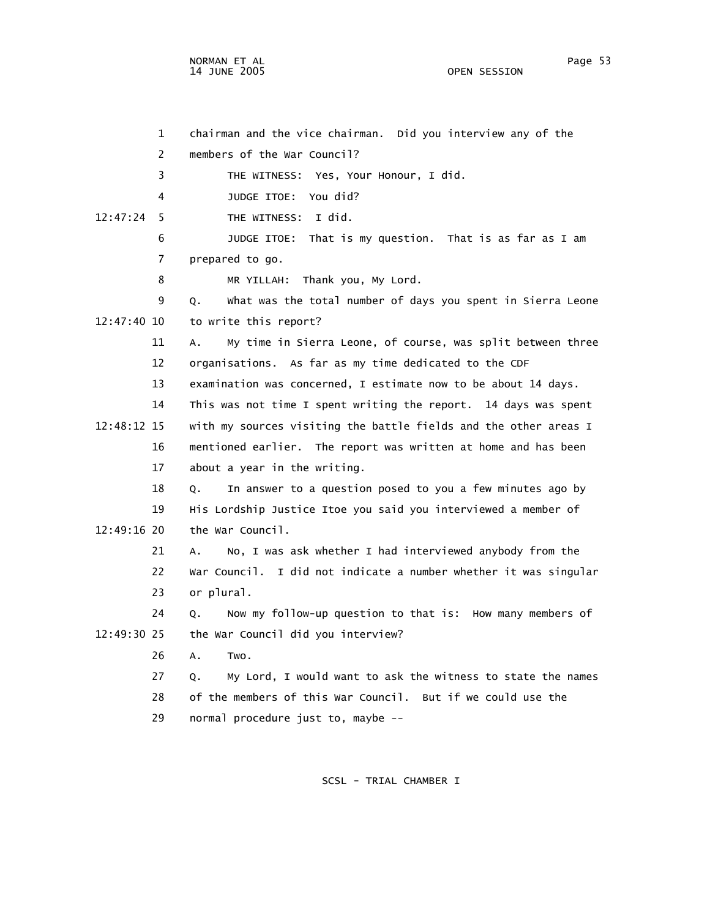NORMAN ET AL Page 53

 1 chairman and the vice chairman. Did you interview any of the 2 members of the War Council? 3 THE WITNESS: Yes, Your Honour, I did. 4 JUDGE ITOE: You did? 12:47:24 5 THE WITNESS: I did. 6 JUDGE ITOE: That is my question. That is as far as I am 7 prepared to go. 8 MR YILLAH: Thank you, My Lord. 9 Q. What was the total number of days you spent in Sierra Leone 12:47:40 10 to write this report? 11 A. My time in Sierra Leone, of course, was split between three 12 organisations. As far as my time dedicated to the CDF 13 examination was concerned, I estimate now to be about 14 days. 14 This was not time I spent writing the report. 14 days was spent 12:48:12 15 with my sources visiting the battle fields and the other areas I 16 mentioned earlier. The report was written at home and has been 17 about a year in the writing. 18 Q. In answer to a question posed to you a few minutes ago by 19 His Lordship Justice Itoe you said you interviewed a member of 12:49:16 20 the War Council. 21 A. No, I was ask whether I had interviewed anybody from the 22 War Council. I did not indicate a number whether it was singular 23 or plural. 24 Q. Now my follow-up question to that is: How many members of 12:49:30 25 the War Council did you interview? 26 A. Two. 27 Q. My Lord, I would want to ask the witness to state the names 28 of the members of this War Council. But if we could use the 29 normal procedure just to, maybe --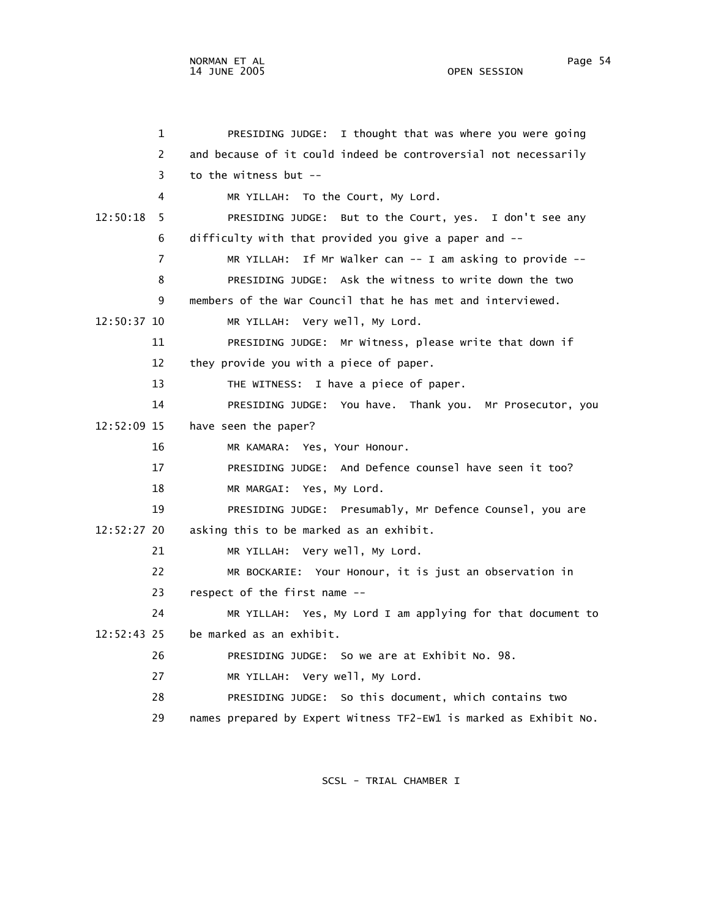1 PRESIDING JUDGE: I thought that was where you were going 2 and because of it could indeed be controversial not necessarily 3 to the witness but -- 4 MR YILLAH: To the Court, My Lord. 12:50:18 5 PRESIDING JUDGE: But to the Court, yes. I don't see any 6 difficulty with that provided you give a paper and -- 7 MR YILLAH: If Mr Walker can -- I am asking to provide -- 8 PRESIDING JUDGE: Ask the witness to write down the two 9 members of the War Council that he has met and interviewed. 12:50:37 10 MR YILLAH: Very well, My Lord. 11 PRESIDING JUDGE: Mr Witness, please write that down if 12 they provide you with a piece of paper. 13 THE WITNESS: I have a piece of paper. 14 PRESIDING JUDGE: You have. Thank you. Mr Prosecutor, you 12:52:09 15 have seen the paper? 16 MR KAMARA: Yes, Your Honour. 17 PRESIDING JUDGE: And Defence counsel have seen it too? 18 MR MARGAI: Yes, My Lord. 19 PRESIDING JUDGE: Presumably, Mr Defence Counsel, you are 12:52:27 20 asking this to be marked as an exhibit. 21 MR YILLAH: Very well, My Lord. 22 MR BOCKARIE: Your Honour, it is just an observation in 23 respect of the first name -- 24 MR YILLAH: Yes, My Lord I am applying for that document to 12:52:43 25 be marked as an exhibit. 26 PRESIDING JUDGE: So we are at Exhibit No. 98. 27 MR YILLAH: Very well, My Lord. 28 PRESIDING JUDGE: So this document, which contains two

29 names prepared by Expert Witness TF2-EW1 is marked as Exhibit No.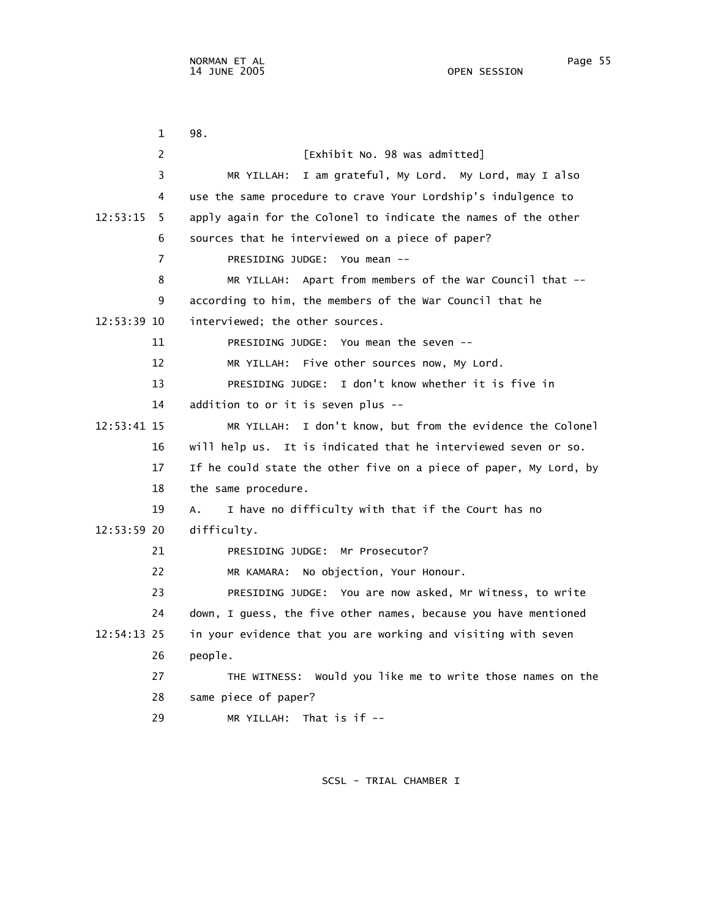1 98. 2 **[Exhibit No. 98 was admitted]**  3 MR YILLAH: I am grateful, My Lord. My Lord, may I also 4 use the same procedure to crave Your Lordship's indulgence to 12:53:15 5 apply again for the Colonel to indicate the names of the other 6 sources that he interviewed on a piece of paper? 7 PRESIDING JUDGE: You mean -- 8 MR YILLAH: Apart from members of the War Council that -- 9 according to him, the members of the War Council that he 12:53:39 10 interviewed; the other sources. 11 PRESIDING JUDGE: You mean the seven -- 12 MR YILLAH: Five other sources now, My Lord. 13 PRESIDING JUDGE: I don't know whether it is five in 14 addition to or it is seven plus -- 12:53:41 15 MR YILLAH: I don't know, but from the evidence the Colonel 16 will help us. It is indicated that he interviewed seven or so. 17 If he could state the other five on a piece of paper, My Lord, by 18 the same procedure. 19 A. I have no difficulty with that if the Court has no 12:53:59 20 difficulty. 21 PRESIDING JUDGE: Mr Prosecutor? 22 MR KAMARA: No objection, Your Honour. 23 PRESIDING JUDGE: You are now asked, Mr Witness, to write 24 down, I guess, the five other names, because you have mentioned 12:54:13 25 in your evidence that you are working and visiting with seven 26 people. 27 THE WITNESS: Would you like me to write those names on the 28 same piece of paper? 29 MR YILLAH: That is if --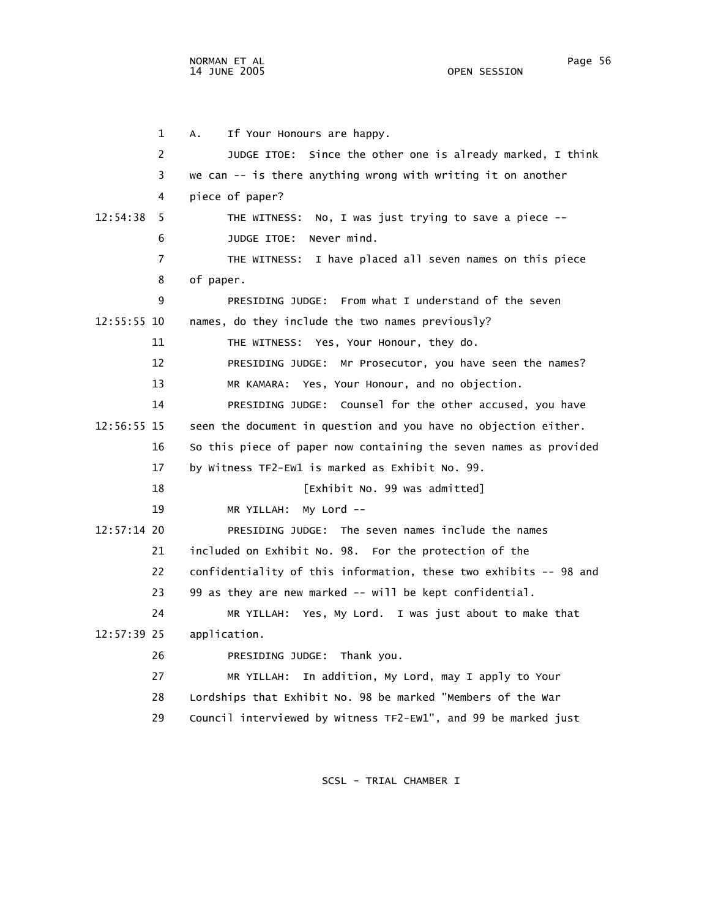1 A. If Your Honours are happy. 2 JUDGE ITOE: Since the other one is already marked, I think 3 we can -- is there anything wrong with writing it on another 4 piece of paper? 12:54:38 5 THE WITNESS: No, I was just trying to save a piece -- 6 JUDGE ITOE: Never mind. 7 THE WITNESS: I have placed all seven names on this piece 8 of paper. 9 PRESIDING JUDGE: From what I understand of the seven 12:55:55 10 names, do they include the two names previously? 11 THE WITNESS: Yes, Your Honour, they do. 12 PRESIDING JUDGE: Mr Prosecutor, you have seen the names? 13 MR KAMARA: Yes, Your Honour, and no objection. 14 PRESIDING JUDGE: Counsel for the other accused, you have 12:56:55 15 seen the document in question and you have no objection either. 16 So this piece of paper now containing the seven names as provided 17 by Witness TF2-EW1 is marked as Exhibit No. 99. 18 **I**Exhibit No. 99 was admitted] 19 MR YILLAH: My Lord -- 12:57:14 20 PRESIDING JUDGE: The seven names include the names 21 included on Exhibit No. 98. For the protection of the 22 confidentiality of this information, these two exhibits -- 98 and 23 99 as they are new marked -- will be kept confidential. 24 MR YILLAH: Yes, My Lord. I was just about to make that 12:57:39 25 application. 26 PRESIDING JUDGE: Thank you. 27 MR YILLAH: In addition, My Lord, may I apply to Your 28 Lordships that Exhibit No. 98 be marked "Members of the War 29 Council interviewed by Witness TF2-EW1", and 99 be marked just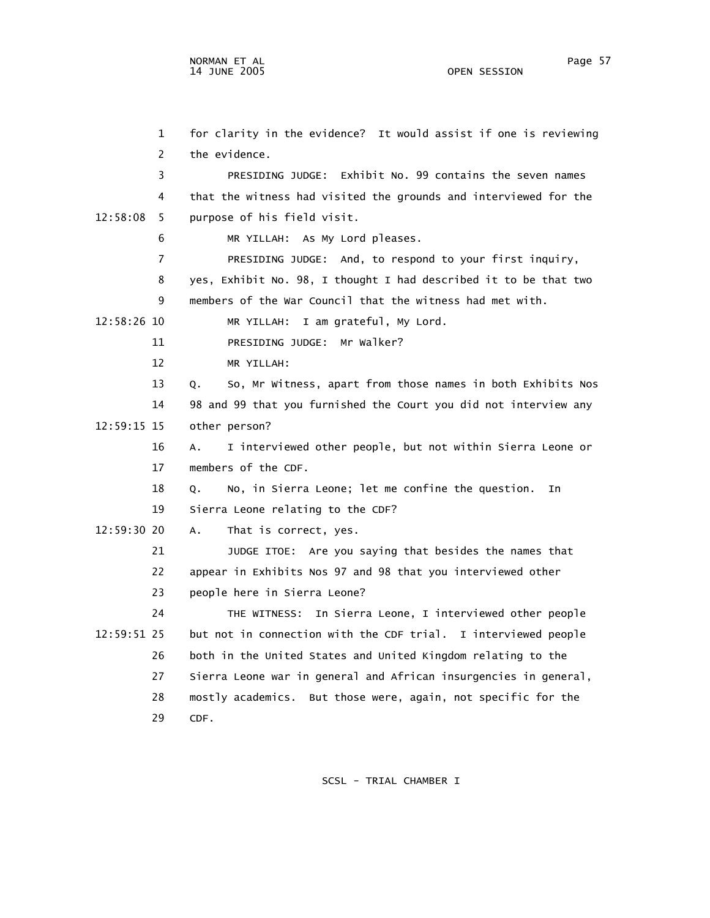1 for clarity in the evidence? It would assist if one is reviewing 2 the evidence. 3 PRESIDING JUDGE: Exhibit No. 99 contains the seven names 4 that the witness had visited the grounds and interviewed for the 12:58:08 5 purpose of his field visit. 6 MR YILLAH: As My Lord pleases. 7 PRESIDING JUDGE: And, to respond to your first inquiry, 8 yes, Exhibit No. 98, I thought I had described it to be that two 9 members of the War Council that the witness had met with. 12:58:26 10 MR YILLAH: I am grateful, My Lord. 11 PRESIDING JUDGE: Mr Walker? 12 MR YILLAH: 13 Q. So, Mr Witness, apart from those names in both Exhibits Nos 14 98 and 99 that you furnished the Court you did not interview any 12:59:15 15 other person? 16 A. I interviewed other people, but not within Sierra Leone or 17 members of the CDF. 18 Q. No, in Sierra Leone; let me confine the question. In 19 Sierra Leone relating to the CDF? 12:59:30 20 A. That is correct, yes. 21 JUDGE ITOE: Are you saying that besides the names that 22 appear in Exhibits Nos 97 and 98 that you interviewed other 23 people here in Sierra Leone? 24 THE WITNESS: In Sierra Leone, I interviewed other people 12:59:51 25 but not in connection with the CDF trial. I interviewed people 26 both in the United States and United Kingdom relating to the 27 Sierra Leone war in general and African insurgencies in general, 28 mostly academics. But those were, again, not specific for the 29 CDF.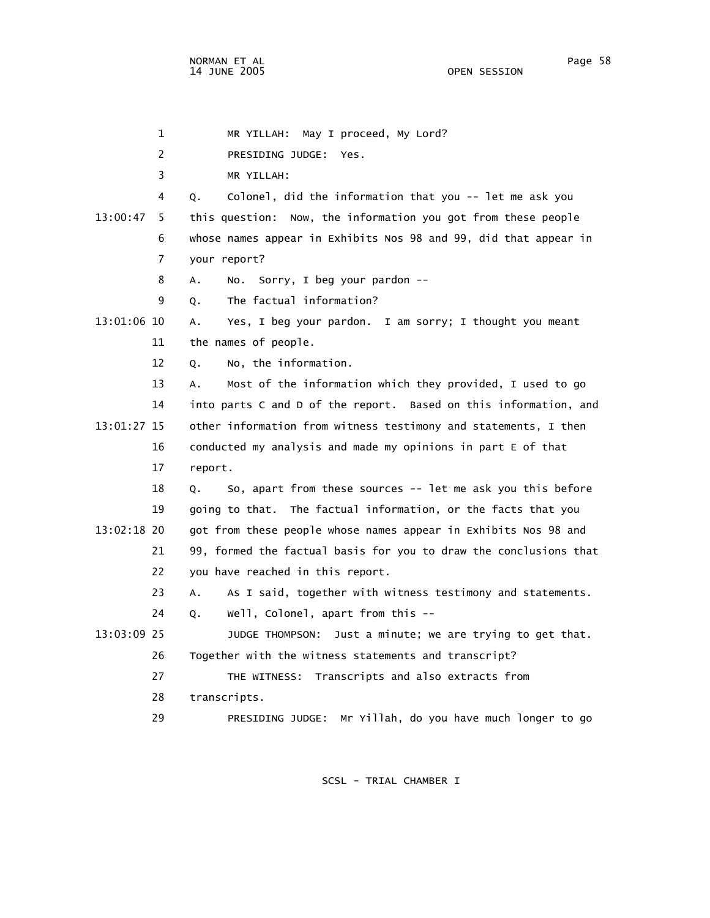1 MR YILLAH: May I proceed, My Lord?

2 PRESIDING JUDGE: Yes.

 3 MR YILLAH: 4 Q. Colonel, did the information that you -- let me ask you 13:00:47 5 this question: Now, the information you got from these people 6 whose names appear in Exhibits Nos 98 and 99, did that appear in 7 your report? 8 A. No. Sorry, I beg your pardon -- 9 Q. The factual information? 13:01:06 10 A. Yes, I beg your pardon. I am sorry; I thought you meant 11 the names of people. 12 Q. No, the information. 13 A. Most of the information which they provided, I used to go 14 into parts C and D of the report. Based on this information, and 13:01:27 15 other information from witness testimony and statements, I then 16 conducted my analysis and made my opinions in part E of that 17 report. 18 Q. So, apart from these sources -- let me ask you this before 19 going to that. The factual information, or the facts that you 13:02:18 20 got from these people whose names appear in Exhibits Nos 98 and 21 99, formed the factual basis for you to draw the conclusions that 22 you have reached in this report. 23 A. As I said, together with witness testimony and statements. 24 Q. Well, Colonel, apart from this -- 13:03:09 25 JUDGE THOMPSON: Just a minute; we are trying to get that. 26 Together with the witness statements and transcript? 27 THE WITNESS: Transcripts and also extracts from 28 transcripts. 29 PRESIDING JUDGE: Mr Yillah, do you have much longer to go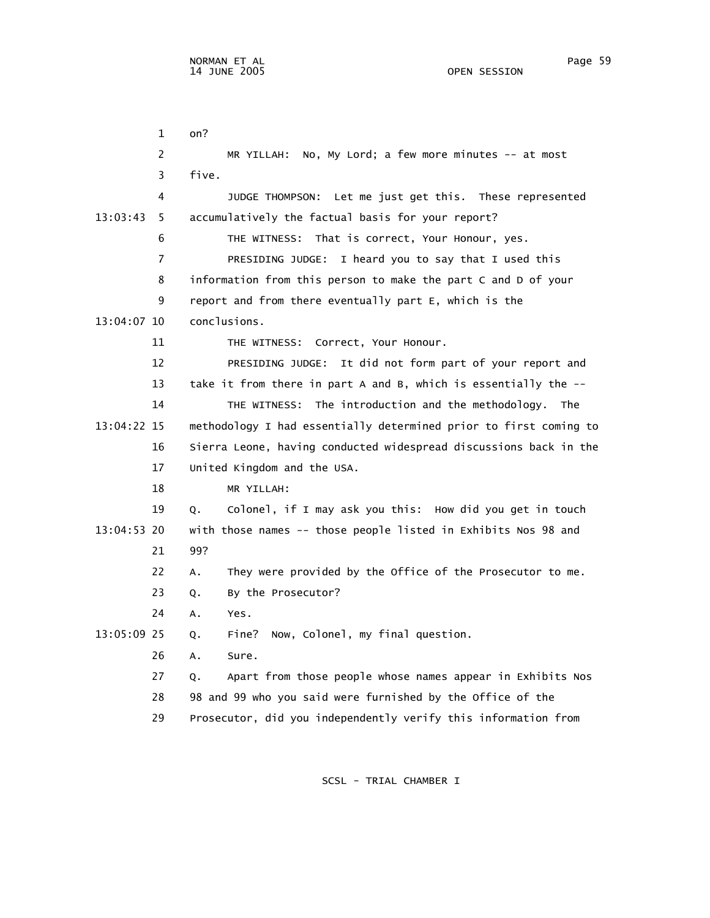1 on? 2 MR YILLAH: No, My Lord; a few more minutes -- at most 3 five. 4 JUDGE THOMPSON: Let me just get this. These represented 13:03:43 5 accumulatively the factual basis for your report? 6 THE WITNESS: That is correct, Your Honour, yes. 7 PRESIDING JUDGE: I heard you to say that I used this 8 information from this person to make the part C and D of your 9 report and from there eventually part E, which is the 13:04:07 10 conclusions. 11 THE WITNESS: Correct, Your Honour. 12 PRESIDING JUDGE: It did not form part of your report and 13 take it from there in part A and B, which is essentially the -- 14 THE WITNESS: The introduction and the methodology. The 13:04:22 15 methodology I had essentially determined prior to first coming to 16 Sierra Leone, having conducted widespread discussions back in the 17 United Kingdom and the USA. 18 MR YILLAH: 19 Q. Colonel, if I may ask you this: How did you get in touch 13:04:53 20 with those names -- those people listed in Exhibits Nos 98 and 21 99? 22 A. They were provided by the Office of the Prosecutor to me. 23 Q. By the Prosecutor? 24 A. Yes. 13:05:09 25 Q. Fine? Now, Colonel, my final question. 26 A. Sure. 27 Q. Apart from those people whose names appear in Exhibits Nos 28 98 and 99 who you said were furnished by the Office of the 29 Prosecutor, did you independently verify this information from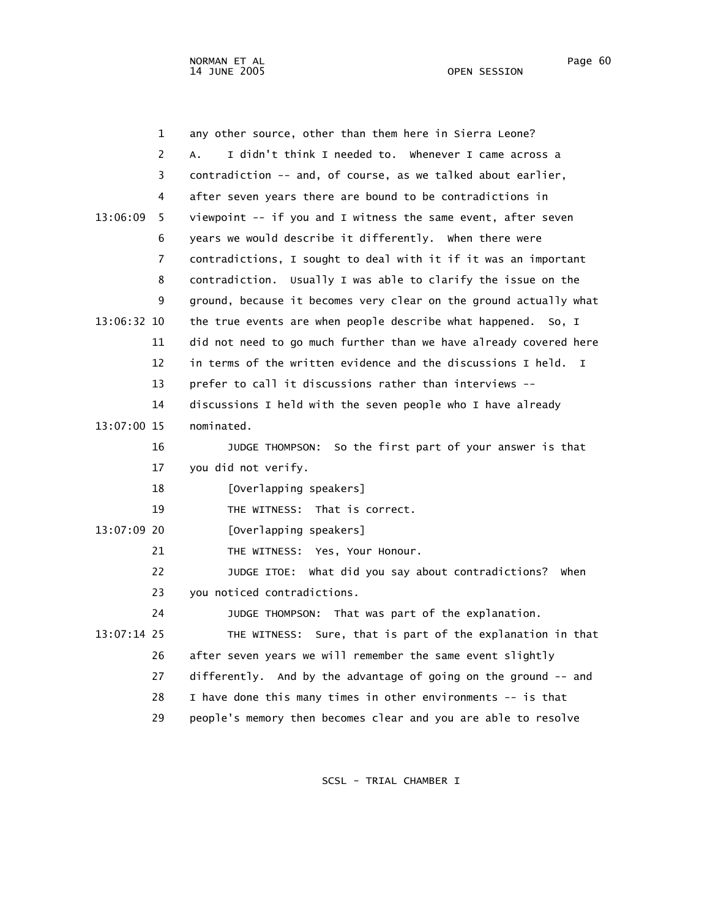|             | $\mathbf{1}$   | any other source, other than them here in Sierra Leone?                      |
|-------------|----------------|------------------------------------------------------------------------------|
|             | $\overline{c}$ | I didn't think I needed to. Whenever I came across a<br>А.                   |
|             | 3              | contradiction -- and, of course, as we talked about earlier,                 |
|             | 4              | after seven years there are bound to be contradictions in                    |
| 13:06:09    | 5              | viewpoint -- if you and I witness the same event, after seven                |
|             | 6              | years we would describe it differently. When there were                      |
|             | $\overline{7}$ | contradictions, I sought to deal with it if it was an important              |
|             | 8              | contradiction. Usually I was able to clarify the issue on the                |
|             | 9              | ground, because it becomes very clear on the ground actually what            |
| 13:06:32 10 |                | the true events are when people describe what happened. So, I                |
|             | 11             | did not need to go much further than we have already covered here            |
|             | 12             | in terms of the written evidence and the discussions I held.<br>$\mathsf{T}$ |
|             | 13             | prefer to call it discussions rather than interviews --                      |
|             | 14             | discussions I held with the seven people who I have already                  |
| 13:07:00 15 |                | nominated.                                                                   |
|             | 16             | So the first part of your answer is that<br>JUDGE THOMPSON:                  |
|             | 17             | you did not verify.                                                          |
|             | 18             | [Overlapping speakers]                                                       |
|             | 19             | That is correct.<br>THE WITNESS:                                             |
| 13:07:09 20 |                | [Overlapping speakers]                                                       |
|             | 21             | THE WITNESS: Yes, Your Honour.                                               |
|             | 22             | JUDGE ITOE: What did you say about contradictions? When                      |
|             | 23             | you noticed contradictions.                                                  |
|             | 24             | JUDGE THOMPSON: That was part of the explanation.                            |
| 13:07:14 25 |                | Sure, that is part of the explanation in that<br>THE WITNESS:                |
|             | 26             | after seven years we will remember the same event slightly                   |
|             | 27             | differently. And by the advantage of going on the ground -- and              |
|             | 28             | I have done this many times in other environments -- is that                 |
|             | 29             | people's memory then becomes clear and you are able to resolve               |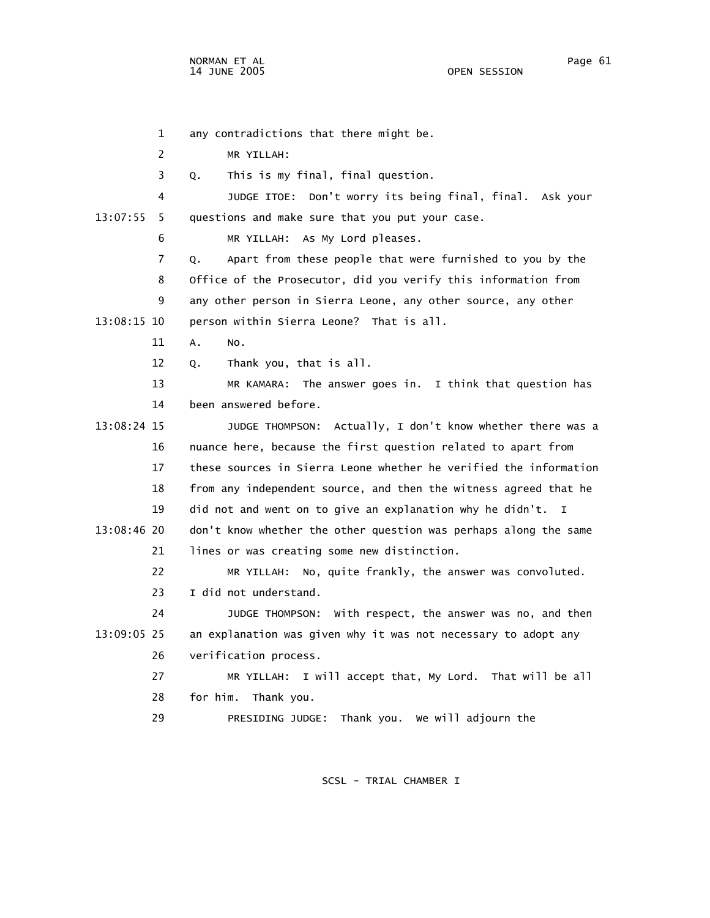1 any contradictions that there might be. 2 MR YILLAH: 3 Q. This is my final, final question. 4 JUDGE ITOE: Don't worry its being final, final. Ask your 13:07:55 5 questions and make sure that you put your case. 6 MR YILLAH: As My Lord pleases. 7 Q. Apart from these people that were furnished to you by the 8 Office of the Prosecutor, did you verify this information from 9 any other person in Sierra Leone, any other source, any other 13:08:15 10 person within Sierra Leone? That is all. 11 A. No. 12 Q. Thank you, that is all. 13 MR KAMARA: The answer goes in. I think that question has 14 been answered before. 13:08:24 15 JUDGE THOMPSON: Actually, I don't know whether there was a 16 nuance here, because the first question related to apart from 17 these sources in Sierra Leone whether he verified the information 18 from any independent source, and then the witness agreed that he 19 did not and went on to give an explanation why he didn't. I 13:08:46 20 don't know whether the other question was perhaps along the same 21 lines or was creating some new distinction. 22 MR YILLAH: No, quite frankly, the answer was convoluted. 23 I did not understand. 24 JUDGE THOMPSON: With respect, the answer was no, and then 13:09:05 25 an explanation was given why it was not necessary to adopt any 26 verification process. 27 MR YILLAH: I will accept that, My Lord. That will be all 28 for him. Thank you. 29 PRESIDING JUDGE: Thank you. We will adjourn the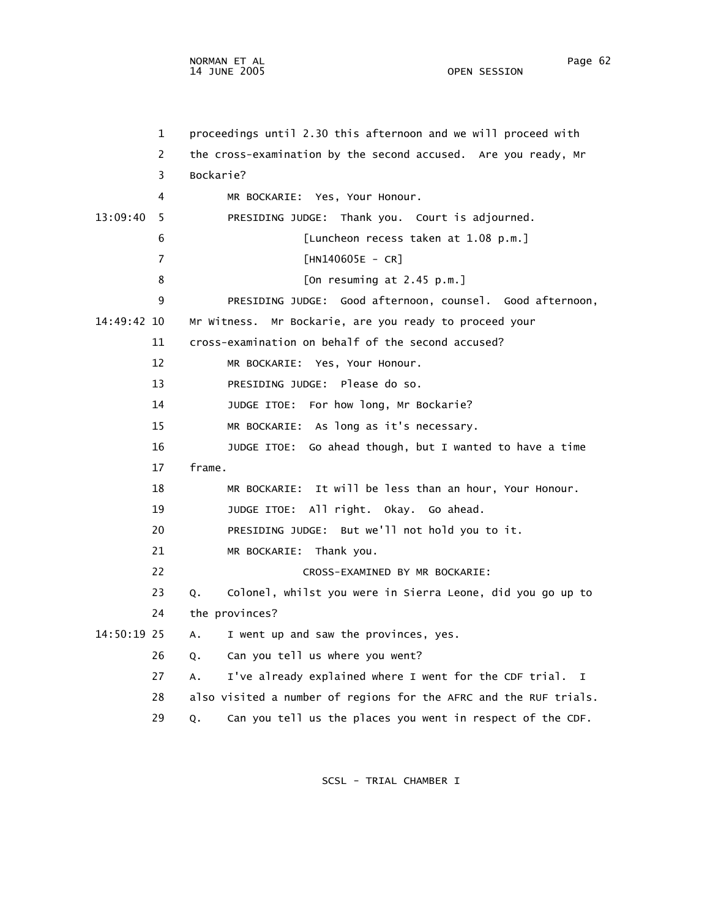1 proceedings until 2.30 this afternoon and we will proceed with 2 the cross-examination by the second accused. Are you ready, Mr 3 Bockarie? 4 MR BOCKARIE: Yes, Your Honour. 13:09:40 5 PRESIDING JUDGE: Thank you. Court is adjourned. 6 [Luncheon recess taken at 1.08 p.m.] 7 [HN140605E - CR] 8 [On resuming at 2.45 p.m.] 9 PRESIDING JUDGE: Good afternoon, counsel. Good afternoon, 14:49:42 10 Mr Witness. Mr Bockarie, are you ready to proceed your 11 cross-examination on behalf of the second accused? 12 MR BOCKARIE: Yes, Your Honour. 13 PRESIDING JUDGE: Please do so. 14 JUDGE ITOE: For how long, Mr Bockarie? 15 MR BOCKARIE: As long as it's necessary. 16 JUDGE ITOE: Go ahead though, but I wanted to have a time 17 frame. 18 MR BOCKARIE: It will be less than an hour, Your Honour. 19 JUDGE ITOE: All right. Okay. Go ahead. 20 PRESIDING JUDGE: But we'll not hold you to it. 21 MR BOCKARIE: Thank you. 22 CROSS-EXAMINED BY MR BOCKARIE: 23 Q. Colonel, whilst you were in Sierra Leone, did you go up to 24 the provinces? 14:50:19 25 A. I went up and saw the provinces, yes. 26 Q. Can you tell us where you went? 27 A. I've already explained where I went for the CDF trial. I 28 also visited a number of regions for the AFRC and the RUF trials. 29 Q. Can you tell us the places you went in respect of the CDF.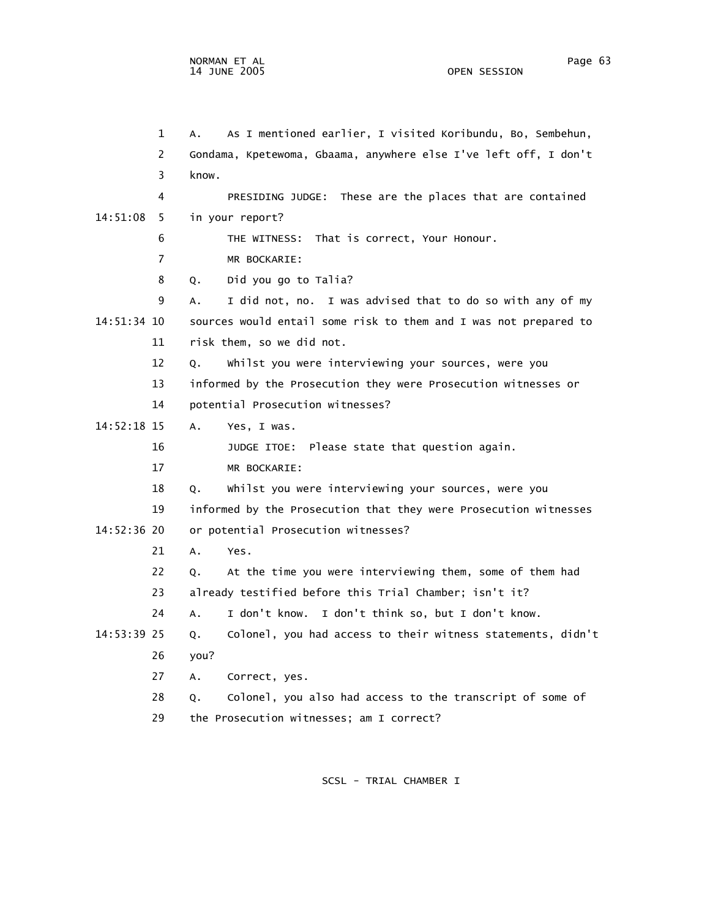1 A. As I mentioned earlier, I visited Koribundu, Bo, Sembehun, 2 Gondama, Kpetewoma, Gbaama, anywhere else I've left off, I don't 3 know. 4 PRESIDING JUDGE: These are the places that are contained 14:51:08 5 in your report? 6 THE WITNESS: That is correct, Your Honour. 7 MR BOCKARIE: 8 Q. Did you go to Talia? 9 A. I did not, no. I was advised that to do so with any of my 14:51:34 10 sources would entail some risk to them and I was not prepared to 11 risk them, so we did not. 12 Q. Whilst you were interviewing your sources, were you 13 informed by the Prosecution they were Prosecution witnesses or 14 potential Prosecution witnesses? 14:52:18 15 A. Yes, I was. 16 JUDGE ITOE: Please state that question again. 17 MR BOCKARIE: 18 Q. Whilst you were interviewing your sources, were you 19 informed by the Prosecution that they were Prosecution witnesses 14:52:36 20 or potential Prosecution witnesses? 21 A. Yes. 22 Q. At the time you were interviewing them, some of them had 23 already testified before this Trial Chamber; isn't it? 24 A. I don't know. I don't think so, but I don't know. 14:53:39 25 Q. Colonel, you had access to their witness statements, didn't 26 you? 27 A. Correct, yes. 28 Q. Colonel, you also had access to the transcript of some of 29 the Prosecution witnesses; am I correct?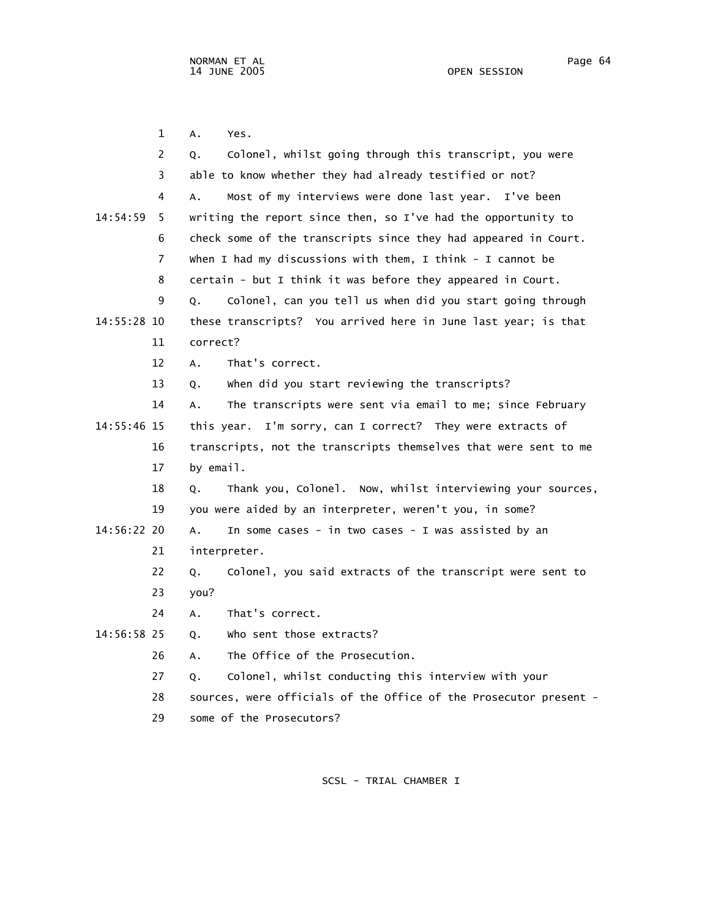1 A. Yes. 2 Q. Colonel, whilst going through this transcript, you were 3 able to know whether they had already testified or not? 4 A. Most of my interviews were done last year. I've been 14:54:59 5 writing the report since then, so I've had the opportunity to 6 check some of the transcripts since they had appeared in Court. 7 When I had my discussions with them, I think - I cannot be 8 certain - but I think it was before they appeared in Court. 9 Q. Colonel, can you tell us when did you start going through 14:55:28 10 these transcripts? You arrived here in June last year; is that 11 correct? 12 A. That's correct. 13 Q. When did you start reviewing the transcripts? 14 A. The transcripts were sent via email to me; since February 14:55:46 15 this year. I'm sorry, can I correct? They were extracts of 16 transcripts, not the transcripts themselves that were sent to me 17 by email. 18 Q. Thank you, Colonel. Now, whilst interviewing your sources, 19 you were aided by an interpreter, weren't you, in some? 14:56:22 20 A. In some cases - in two cases - I was assisted by an 21 interpreter. 22 Q. Colonel, you said extracts of the transcript were sent to 23 you? 24 A. That's correct. 14:56:58 25 Q. Who sent those extracts? 26 A. The Office of the Prosecution. 27 Q. Colonel, whilst conducting this interview with your 28 sources, were officials of the Office of the Prosecutor present -

29 some of the Prosecutors?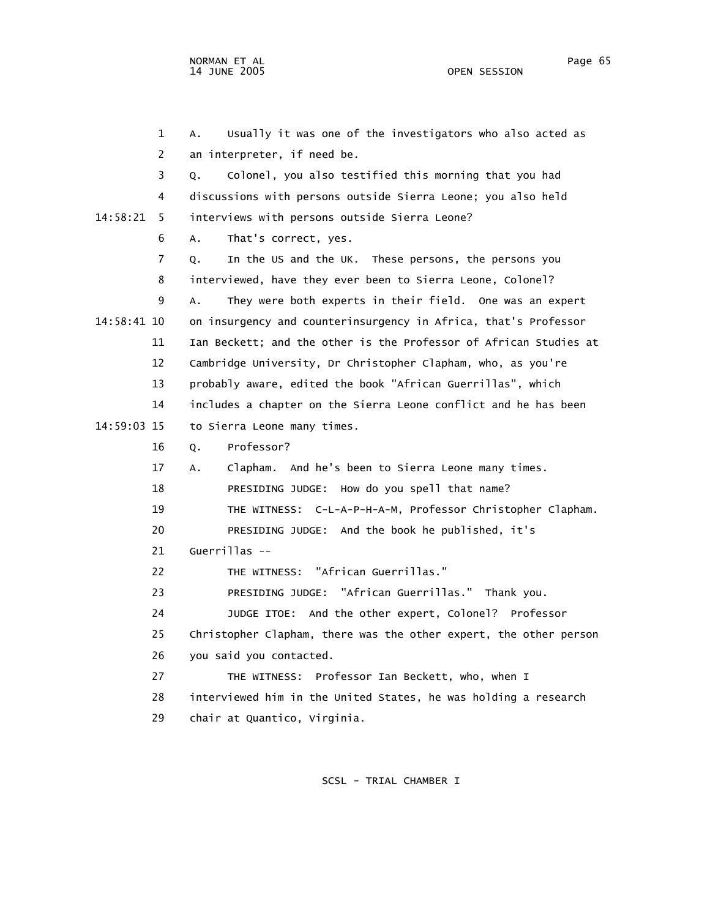1 A. Usually it was one of the investigators who also acted as 2 an interpreter, if need be. 3 Q. Colonel, you also testified this morning that you had 4 discussions with persons outside Sierra Leone; you also held 14:58:21 5 interviews with persons outside Sierra Leone? 6 A. That's correct, yes. 7 Q. In the US and the UK. These persons, the persons you 8 interviewed, have they ever been to Sierra Leone, Colonel? 9 A. They were both experts in their field. One was an expert 14:58:41 10 on insurgency and counterinsurgency in Africa, that's Professor 11 Ian Beckett; and the other is the Professor of African Studies at 12 Cambridge University, Dr Christopher Clapham, who, as you're 13 probably aware, edited the book "African Guerrillas", which 14 includes a chapter on the Sierra Leone conflict and he has been 14:59:03 15 to Sierra Leone many times. 16 Q. Professor? 17 A. Clapham. And he's been to Sierra Leone many times. 18 PRESIDING JUDGE: How do you spell that name? 19 THE WITNESS: C-L-A-P-H-A-M, Professor Christopher Clapham. 20 PRESIDING JUDGE: And the book he published, it's 21 Guerrillas -- 22 THE WITNESS: "African Guerrillas." 23 PRESIDING JUDGE: "African Guerrillas." Thank you. 24 JUDGE ITOE: And the other expert, Colonel? Professor 25 Christopher Clapham, there was the other expert, the other person 26 you said you contacted. 27 THE WITNESS: Professor Ian Beckett, who, when I 28 interviewed him in the United States, he was holding a research 29 chair at Quantico, Virginia.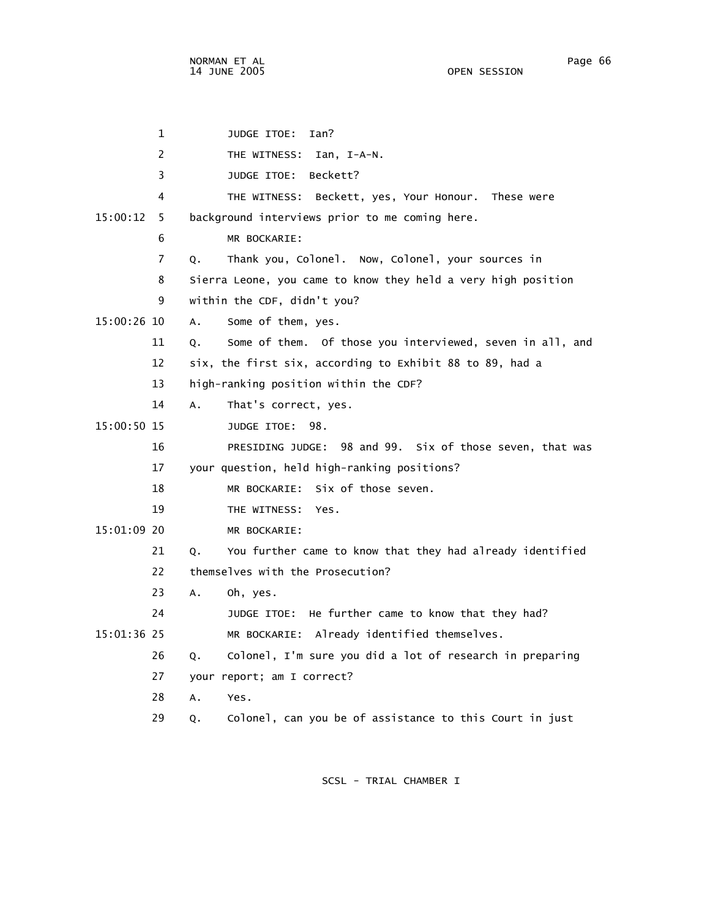1 JUDGE ITOE: Ian? 2 THE WITNESS: Ian, I-A-N. 3 JUDGE ITOE: Beckett? 4 THE WITNESS: Beckett, yes, Your Honour. These were 15:00:12 5 background interviews prior to me coming here. 6 MR BOCKARIE: 7 Q. Thank you, Colonel. Now, Colonel, your sources in 8 Sierra Leone, you came to know they held a very high position 9 within the CDF, didn't you? 15:00:26 10 A. Some of them, yes. 11 Q. Some of them. Of those you interviewed, seven in all, and 12 six, the first six, according to Exhibit 88 to 89, had a 13 high-ranking position within the CDF? 14 A. That's correct, yes. 15:00:50 15 JUDGE ITOE: 98. 16 PRESIDING JUDGE: 98 and 99. Six of those seven, that was 17 your question, held high-ranking positions? 18 MR BOCKARIE: Six of those seven. 19 THE WITNESS: Yes. 15:01:09 20 MR BOCKARIE: 21 Q. You further came to know that they had already identified 22 themselves with the Prosecution? 23 A. Oh, yes. 24 JUDGE ITOE: He further came to know that they had? 15:01:36 25 MR BOCKARIE: Already identified themselves. 26 Q. Colonel, I'm sure you did a lot of research in preparing 27 your report; am I correct? 28 A. Yes. 29 Q. Colonel, can you be of assistance to this Court in just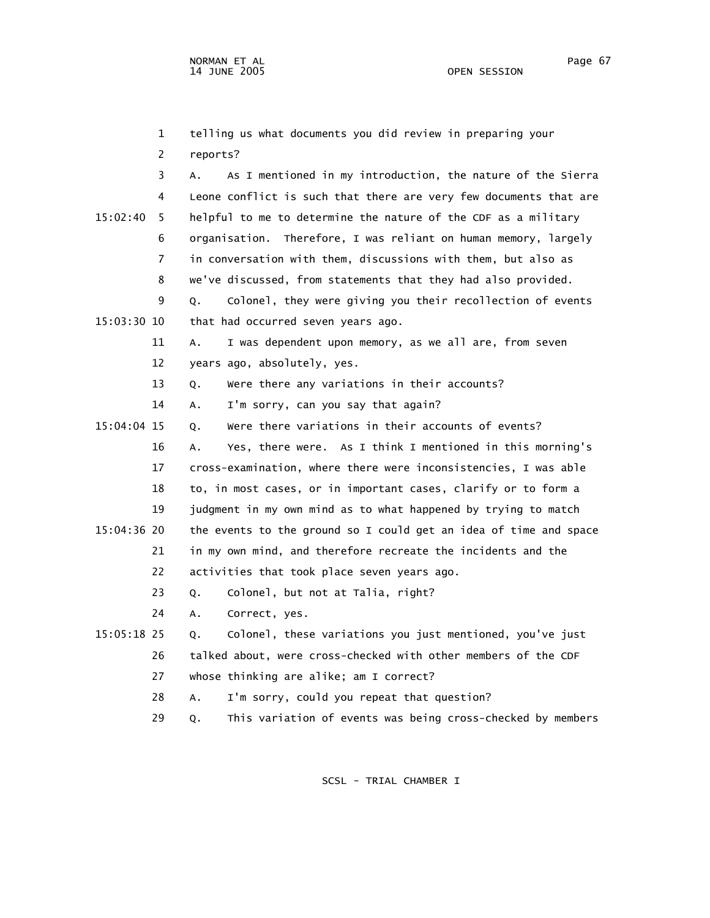1 telling us what documents you did review in preparing your 2 reports? 3 A. As I mentioned in my introduction, the nature of the Sierra 4 Leone conflict is such that there are very few documents that are 15:02:40 5 helpful to me to determine the nature of the CDF as a military 6 organisation. Therefore, I was reliant on human memory, largely 7 in conversation with them, discussions with them, but also as 8 we've discussed, from statements that they had also provided. 9 Q. Colonel, they were giving you their recollection of events 15:03:30 10 that had occurred seven years ago. 11 A. I was dependent upon memory, as we all are, from seven 12 years ago, absolutely, yes. 13 Q. Were there any variations in their accounts? 14 A. I'm sorry, can you say that again? 15:04:04 15 Q. Were there variations in their accounts of events? 16 A. Yes, there were. As I think I mentioned in this morning's 17 cross-examination, where there were inconsistencies, I was able 18 to, in most cases, or in important cases, clarify or to form a 19 judgment in my own mind as to what happened by trying to match 15:04:36 20 the events to the ground so I could get an idea of time and space 21 in my own mind, and therefore recreate the incidents and the 22 activities that took place seven years ago. 23 Q. Colonel, but not at Talia, right? 24 A. Correct, yes. 15:05:18 25 Q. Colonel, these variations you just mentioned, you've just 26 talked about, were cross-checked with other members of the CDF 27 whose thinking are alike; am I correct? 28 A. I'm sorry, could you repeat that question?

29 Q. This variation of events was being cross-checked by members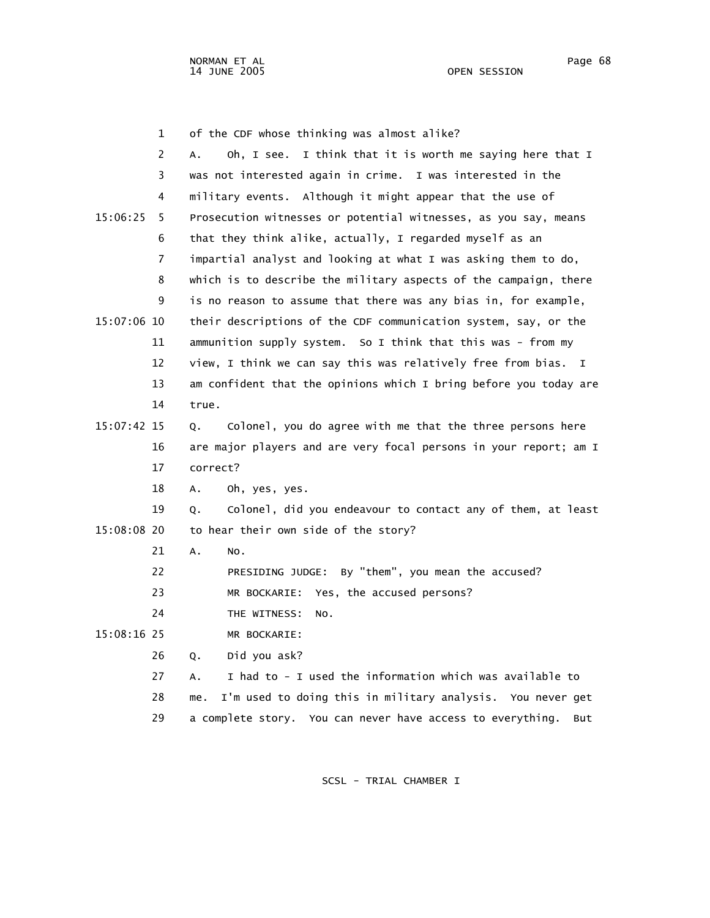|             | $\mathbf 1$ | of the CDF whose thinking was almost alike?                       |
|-------------|-------------|-------------------------------------------------------------------|
|             | 2           | Oh, I see. I think that it is worth me saying here that I<br>A.   |
|             | 3           | was not interested again in crime. I was interested in the        |
|             | 4           | military events. Although it might appear that the use of         |
| 15:06:25    | 5           | Prosecution witnesses or potential witnesses, as you say, means   |
|             | 6           | that they think alike, actually, I regarded myself as an          |
|             | 7           | impartial analyst and looking at what I was asking them to do,    |
|             | 8           | which is to describe the military aspects of the campaign, there  |
|             | 9           | is no reason to assume that there was any bias in, for example,   |
| 15:07:06 10 |             | their descriptions of the CDF communication system, say, or the   |
|             | 11          | ammunition supply system. So I think that this was - from my      |
|             | 12          | view, I think we can say this was relatively free from bias. I    |
|             | 13          | am confident that the opinions which I bring before you today are |
|             | 14          | true.                                                             |
| 15:07:42 15 |             | Colonel, you do agree with me that the three persons here<br>Q.   |
|             | 16          | are major players and are very focal persons in your report; am I |
|             | 17          | correct?                                                          |
|             | 18          | Oh, yes, yes.<br>А.                                               |
|             | 19          | Colonel, did you endeavour to contact any of them, at least<br>Q. |
| 15:08:08 20 |             | to hear their own side of the story?                              |
|             | 21          | Α.<br>NO.                                                         |
|             | 22          | PRESIDING JUDGE: By "them", you mean the accused?                 |
|             | 23          | Yes, the accused persons?<br>MR BOCKARIE:                         |
|             | 24          | THE WITNESS:<br>NO.                                               |
| 15:08:16 25 |             | MR BOCKARIE:                                                      |
|             | 26          | Did you ask?<br>Q.                                                |
|             | 27          | I had to - I used the information which was available to<br>А.    |
|             | 28          | I'm used to doing this in military analysis. You never get<br>me. |

SCSL - TRIAL CHAMBER I

29 a complete story. You can never have access to everything. But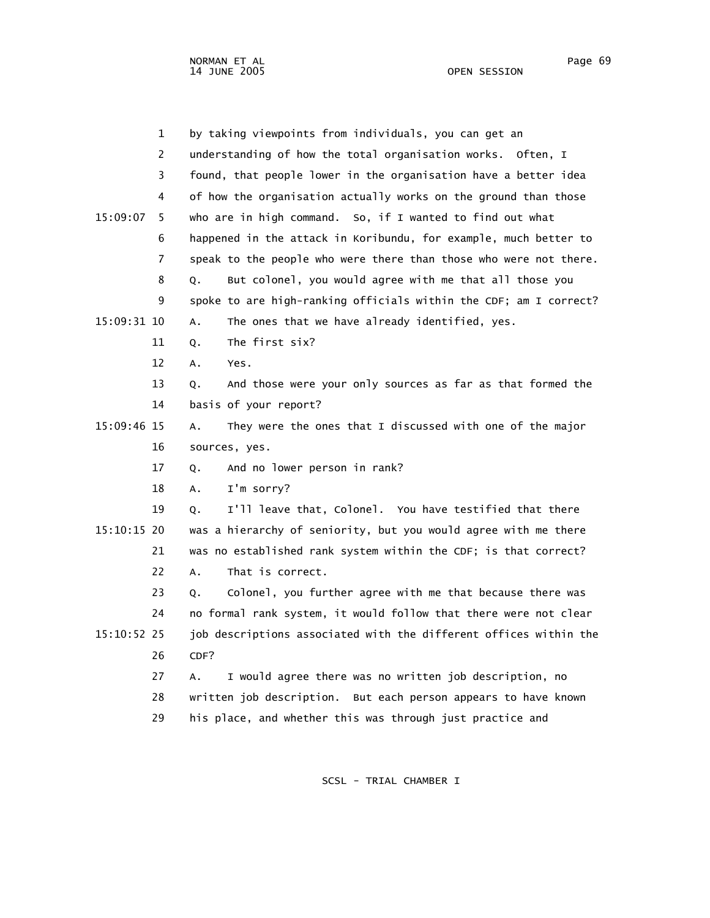1 by taking viewpoints from individuals, you can get an 2 understanding of how the total organisation works. Often, I 3 found, that people lower in the organisation have a better idea 4 of how the organisation actually works on the ground than those 15:09:07 5 who are in high command. So, if I wanted to find out what 6 happened in the attack in Koribundu, for example, much better to 7 speak to the people who were there than those who were not there. 8 Q. But colonel, you would agree with me that all those you 9 spoke to are high-ranking officials within the CDF; am I correct? 15:09:31 10 A. The ones that we have already identified, yes. 11 Q. The first six? 12 A. Yes. 13 Q. And those were your only sources as far as that formed the 14 basis of your report? 15:09:46 15 A. They were the ones that I discussed with one of the major 16 sources, yes. 17 Q. And no lower person in rank? 18 A. I'm sorry? 19 Q. I'll leave that, Colonel. You have testified that there 15:10:15 20 was a hierarchy of seniority, but you would agree with me there 21 was no established rank system within the CDF; is that correct? 22 A. That is correct. 23 Q. Colonel, you further agree with me that because there was 24 no formal rank system, it would follow that there were not clear 15:10:52 25 job descriptions associated with the different offices within the 26 CDF? 27 A. I would agree there was no written job description, no 28 written job description. But each person appears to have known 29 his place, and whether this was through just practice and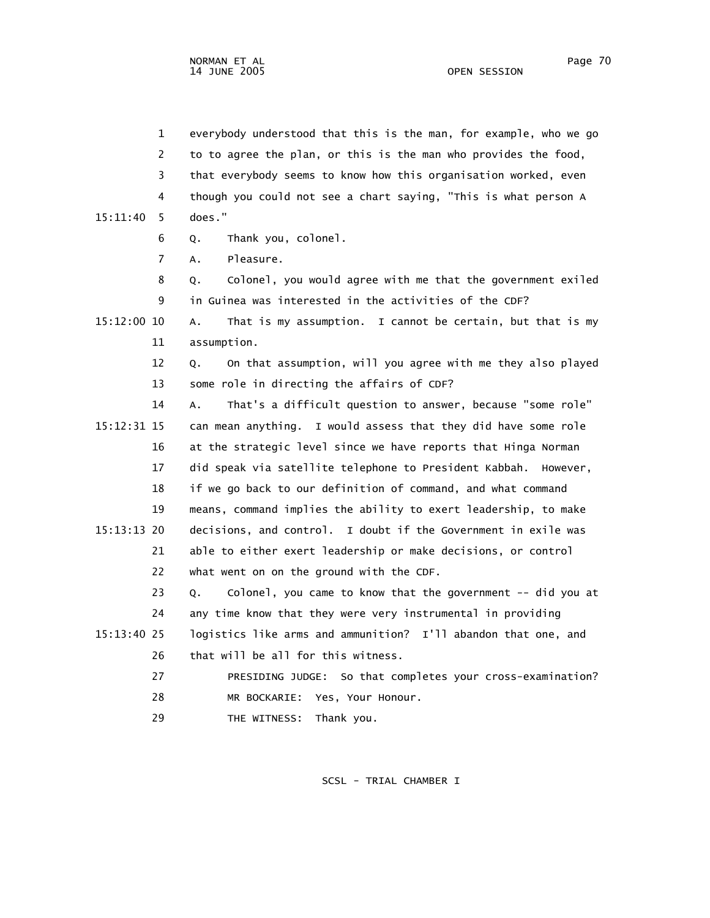1 everybody understood that this is the man, for example, who we go 2 to to agree the plan, or this is the man who provides the food, 3 that everybody seems to know how this organisation worked, even 4 though you could not see a chart saying, "This is what person A 15:11:40 5 does." 6 Q. Thank you, colonel. 7 A. Pleasure. 8 Q. Colonel, you would agree with me that the government exiled 9 in Guinea was interested in the activities of the CDF? 15:12:00 10 A. That is my assumption. I cannot be certain, but that is my 11 assumption. 12 Q. On that assumption, will you agree with me they also played 13 some role in directing the affairs of CDF? 14 A. That's a difficult question to answer, because "some role" 15:12:31 15 can mean anything. I would assess that they did have some role 16 at the strategic level since we have reports that Hinga Norman 17 did speak via satellite telephone to President Kabbah. However, 18 if we go back to our definition of command, and what command 19 means, command implies the ability to exert leadership, to make 15:13:13 20 decisions, and control. I doubt if the Government in exile was 21 able to either exert leadership or make decisions, or control 22 what went on on the ground with the CDF. 23 Q. Colonel, you came to know that the government -- did you at 24 any time know that they were very instrumental in providing 15:13:40 25 logistics like arms and ammunition? I'll abandon that one, and 26 that will be all for this witness. 27 PRESIDING JUDGE: So that completes your cross-examination? 28 MR BOCKARIE: Yes, Your Honour. 29 THE WITNESS: Thank you.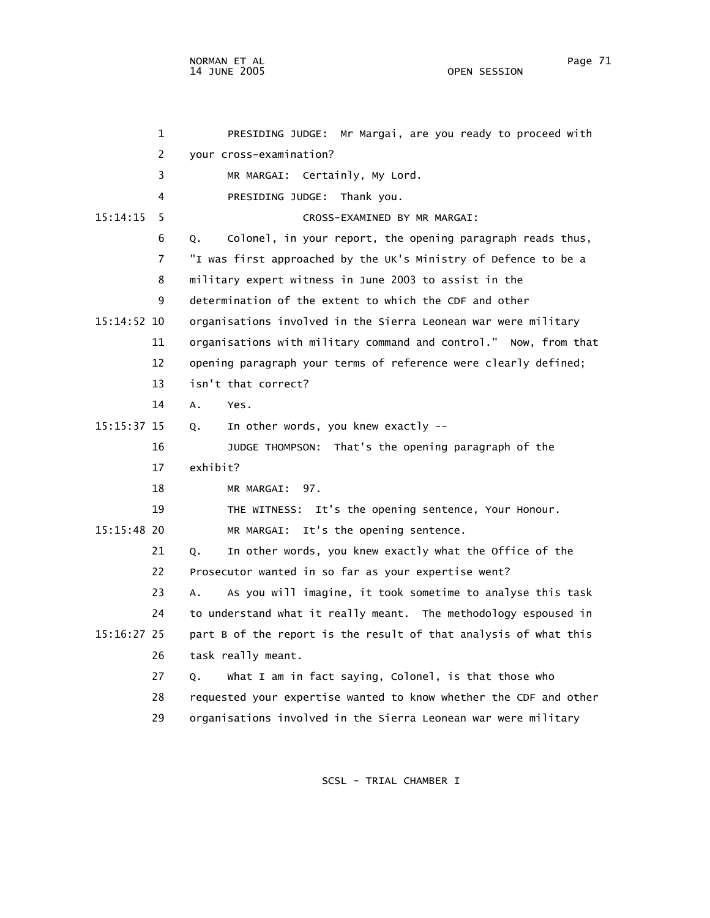1 PRESIDING JUDGE: Mr Margai, are you ready to proceed with 2 your cross-examination? 3 MR MARGAI: Certainly, My Lord. 4 PRESIDING JUDGE: Thank you. 15:14:15 5 CROSS-EXAMINED BY MR MARGAI: 6 Q. Colonel, in your report, the opening paragraph reads thus, 7 "I was first approached by the UK's Ministry of Defence to be a 8 military expert witness in June 2003 to assist in the 9 determination of the extent to which the CDF and other 15:14:52 10 organisations involved in the Sierra Leonean war were military 11 organisations with military command and control." Now, from that 12 opening paragraph your terms of reference were clearly defined; 13 isn't that correct? 14 A. Yes. 15:15:37 15 Q. In other words, you knew exactly -- 16 JUDGE THOMPSON: That's the opening paragraph of the 17 exhibit? 18 MR MARGAI: 97. 19 THE WITNESS: It's the opening sentence, Your Honour. 15:15:48 20 MR MARGAI: It's the opening sentence. 21 Q. In other words, you knew exactly what the Office of the 22 Prosecutor wanted in so far as your expertise went? 23 A. As you will imagine, it took sometime to analyse this task 24 to understand what it really meant. The methodology espoused in 15:16:27 25 part B of the report is the result of that analysis of what this 26 task really meant. 27 Q. What I am in fact saying, Colonel, is that those who 28 requested your expertise wanted to know whether the CDF and other 29 organisations involved in the Sierra Leonean war were military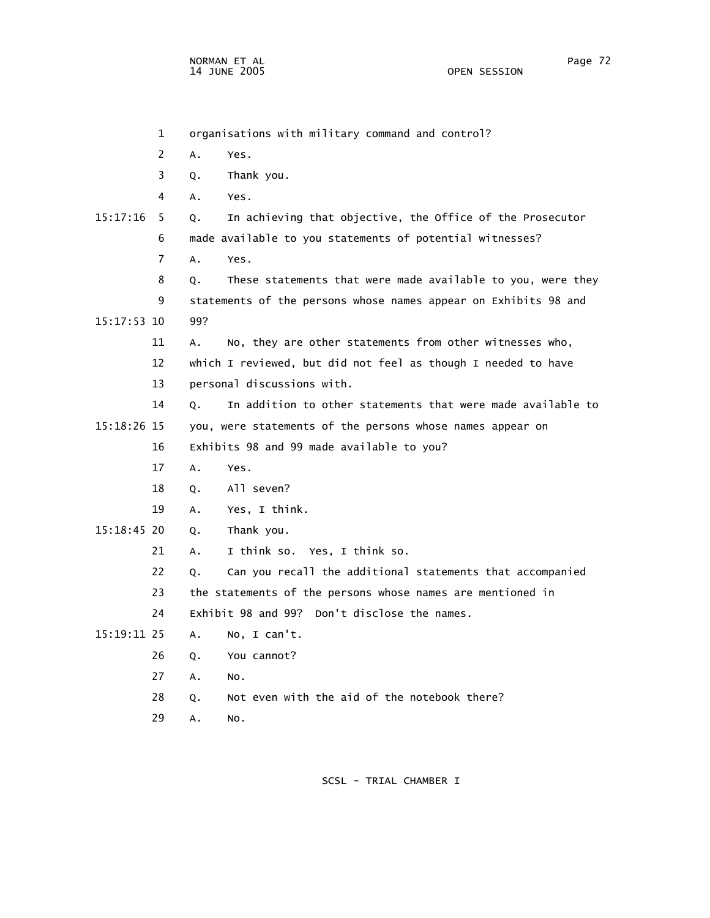1 organisations with military command and control? 2 A. Yes. 3 Q. Thank you. 4 A. Yes. 15:17:16 5 Q. In achieving that objective, the Office of the Prosecutor 6 made available to you statements of potential witnesses? 7 A. Yes. 8 Q. These statements that were made available to you, were they 9 statements of the persons whose names appear on Exhibits 98 and 15:17:53 10 99? 11 A. No, they are other statements from other witnesses who, 12 which I reviewed, but did not feel as though I needed to have 13 personal discussions with. 14 Q. In addition to other statements that were made available to 15:18:26 15 you, were statements of the persons whose names appear on 16 Exhibits 98 and 99 made available to you? 17 A. Yes. 18 Q. All seven? 19 A. Yes, I think. 15:18:45 20 Q. Thank you. 21 A. I think so. Yes, I think so. 22 Q. Can you recall the additional statements that accompanied 23 the statements of the persons whose names are mentioned in 24 Exhibit 98 and 99? Don't disclose the names. 15:19:11 25 A. No, I can't. 26 Q. You cannot? 27 A. No. 28 Q. Not even with the aid of the notebook there? 29 A. No.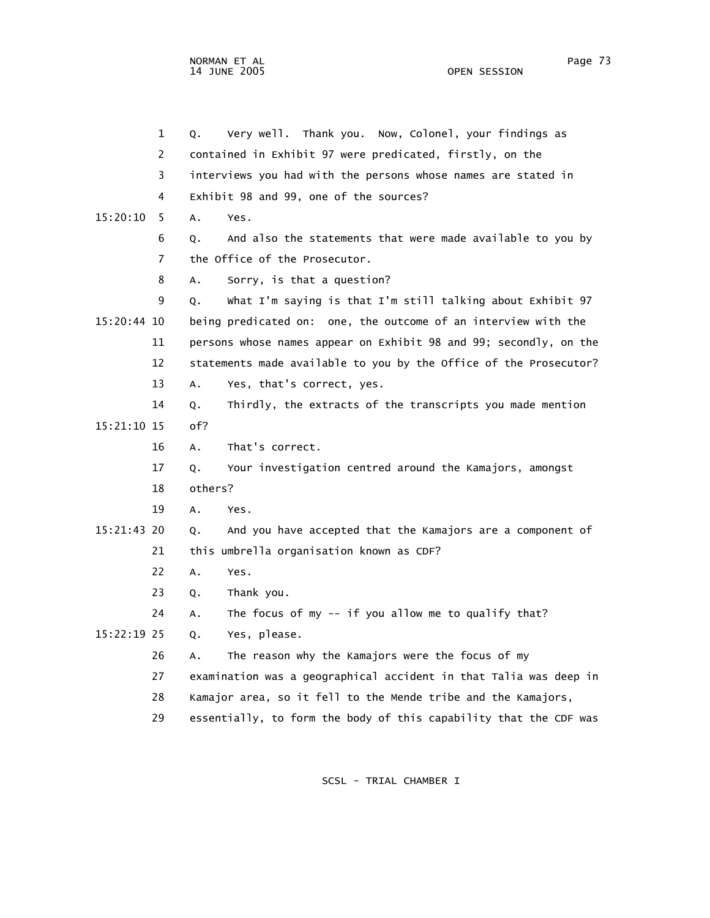1 Q. Very well. Thank you. Now, Colonel, your findings as 2 contained in Exhibit 97 were predicated, firstly, on the 3 interviews you had with the persons whose names are stated in 4 Exhibit 98 and 99, one of the sources? 15:20:10 5 A. Yes. 6 Q. And also the statements that were made available to you by 7 the Office of the Prosecutor. 8 A. Sorry, is that a question? 9 Q. What I'm saying is that I'm still talking about Exhibit 97 15:20:44 10 being predicated on: one, the outcome of an interview with the 11 persons whose names appear on Exhibit 98 and 99; secondly, on the 12 statements made available to you by the Office of the Prosecutor? 13 A. Yes, that's correct, yes. 14 Q. Thirdly, the extracts of the transcripts you made mention 15:21:10 15 of? 16 A. That's correct. 17 Q. Your investigation centred around the Kamajors, amongst 18 others? 19 A. Yes. 15:21:43 20 Q. And you have accepted that the Kamajors are a component of 21 this umbrella organisation known as CDF? 22 A. Yes. 23 Q. Thank you. 24 A. The focus of my -- if you allow me to qualify that? 15:22:19 25 Q. Yes, please. 26 A. The reason why the Kamajors were the focus of my 27 examination was a geographical accident in that Talia was deep in 28 Kamajor area, so it fell to the Mende tribe and the Kamajors, 29 essentially, to form the body of this capability that the CDF was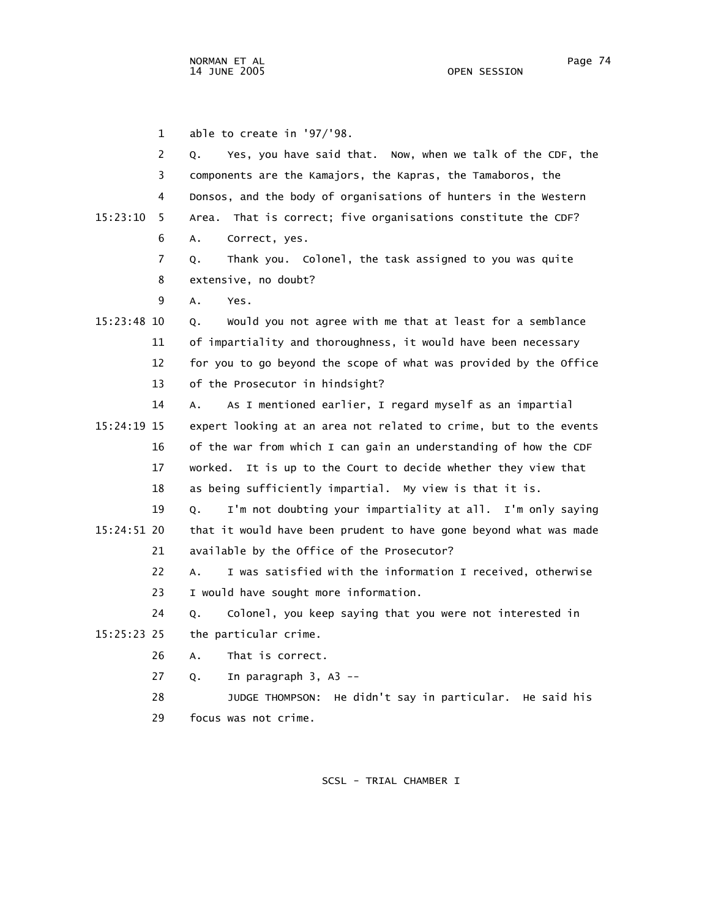1 able to create in '97/'98.

| $\overline{2}$ | Yes, you have said that. Now, when we talk of the CDF, the<br>Q.  |
|----------------|-------------------------------------------------------------------|
| 3              | components are the Kamajors, the Kapras, the Tamaboros, the       |
| 4              | Donsos, and the body of organisations of hunters in the Western   |
| 15:23:10<br>5. | That is correct; five organisations constitute the CDF?<br>Area.  |
| 6              | Α.<br>Correct, yes.                                               |
| 7              | Thank you. Colonel, the task assigned to you was quite<br>Q.      |
| 8              | extensive, no doubt?                                              |
| 9              | Α.<br>Yes.                                                        |
| 15:23:48 10    | Would you not agree with me that at least for a semblance<br>Q.   |
| 11             | of impartiality and thoroughness, it would have been necessary    |
| 12             | for you to go beyond the scope of what was provided by the Office |
| 13             | of the Prosecutor in hindsight?                                   |
| 14             | As I mentioned earlier, I regard myself as an impartial<br>А.     |
| 15:24:19 15    | expert looking at an area not related to crime, but to the events |
| 16             | of the war from which I can gain an understanding of how the CDF  |
| 17             | It is up to the Court to decide whether they view that<br>worked. |
| 18             | as being sufficiently impartial. My view is that it is.           |
| 19             | I'm not doubting your impartiality at all. I'm only saying<br>Q.  |
| 15:24:51 20    | that it would have been prudent to have gone beyond what was made |
| 21             | available by the Office of the Prosecutor?                        |
| 22             | I was satisfied with the information I received, otherwise<br>A.  |
| 23             | I would have sought more information.                             |
| 24             | Colonel, you keep saying that you were not interested in<br>Q.    |
| 15:25:23 25    | the particular crime.                                             |
| 26             | That is correct.<br>А.                                            |
| 27             | In paragraph $3, A3$ --<br>Q.                                     |
| 28             | He didn't say in particular. He said his<br>JUDGE THOMPSON:       |
| 29             | focus was not crime.                                              |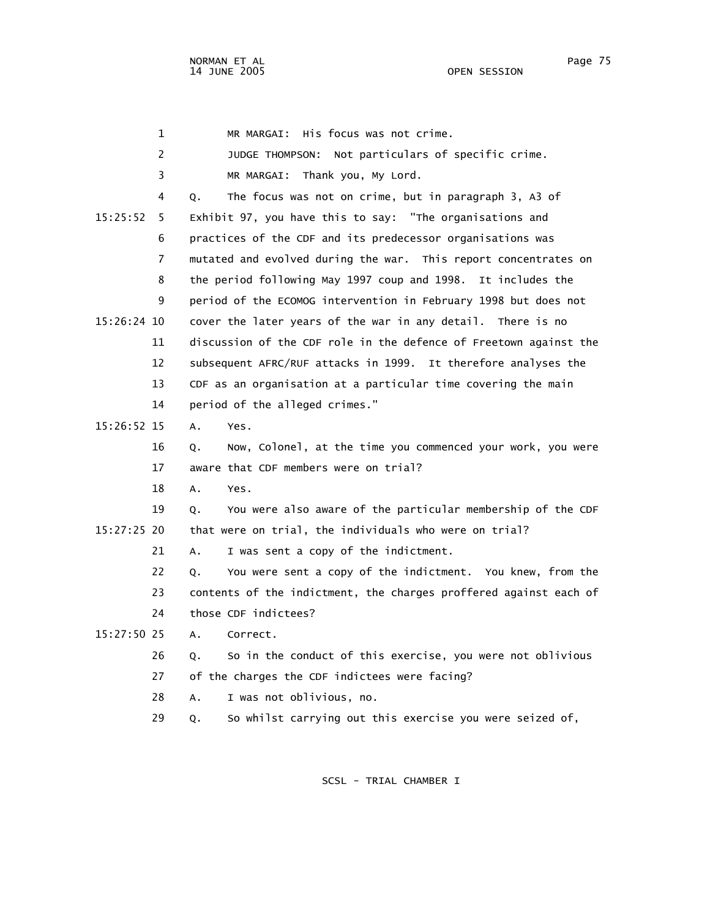1 MR MARGAI: His focus was not crime. 2 JUDGE THOMPSON: Not particulars of specific crime. 3 MR MARGAI: Thank you, My Lord. 4 Q. The focus was not on crime, but in paragraph 3, A3 of 15:25:52 5 Exhibit 97, you have this to say: "The organisations and 6 practices of the CDF and its predecessor organisations was 7 mutated and evolved during the war. This report concentrates on 8 the period following May 1997 coup and 1998. It includes the 9 period of the ECOMOG intervention in February 1998 but does not 15:26:24 10 cover the later years of the war in any detail. There is no 11 discussion of the CDF role in the defence of Freetown against the 12 subsequent AFRC/RUF attacks in 1999. It therefore analyses the 13 CDF as an organisation at a particular time covering the main 14 period of the alleged crimes." 15:26:52 15 A. Yes. 16 Q. Now, Colonel, at the time you commenced your work, you were 17 aware that CDF members were on trial? 18 A. Yes. 19 Q. You were also aware of the particular membership of the CDF 15:27:25 20 that were on trial, the individuals who were on trial? 21 A. I was sent a copy of the indictment. 22 Q. You were sent a copy of the indictment. You knew, from the 23 contents of the indictment, the charges proffered against each of 24 those CDF indictees? 15:27:50 25 A. Correct. 26 Q. So in the conduct of this exercise, you were not oblivious 27 of the charges the CDF indictees were facing? 28 A. I was not oblivious, no.

SCSL - TRIAL CHAMBER I

29 Q. So whilst carrying out this exercise you were seized of,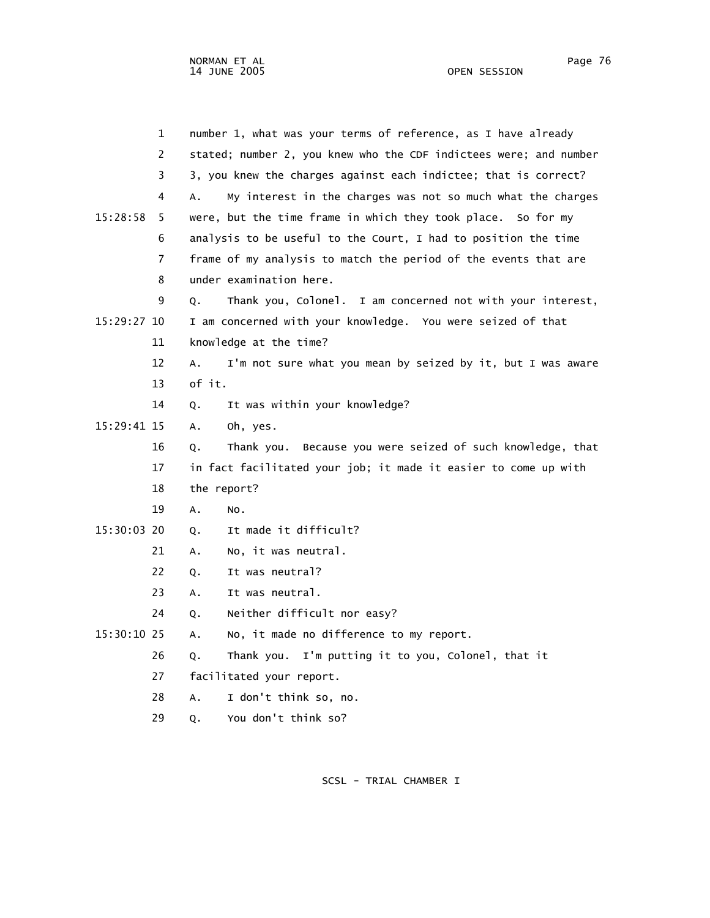|               | $\mathbf 1$    |             | number 1, what was your terms of reference, as I have already     |
|---------------|----------------|-------------|-------------------------------------------------------------------|
|               | 2              |             | stated; number 2, you knew who the CDF indictees were; and number |
|               | 3              |             | 3, you knew the charges against each indictee; that is correct?   |
|               | 4              | Α.          | My interest in the charges was not so much what the charges       |
| 15:28:58      | 5              |             | were, but the time frame in which they took place. So for my      |
|               | 6              |             | analysis to be useful to the Court, I had to position the time    |
|               | $\overline{7}$ |             | frame of my analysis to match the period of the events that are   |
|               | 8              |             | under examination here.                                           |
|               | 9              | Q.          | I am concerned not with your interest,<br>Thank you, Colonel.     |
| 15:29:27 10   |                |             | I am concerned with your knowledge. You were seized of that       |
|               | 11             |             | knowledge at the time?                                            |
|               | 12             | Α.          | I'm not sure what you mean by seized by it, but I was aware       |
|               | 13             | of it.      |                                                                   |
|               | 14             | Q.          | It was within your knowledge?                                     |
| 15:29:41 15   |                | А.          | Oh, yes.                                                          |
|               | 16             | Q.          | Thank you. Because you were seized of such knowledge, that        |
|               | 17             |             | in fact facilitated your job; it made it easier to come up with   |
|               | 18             | the report? |                                                                   |
|               | 19             | Α.          | NO.                                                               |
| 15:30:03 20   |                | Q.          | It made it difficult?                                             |
|               | 21             | А.          | No, it was neutral.                                               |
|               | 22             | Q.          | It was neutral?                                                   |
|               | 23             | Α.          | It was neutral.                                                   |
|               | 24             | Q.          | Neither difficult nor easy?                                       |
| $15:30:10$ 25 |                | А.          | No, it made no difference to my report.                           |
|               | 26             | Q.          | Thank you. I'm putting it to you, Colonel, that it                |
|               | 27             |             | facilitated your report.                                          |
|               | 28             | А.          | I don't think so, no.                                             |
|               |                |             |                                                                   |

29 Q. You don't think so?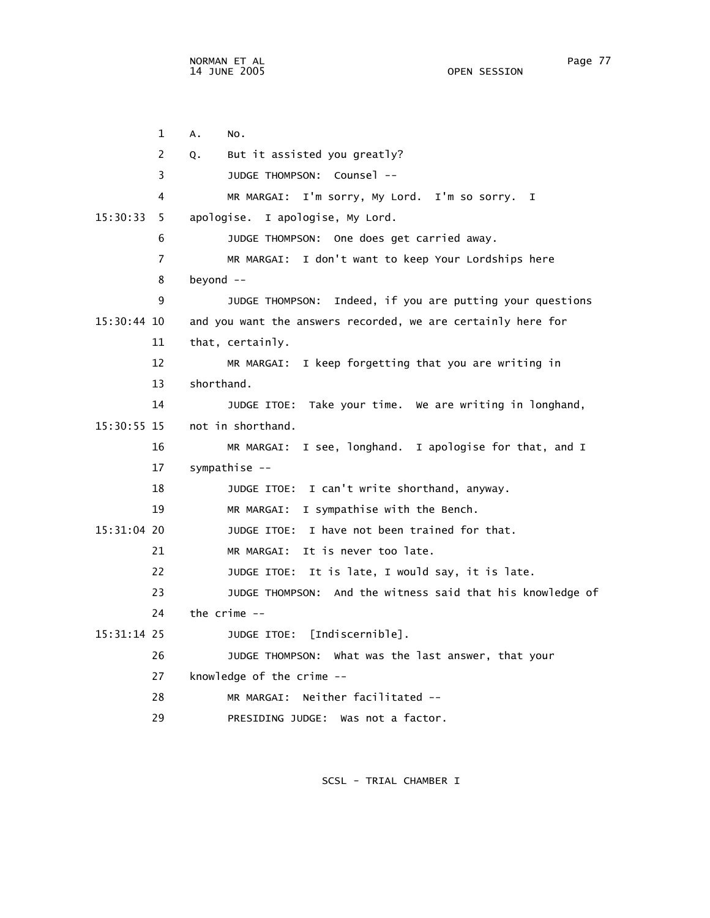1 A. No. 2 Q. But it assisted you greatly? 3 JUDGE THOMPSON: Counsel -- 4 MR MARGAI: I'm sorry, My Lord. I'm so sorry. I 15:30:33 5 apologise. I apologise, My Lord. 6 JUDGE THOMPSON: One does get carried away. 7 MR MARGAI: I don't want to keep Your Lordships here 8 beyond -- 9 JUDGE THOMPSON: Indeed, if you are putting your questions 15:30:44 10 and you want the answers recorded, we are certainly here for 11 that, certainly. 12 MR MARGAI: I keep forgetting that you are writing in 13 shorthand. 14 JUDGE ITOE: Take your time. We are writing in longhand, 15:30:55 15 not in shorthand. 16 MR MARGAI: I see, longhand. I apologise for that, and I 17 sympathise -- 18 JUDGE ITOE: I can't write shorthand, anyway. 19 MR MARGAI: I sympathise with the Bench. 15:31:04 20 JUDGE ITOE: I have not been trained for that. 21 MR MARGAI: It is never too late. 22 JUDGE ITOE: It is late, I would say, it is late. 23 JUDGE THOMPSON: And the witness said that his knowledge of 24 the crime -- 15:31:14 25 JUDGE ITOE: [Indiscernible]. 26 JUDGE THOMPSON: What was the last answer, that your 27 knowledge of the crime -- 28 MR MARGAI: Neither facilitated -- 29 PRESIDING JUDGE: Was not a factor.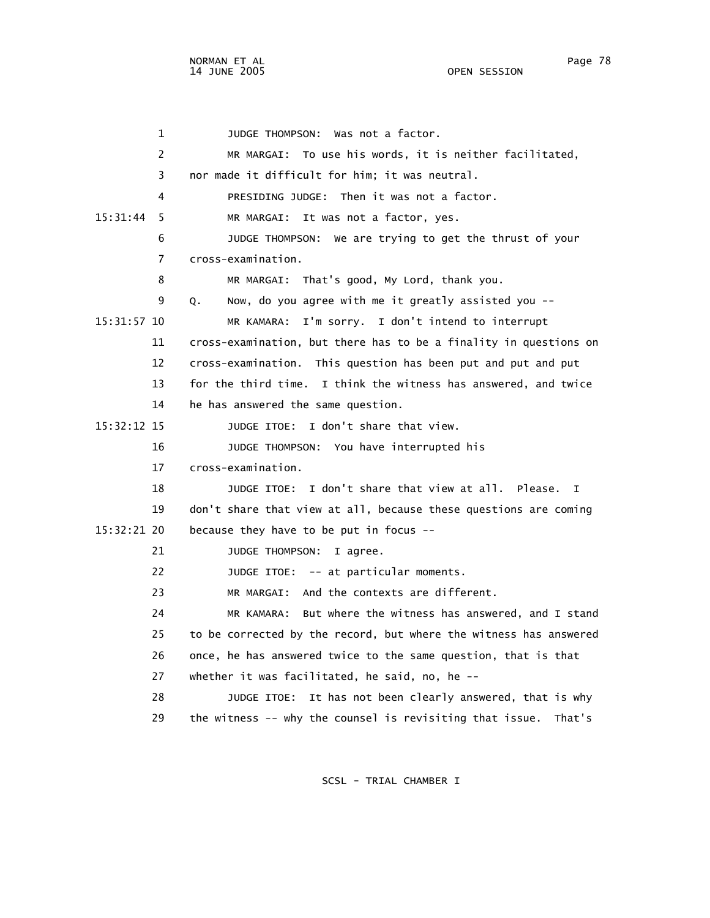1 JUDGE THOMPSON: Was not a factor. 2 MR MARGAI: To use his words, it is neither facilitated, 3 nor made it difficult for him; it was neutral. 4 PRESIDING JUDGE: Then it was not a factor. 15:31:44 5 MR MARGAI: It was not a factor, yes. 6 JUDGE THOMPSON: We are trying to get the thrust of your 7 cross-examination. 8 MR MARGAI: That's good, My Lord, thank you. 9 Q. Now, do you agree with me it greatly assisted you -- 15:31:57 10 MR KAMARA: I'm sorry. I don't intend to interrupt 11 cross-examination, but there has to be a finality in questions on 12 cross-examination. This question has been put and put and put 13 for the third time. I think the witness has answered, and twice 14 he has answered the same question. 15:32:12 15 JUDGE ITOE: I don't share that view. 16 JUDGE THOMPSON: You have interrupted his 17 cross-examination. 18 JUDGE ITOE: I don't share that view at all. Please. I 19 don't share that view at all, because these questions are coming 15:32:21 20 because they have to be put in focus -- 21 JUDGE THOMPSON: I agree. 22 JUDGE ITOE: -- at particular moments. 23 MR MARGAI: And the contexts are different. 24 MR KAMARA: But where the witness has answered, and I stand 25 to be corrected by the record, but where the witness has answered 26 once, he has answered twice to the same question, that is that 27 whether it was facilitated, he said, no, he -- 28 JUDGE ITOE: It has not been clearly answered, that is why 29 the witness -- why the counsel is revisiting that issue. That's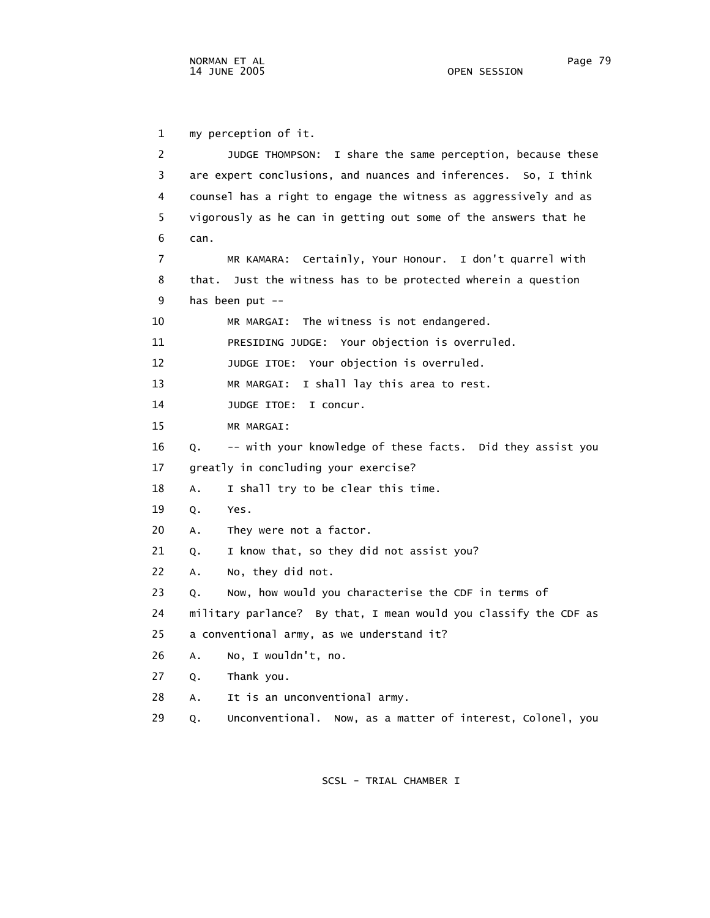1 my perception of it. 2 JUDGE THOMPSON: I share the same perception, because these 3 are expert conclusions, and nuances and inferences. So, I think 4 counsel has a right to engage the witness as aggressively and as 5 vigorously as he can in getting out some of the answers that he 6 can. 7 MR KAMARA: Certainly, Your Honour. I don't quarrel with 8 that. Just the witness has to be protected wherein a question 9 has been put -- 10 MR MARGAI: The witness is not endangered. 11 PRESIDING JUDGE: Your objection is overruled. 12 JUDGE ITOE: Your objection is overruled. 13 MR MARGAI: I shall lay this area to rest. 14 JUDGE ITOE: I concur. 15 MR MARGAI: 16 Q. -- with your knowledge of these facts. Did they assist you 17 greatly in concluding your exercise? 18 A. I shall try to be clear this time. 19 Q. Yes. 20 A. They were not a factor. 21 Q. I know that, so they did not assist you? 22 A. No, they did not. 23 Q. Now, how would you characterise the CDF in terms of 24 military parlance? By that, I mean would you classify the CDF as 25 a conventional army, as we understand it? 26 A. No, I wouldn't, no. 27 Q. Thank you. 28 A. It is an unconventional army. 29 Q. Unconventional. Now, as a matter of interest, Colonel, you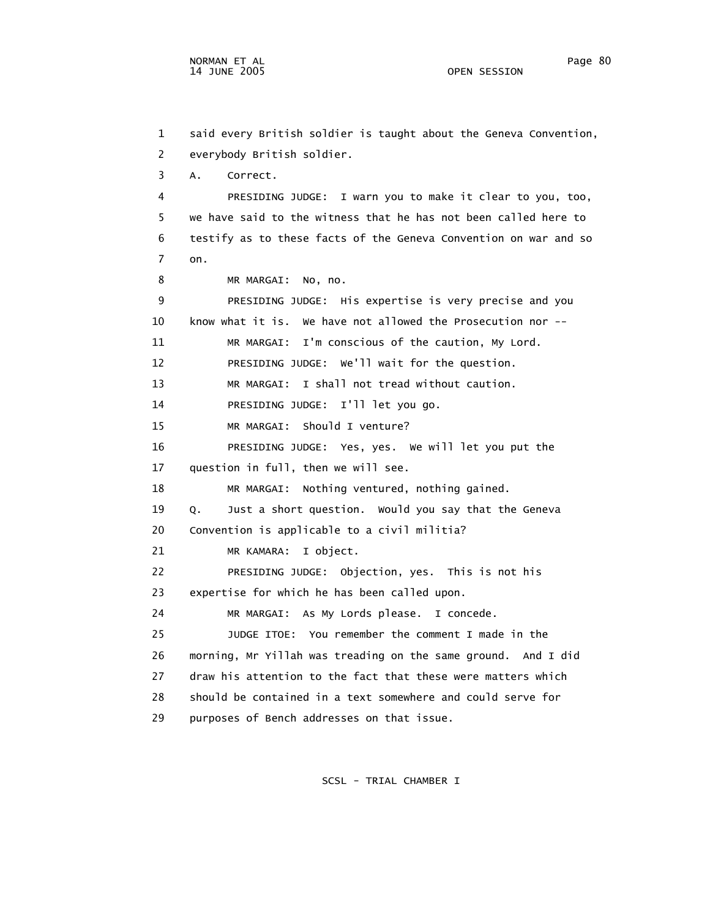1 said every British soldier is taught about the Geneva Convention, 2 everybody British soldier. 3 A. Correct. 4 PRESIDING JUDGE: I warn you to make it clear to you, too, 5 we have said to the witness that he has not been called here to 6 testify as to these facts of the Geneva Convention on war and so 7 on. 8 MR MARGAI: No, no. 9 PRESIDING JUDGE: His expertise is very precise and you 10 know what it is. We have not allowed the Prosecution nor -- 11 MR MARGAI: I'm conscious of the caution, My Lord. 12 PRESIDING JUDGE: We'll wait for the question. 13 MR MARGAI: I shall not tread without caution. 14 PRESIDING JUDGE: I'll let you go. 15 MR MARGAI: Should I venture? 16 PRESIDING JUDGE: Yes, yes. We will let you put the 17 question in full, then we will see. 18 MR MARGAI: Nothing ventured, nothing gained. 19 Q. Just a short question. Would you say that the Geneva 20 Convention is applicable to a civil militia? 21 MR KAMARA: I object. 22 PRESIDING JUDGE: Objection, yes. This is not his 23 expertise for which he has been called upon. 24 MR MARGAI: As My Lords please. I concede. 25 JUDGE ITOE: You remember the comment I made in the 26 morning, Mr Yillah was treading on the same ground. And I did 27 draw his attention to the fact that these were matters which 28 should be contained in a text somewhere and could serve for

SCSL - TRIAL CHAMBER I

29 purposes of Bench addresses on that issue.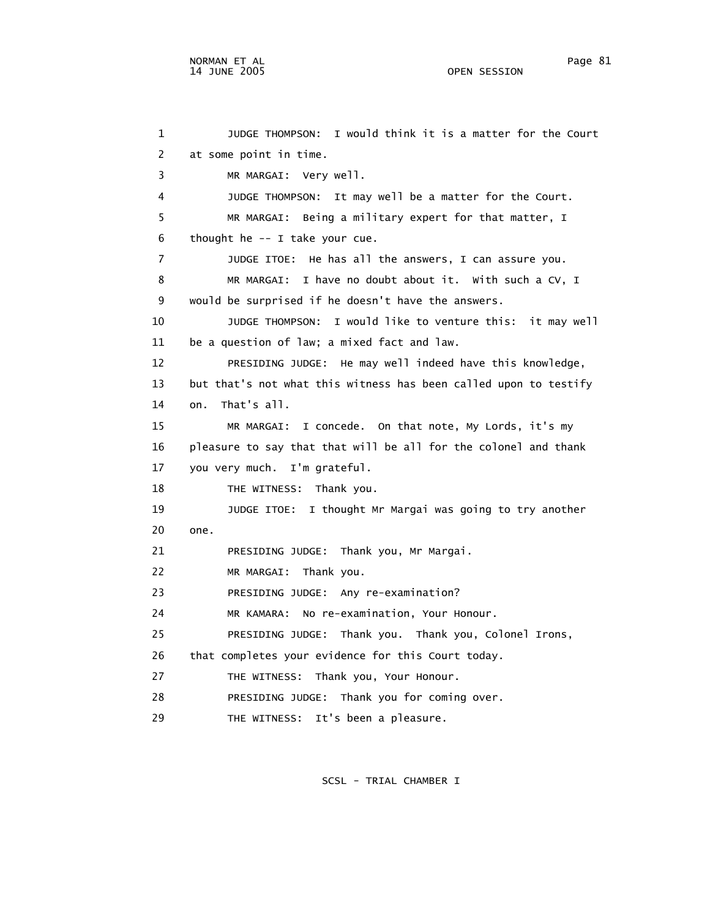1 JUDGE THOMPSON: I would think it is a matter for the Court 2 at some point in time. 3 MR MARGAI: Very well. 4 JUDGE THOMPSON: It may well be a matter for the Court. 5 MR MARGAI: Being a military expert for that matter, I 6 thought he -- I take your cue. 7 JUDGE ITOE: He has all the answers, I can assure you. 8 MR MARGAI: I have no doubt about it. With such a CV, I 9 would be surprised if he doesn't have the answers. 10 JUDGE THOMPSON: I would like to venture this: it may well 11 be a question of law; a mixed fact and law. 12 PRESIDING JUDGE: He may well indeed have this knowledge, 13 but that's not what this witness has been called upon to testify 14 on. That's all. 15 MR MARGAI: I concede. On that note, My Lords, it's my 16 pleasure to say that that will be all for the colonel and thank 17 you very much. I'm grateful. 18 THE WITNESS: Thank you. 19 JUDGE ITOE: I thought Mr Margai was going to try another 20 one. 21 PRESIDING JUDGE: Thank you, Mr Margai. 22 MR MARGAI: Thank you. 23 PRESIDING JUDGE: Any re-examination? 24 MR KAMARA: No re-examination, Your Honour. 25 PRESIDING JUDGE: Thank you. Thank you, Colonel Irons, 26 that completes your evidence for this Court today. 27 THE WITNESS: Thank you, Your Honour. 28 PRESIDING JUDGE: Thank you for coming over. 29 THE WITNESS: It's been a pleasure.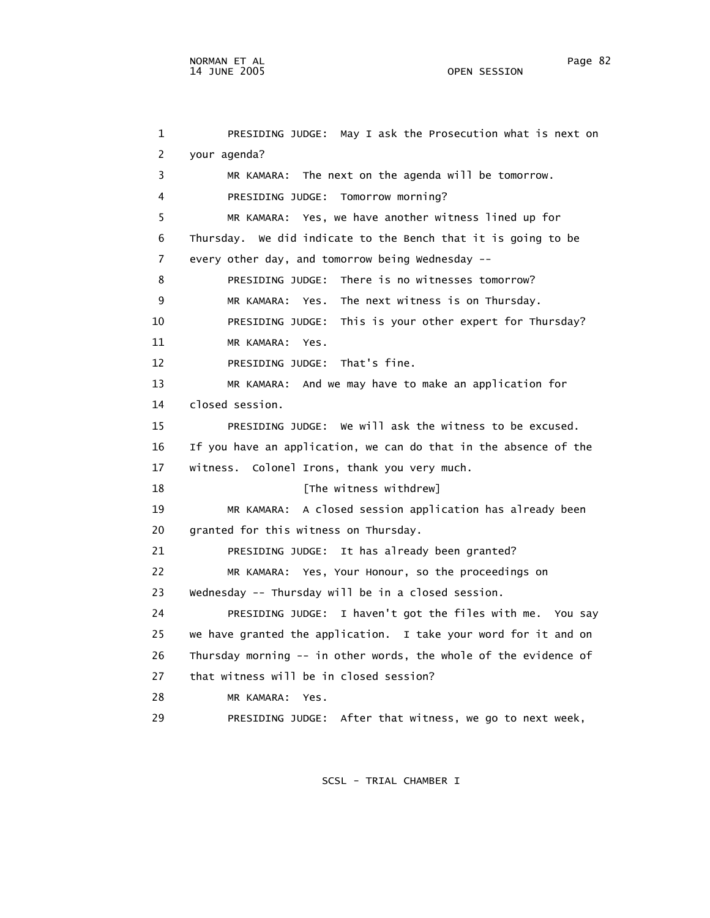1 PRESIDING JUDGE: May I ask the Prosecution what is next on 2 your agenda? 3 MR KAMARA: The next on the agenda will be tomorrow. 4 PRESIDING JUDGE: Tomorrow morning? 5 MR KAMARA: Yes, we have another witness lined up for 6 Thursday. We did indicate to the Bench that it is going to be 7 every other day, and tomorrow being Wednesday -- 8 PRESIDING JUDGE: There is no witnesses tomorrow? 9 MR KAMARA: Yes. The next witness is on Thursday. 10 PRESIDING JUDGE: This is your other expert for Thursday? 11 MR KAMARA: Yes. 12 PRESIDING JUDGE: That's fine. 13 MR KAMARA: And we may have to make an application for 14 closed session. 15 PRESIDING JUDGE: We will ask the witness to be excused. 16 If you have an application, we can do that in the absence of the 17 witness. Colonel Irons, thank you very much. 18 **I** [The witness withdrew] 19 MR KAMARA: A closed session application has already been 20 granted for this witness on Thursday. 21 PRESIDING JUDGE: It has already been granted? 22 MR KAMARA: Yes, Your Honour, so the proceedings on 23 Wednesday -- Thursday will be in a closed session. 24 PRESIDING JUDGE: I haven't got the files with me. You say 25 we have granted the application. I take your word for it and on 26 Thursday morning -- in other words, the whole of the evidence of 27 that witness will be in closed session? 28 MR KAMARA: Yes.

SCSL - TRIAL CHAMBER I

29 PRESIDING JUDGE: After that witness, we go to next week,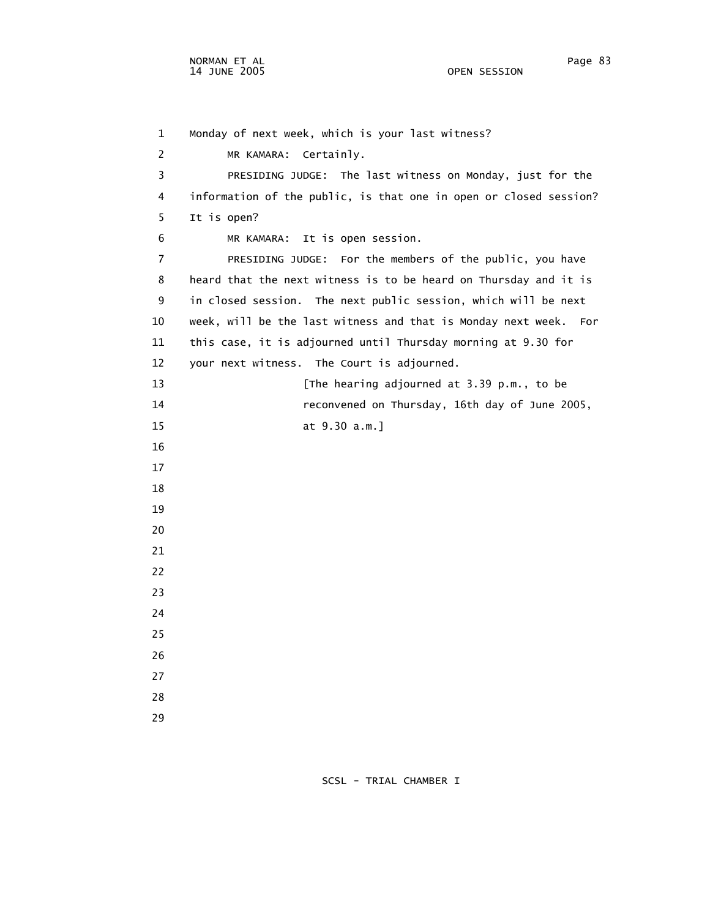1 Monday of next week, which is your last witness? 2 MR KAMARA: Certainly. 3 PRESIDING JUDGE: The last witness on Monday, just for the 4 information of the public, is that one in open or closed session? 5 It is open? 6 MR KAMARA: It is open session. 7 PRESIDING JUDGE: For the members of the public, you have 8 heard that the next witness is to be heard on Thursday and it is 9 in closed session. The next public session, which will be next 10 week, will be the last witness and that is Monday next week. For 11 this case, it is adjourned until Thursday morning at 9.30 for 12 your next witness. The Court is adjourned. 13 **13** [The hearing adjourned at 3.39 p.m., to be 14 reconvened on Thursday, 16th day of June 2005, 15 at 9.30 a.m.] 16 17 18 19 20 21 22 23 24 25 26 27 28 29